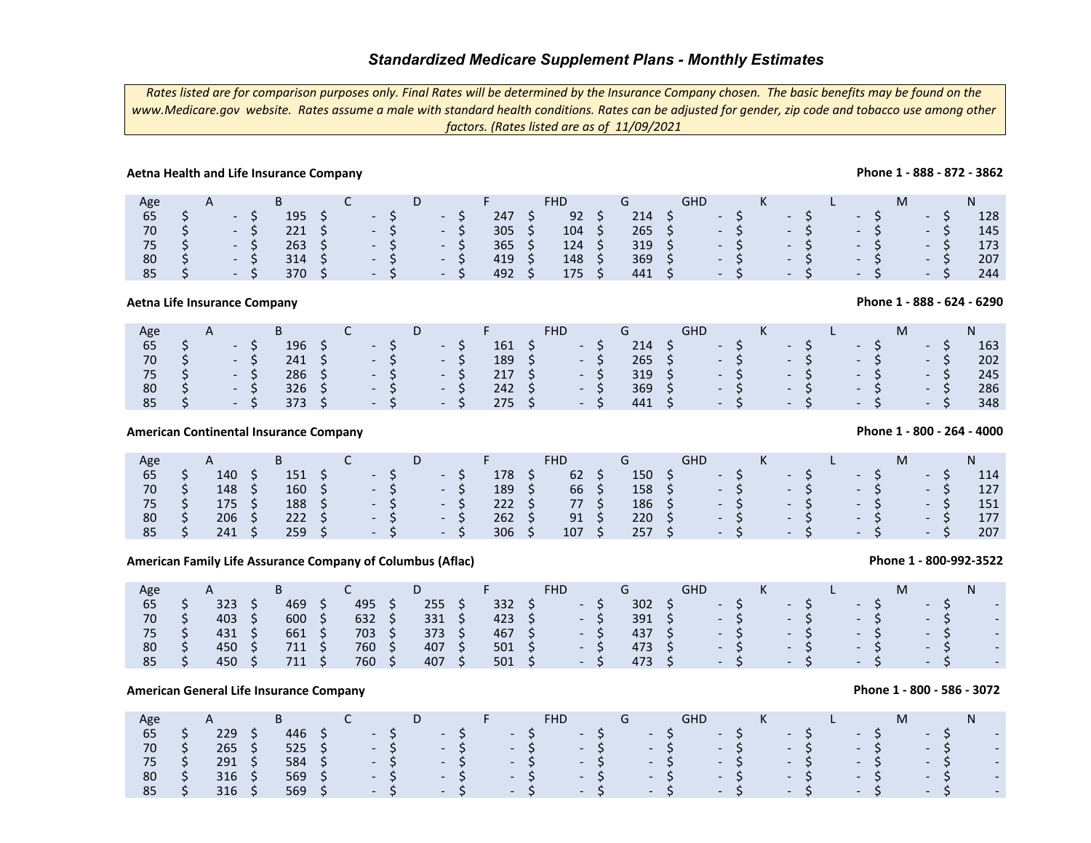*Rates listed are for comparison purposes only. Final Rates will be determined by the Insurance Company chosen. The basic benefits may be found on the www.Medicare.gov website. Rates assume a male with standard health conditions. Rates can be adjusted for gender, zip code and tobacco use among other factors. (Rates listed are as of 11/09/2021*

## **Aetna Health and Life Insurance Company**

| Age |                      | $\mathsf{A}$ |                 | B             |                            |                             | D.  |                          |     |               |                | GHD           |      | K    |      |       |       |       |     |
|-----|----------------------|--------------|-----------------|---------------|----------------------------|-----------------------------|-----|--------------------------|-----|---------------|----------------|---------------|------|------|------|-------|-------|-------|-----|
| 65  |                      |              | $\sim$ 10 $\pm$ | 195           |                            | $\sim$ $\sim$ $\sim$        |     | <b>Contract Contract</b> | 247 | 92            | 214            |               | $-5$ |      | $-5$ |       | $-S$  | - ১   | 128 |
| 70  |                      |              | - S             | 221           | S S                        | $\sim$ $\sim$ $\sim$ $\sim$ | - 5 |                          | 305 | 104           |                | $265 \quad 5$ |      | $-5$ |      | $- S$ | $- S$ | $-S$  | 145 |
| 75  |                      |              | - S             | 263           | $\overline{\phantom{a}}$ S | $-5$                        |     | - S                      | 365 | 124           | $319 \quad $5$ |               |      | $-S$ |      | $- S$ | $- S$ | $- S$ | 173 |
| 80  | $\sim$ S $\sim$      |              | $-S$            | $314 \quad S$ |                            | $- S$                       |     | - 5                      | 419 | 148           | $369 \quad $5$ |               | $-S$ |      | $-S$ |       | $-S$  | $-S$  | 207 |
| 85  | $\sim$ $\sim$ $\sim$ |              | $-S$            | 370 S         |                            | $\sim$ 5 $\sim$             |     | $-5$                     | 492 | $175 \quad S$ | $441 \quad$    |               | $-5$ |      | $-5$ |       | $-S$  | $-S$  | 244 |

**Aetna Life Insurance Company**

| 196<br>65<br>$214 \quad 5$<br>$-5$<br>$-5$<br>$-161$ \$<br>$-5$<br>$\sim$ $\sim$ $\sim$ $\sim$<br>$-S$<br>- S<br>$- S$<br>$-5$                 | 163 |
|------------------------------------------------------------------------------------------------------------------------------------------------|-----|
| $265 \div 5$<br>70<br>$189 \quad 5$<br>241<br>$-5$<br>$S \rightarrow S$<br>$-5$<br>$-5$<br>$-5$<br>$-S$<br>$-5$<br>S.                          | 202 |
| $286 \quad 5$<br>319 <sup>5</sup><br>217S<br>75<br>$-5$<br>$-5$<br>$\sim$ - \$ - \$<br>$-5$<br>$-5$<br>$-S$<br>$-S$                            | 245 |
| 369<br>$326 \quad 5$<br>$242 \quad S$<br>80<br>$-5$<br>$-5$<br>$-5$<br>$\sim$ $\sim$ $\sim$ $\sim$<br>$-S$<br>$-S$<br>$-5$<br>$-5$<br>S.<br>S. | 286 |
| 85<br>275S<br>$441 \quad$<br>373 S<br>$-5$<br>$\sim$ -S -S<br>$-S$<br>$-S$<br>$- S$<br>$-5$<br>$-S$                                            | 348 |

## **American Continental Insurance Company**

| Age |   | A   |                          |     |  |            | D |                                   | F.  | <b>FHD</b> | G              | GHD |                 |      | K |        |  |        |      |      | N   |
|-----|---|-----|--------------------------|-----|--|------------|---|-----------------------------------|-----|------------|----------------|-----|-----------------|------|---|--------|--|--------|------|------|-----|
| 65  |   | 140 |                          | 151 |  | $- S$      |   | $\mathcal{L}$ . The $\mathcal{L}$ | 178 | 62         | 150            |     | $\sim$          |      |   | $-57$  |  | $-S$   | $ -$ |      | 114 |
| 70  |   | 148 |                          | 160 |  | $\sim$ $S$ |   | $\sim$ $ \sim$                    | 189 | 66         | $158 \quad$ \$ |     |                 | $-S$ |   | $-5\%$ |  | $-S$   |      | $-5$ | 127 |
| 75  |   | 175 | $\overline{\phantom{0}}$ | 188 |  | $-5$       |   | $\sim$ $\sim$                     | 222 | 77         | 186 \$         |     |                 | $-S$ |   | $-S$   |  | $-S$   |      | - 5  | 151 |
| 80  | S | 206 |                          | 222 |  | $-5$       |   | $\sim$ $\sim$                     | 262 | 91         | 220            |     | <b>Contract</b> | S.   |   | $-S$   |  | $- S7$ |      | $-5$ | 177 |
| 85  |   | 241 |                          | 259 |  | $-5$       |   | <b>Contract Contract</b>          | 306 | 107        | $257 \div$     |     | $-5$            |      |   | $-5/$  |  | $-5$   |      | $-S$ | 207 |

## **American Family Life Assurance Company of Columbus (Aflac)**

|                            |                                 |                                         |                                 | American Family Life Assurance Company of Columbus (Aflac) |                                 |            |                          |                                 |            |                          |   |                                                                                  |  |                                                                                                                   |   |                                              | Phone 1 - 800-992-3522                                                           |
|----------------------------|---------------------------------|-----------------------------------------|---------------------------------|------------------------------------------------------------|---------------------------------|------------|--------------------------|---------------------------------|------------|--------------------------|---|----------------------------------------------------------------------------------|--|-------------------------------------------------------------------------------------------------------------------|---|----------------------------------------------|----------------------------------------------------------------------------------|
| Age                        | A                               | B.                                      |                                 | D                                                          |                                 | <b>FHD</b> |                          | G                               | <b>GHD</b> |                          | Κ |                                                                                  |  |                                                                                                                   | M |                                              | N                                                                                |
| 65<br>70<br>75<br>80<br>85 | 323<br>403<br>431<br>450<br>450 | 469<br>600<br>661<br>711<br>711         | 495<br>632<br>703<br>760<br>760 | 255<br>331<br>373<br>407<br>407                            | 332<br>423<br>467<br>501<br>501 |            | $\overline{\phantom{a}}$ | 302<br>391<br>437<br>473<br>473 |            | $\overline{\phantom{0}}$ |   | $\overline{\phantom{0}}$<br>$\overline{\phantom{0}}$<br>$\overline{\phantom{0}}$ |  | $\overline{\phantom{0}}$<br>$\overline{\phantom{0}}$<br>-<br>$\overline{\phantom{0}}$<br>$\overline{\phantom{a}}$ |   | $\sim$<br>$\overline{\phantom{0}}$<br>$\sim$ | $\overline{\phantom{0}}$<br>$\overline{\phantom{0}}$<br>$\overline{\phantom{0}}$ |
|                            |                                 |                                         |                                 |                                                            |                                 |            |                          |                                 |            |                          |   |                                                                                  |  |                                                                                                                   |   |                                              |                                                                                  |
|                            |                                 | American General Life Insurance Company |                                 |                                                            |                                 |            |                          |                                 |            |                          |   |                                                                                  |  |                                                                                                                   |   |                                              | Phone 1 - 800 - 586 - 3072                                                       |
| Age                        | A                               | B.                                      |                                 | D                                                          |                                 | <b>FHD</b> |                          | G                               | <b>GHD</b> |                          | K |                                                                                  |  |                                                                                                                   | M |                                              | N                                                                                |

## **American General Life Insurance Company**

| Age             |     |     |                      |                             | יש   |                      |      |       |       |  |       |  |      | K        |       |        |      |                      |                          |
|-----------------|-----|-----|----------------------|-----------------------------|------|----------------------|------|-------|-------|--|-------|--|------|----------|-------|--------|------|----------------------|--------------------------|
| 65              | 229 | 446 |                      | $\sim$ - S                  |      | $\sim$ $\sim$ $\sim$ | $-5$ |       | - 57  |  | $-5$  |  | - 57 | NH N     |       | NH N   |      | $- S$                | $\overline{\phantom{a}}$ |
| 70              | 265 | 525 | $\sim$ $\sim$ $\sim$ |                             | $-5$ |                      |      | $- S$ | $-S$  |  | $- S$ |  | $-S$ | New York |       | $\sim$ |      | $-5$                 | $\overline{\phantom{a}}$ |
| 75 <sub>1</sub> | 291 | 584 |                      | $\sim$ $\sim$ $\sim$ $\sim$ | $-5$ |                      |      | $-S$  | $-57$ |  | $-S$  |  | $-S$ |          | $-57$ |        | $-5$ | $\sim$ $\sim$ $\sim$ | $\overline{\phantom{a}}$ |
| 80              | 316 | 569 |                      | $\sim$ $\sim$ $\sim$        |      | $-5$                 |      | $-S$  | $- S$ |  | $-S$  |  | $-S$ |          | $-S$  | $-5$   |      | $-5$                 | $\overline{\phantom{a}}$ |
| 85              | 316 | 569 |                      | $\sim$ $\sim$ $\sim$        |      | $- S$                |      | $-S$  | $- S$ |  | $-S$  |  | $-S$ |          | $-S$  |        | $-S$ | $-S$                 | $\overline{\phantom{a}}$ |

## **Phone 1 - 888 - 872 - 3862**

## **Phone 1 - 800 - 264 - 4000**

**Phone 1 - 888 - 624 - 6290**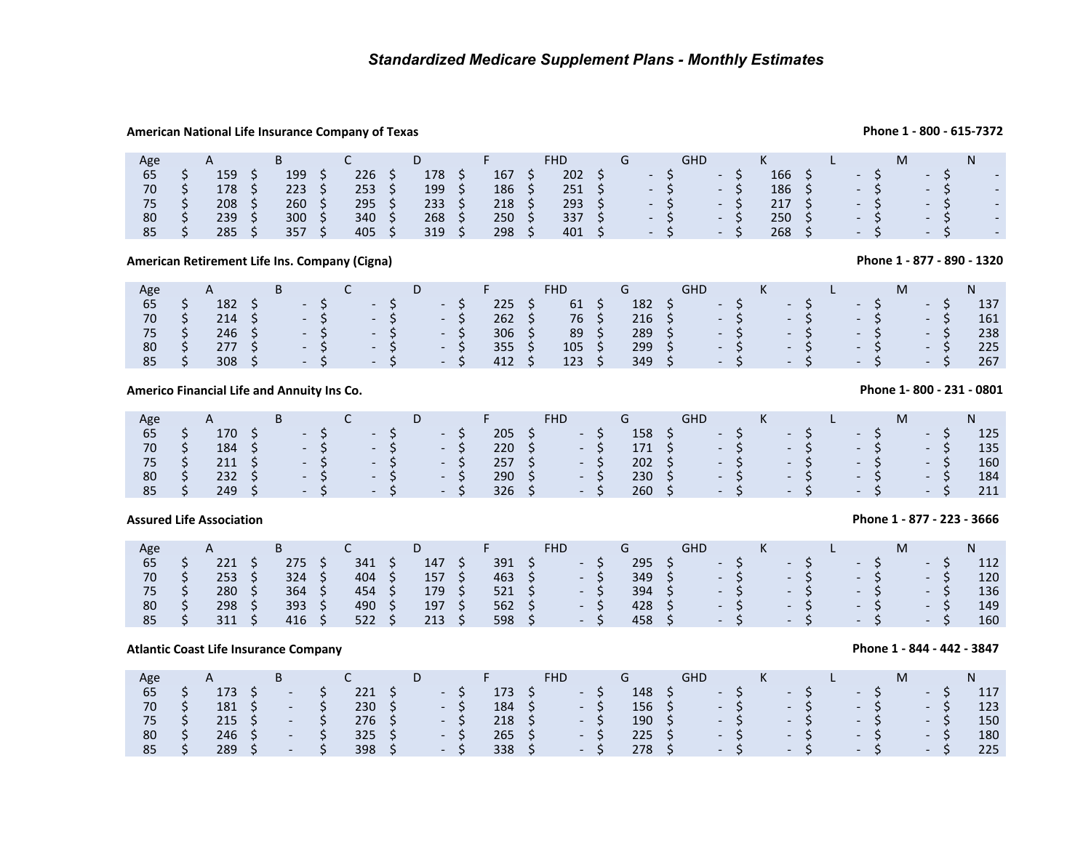## **American National Life Insurance Company of Texas**

| Age | $\mathsf{A}$ |     |     | D   |     | <b>FHD</b> |  |                          | GHD |                          |     |  |                          | М                        |  |                          |
|-----|--------------|-----|-----|-----|-----|------------|--|--------------------------|-----|--------------------------|-----|--|--------------------------|--------------------------|--|--------------------------|
| 65  | 159          | 199 | 226 | 178 | 167 | 202        |  | $\overline{\phantom{a}}$ |     | $\overline{\phantom{0}}$ | 166 |  | $\overline{\phantom{0}}$ | $\overline{\phantom{0}}$ |  | $\overline{\phantom{0}}$ |
| 70  | 178          | 223 | 253 | 199 | 186 | 251        |  | $\overline{\phantom{0}}$ |     | $\overline{\phantom{0}}$ | 186 |  | $\overline{a}$           | $\overline{\phantom{0}}$ |  | $\overline{\phantom{a}}$ |
|     | 208          | 260 | 295 | 233 | 218 | 293        |  | $\overline{\phantom{0}}$ |     | $\overline{\phantom{0}}$ | 217 |  | $\overline{\phantom{0}}$ | $\overline{\phantom{0}}$ |  | $\overline{\phantom{a}}$ |
| 80  | 239          | 300 | 340 | 268 | 250 | 337        |  | $\overline{\phantom{0}}$ |     | $\overline{\phantom{a}}$ | 250 |  | $\overline{\phantom{0}}$ | $\overline{\phantom{0}}$ |  | $\overline{\phantom{a}}$ |
| 85  | 285          | 357 | 405 | 319 | 298 | 401        |  | $\overline{\phantom{0}}$ |     | $\overline{\phantom{a}}$ | 268 |  | $\overline{\phantom{0}}$ | $\overline{\phantom{0}}$ |  | $\overline{\phantom{a}}$ |

**American Retirement Life Ins. Company (Cigna)**

| Age |             |  |                      |                 |                                           | D           |            |                | <b>FHD</b> |                | <b>GHD</b> |       | K |      |      |       |      |     |
|-----|-------------|--|----------------------|-----------------|-------------------------------------------|-------------|------------|----------------|------------|----------------|------------|-------|---|------|------|-------|------|-----|
| 65  | 182         |  | $\sim$ $\sim$ $\sim$ |                 | $\sim$ $\sim$ $\sim$ $\sim$ $\sim$ $\sim$ |             | $\sim$ $-$ | 225            | 61         | 182            |            | $- S$ |   | $-5$ |      | $- S$ | $-S$ | 137 |
| 70  | $214 \quad$ |  | $\sim$ - S $\sim$    | $\sim$ $\sim$ S |                                           |             | $- S$      | $262 \quad$ \$ | 76         | $216 \quad 5$  |            | $- S$ |   | $-5$ |      | $- S$ | $-S$ | 161 |
| 75  | 246         |  | $-S$                 |                 | $\sim$ $\sim$ S                           |             | $-S$       | 306            | 89         | $289 \quad$ \$ | $-5$       |       |   |      | $-5$ | $-S$  | $-S$ | 238 |
| 80  | 277S        |  | $\sim$ S             |                 | $\sim$ $\sim$ S                           |             | - S        | 355            | 105        | $299 \quad$ \$ |            | $-S$  |   |      | $-5$ | $- S$ | $-S$ | 225 |
| 85  | 308         |  | $\sim$ $\sim$ $\sim$ |                 | $\sim$ $\sim$ S                           | $\sim$ $-5$ |            | 412            | 123        | 349            |            | $-S$  |   | $-S$ |      | $- S$ | $-S$ | 267 |

**Americo Financial Life and Annuity Ins Co.**

| Age | A                                                                                | <b>B</b> |  |                                                                | $\overline{\phantom{a}}$ D | <b>Contract Engineer</b> |                | FHD.                             | G              | GHD K L                                                                          |  |  |      | M and the set of the set of the set of the set of the set of the set of the set of the set of the set of the set of the set of the set of the set of the set of the set of the set of the set of the set of the set of the set |      |      | N   |
|-----|----------------------------------------------------------------------------------|----------|--|----------------------------------------------------------------|----------------------------|--------------------------|----------------|----------------------------------|----------------|----------------------------------------------------------------------------------|--|--|------|--------------------------------------------------------------------------------------------------------------------------------------------------------------------------------------------------------------------------------|------|------|-----|
| 65  | 170 S                                                                            |          |  | $S^2 \rightarrow S^2 \rightarrow S^2 \rightarrow S^2$          |                            |                          |                |                                  |                | $158 \quad \zeta \qquad - \quad \zeta \qquad - \quad \zeta \qquad - \quad$       |  |  | $-5$ |                                                                                                                                                                                                                                | $-5$ |      | 125 |
| 70  |                                                                                  |          |  | $184 \quad 5 \quad -5 \quad -5 \quad -5$                       |                            |                          |                |                                  |                | $171 \quad \zeta \qquad - \zeta \qquad - \zeta \qquad - \zeta$                   |  |  |      |                                                                                                                                                                                                                                |      | $-5$ | 135 |
|     | $75 \quad \zeta \quad 211 \quad \zeta \quad - \zeta \quad - \zeta \quad - \zeta$ |          |  |                                                                |                            |                          |                | $257 \quad \zeta \qquad - \zeta$ |                | $202 \quad \zeta \qquad - \quad \zeta \qquad - \quad \zeta \qquad - \quad \zeta$ |  |  |      |                                                                                                                                                                                                                                |      | $-5$ | 160 |
| 80  |                                                                                  |          |  | $232 \quad \zeta \qquad - \zeta \qquad - \zeta \qquad - \zeta$ |                            |                          | $290 \quad $5$ | $-5$                             |                | $230 \quad \zeta \qquad - \quad \zeta \qquad - \quad \zeta \qquad - \quad \zeta$ |  |  |      |                                                                                                                                                                                                                                |      | $-5$ | 184 |
| 85  | 249 <sup>5</sup>                                                                 |          |  |                                                                |                            |                          |                | $326 \quad 5 \quad -5$           | $260 \quad $5$ |                                                                                  |  |  |      |                                                                                                                                                                                                                                |      |      | 211 |

## **Assured Life Association**

| Age | $\mathsf{A}$ | ◡   |     |     |     | <b>FHD</b>               |     | GHD                      |      |                          |                          |                          | ΙVΙ |                |     |
|-----|--------------|-----|-----|-----|-----|--------------------------|-----|--------------------------|------|--------------------------|--------------------------|--------------------------|-----|----------------|-----|
| 65  | 221          |     | 341 | 147 | 391 | $\sim$                   | 295 | $\sim$                   |      | $\overline{\phantom{a}}$ |                          | $\overline{\phantom{0}}$ |     | <b>Service</b> | 112 |
| 70  | 253          | 324 | 404 | 157 | 463 | $\sim$                   | 349 |                          | $-5$ | $\sim$                   |                          | $\sim$                   |     | $\sim$ $ \sim$ | 120 |
| 75  | 280          | 364 | 454 | 179 | 521 | $\overline{\phantom{0}}$ | 394 | $\sim$                   |      | $\sim$ $ \sim$           |                          | $\sim$ $\sim$            |     | <b>No. 19</b>  | 136 |
| 80  | 298          | 393 | 490 | 197 | 562 | $\overline{\phantom{0}}$ | 428 | $\overline{\phantom{a}}$ |      | $\overline{\phantom{a}}$ | $\overline{\phantom{a}}$ |                          |     | $\sim$         | 149 |
| 85  | 311          | 416 | 522 | 213 | 598 | $\overline{\phantom{a}}$ | 458 | $\overline{a}$           |      | $\overline{\phantom{a}}$ | $\overline{\phantom{a}}$ |                          |     | $\sim$         | 160 |
|     |              |     |     |     |     |                          |     |                          |      |                          |                          |                          |     |                |     |

## **Atlantic Coast Life Insurance Company**

| Age             |               | B                        |      |                  |                 |      |               | <b>FHD</b> |      | $\mathsf{G}$   | <b>GHD</b> |      | $K$ $\sim$ |       |       |       |            |       |     |
|-----------------|---------------|--------------------------|------|------------------|-----------------|------|---------------|------------|------|----------------|------------|------|------------|-------|-------|-------|------------|-------|-----|
| 65              | 173           | $\overline{\phantom{0}}$ |      | 221              |                 | $-5$ | $173 \quad S$ | $- S$      |      | 148            |            |      | $-5$       |       | $- S$ | $-5$  | $\sim$ $-$ |       | 117 |
| 70              | 181 \$        | $\sim$                   |      | $230 \quad $5$   |                 | $-S$ | $184 \quad 5$ |            | $-5$ | $156 \quad 5$  |            |      | $-5$       |       | $- S$ | $-5$  |            | $-S$  | 123 |
| 75 <sup>2</sup> | $215 \quad S$ | $\sim$                   | / S/ | 276 <sup>5</sup> |                 | $-S$ | $218 \quad$ S |            | $-S$ | $190 \quad$ \$ |            |      | $- S$      |       | $- S$ | $- S$ |            | $-S$  | 150 |
| 80              | 246           | $\overline{\phantom{a}}$ |      | $325 \quad 5$    |                 | $-S$ | 265 S         |            | $-S$ | $225 \quad S$  |            | $-S$ |            |       | $-5$  | $- S$ |            | $-S$  | 180 |
| 85              | 289           | $\sim$                   | S    | 398              | $\sim$ S $\sim$ | $-S$ | 338           |            | $-5$ | $278 \quad 5$  |            | $-S$ |            | $- S$ |       | $- S$ |            | $- S$ | 225 |

# **Phone 1- 800 - 231 - 0801**

## **Phone 1 - 800 - 615-7372**

# **Phone 1 - 877 - 890 - 1320**

**Phone 1 - 877 - 223 - 3666**

## **Phone 1 - 844 - 442 - 3847**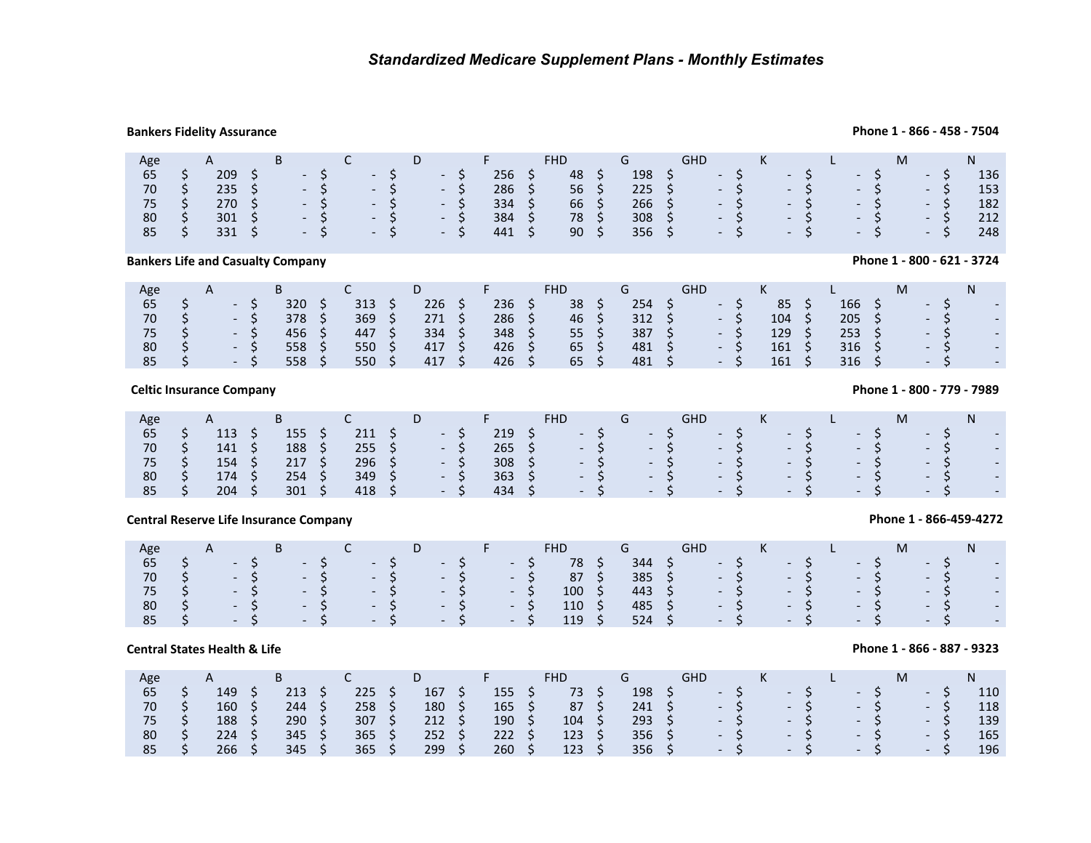## **Bankers Fidelity Assurance**

### **Phone 1 - 866 - 458 - 7504**

**Phone 1 - 800 - 621 - 3724**

| Age           | A                                                                                | B C                                                            |  |  |  | D F            | FHD <sub>2</sub> | <b>Graduate Communication</b> | GHD K L                                                                                        |                     |  |  | M <sub>ar</sub> |        | N   |
|---------------|----------------------------------------------------------------------------------|----------------------------------------------------------------|--|--|--|----------------|------------------|-------------------------------|------------------------------------------------------------------------------------------------|---------------------|--|--|-----------------|--------|-----|
| 65            |                                                                                  | $209 \quad \zeta \qquad - \zeta \qquad - \zeta \qquad - \zeta$ |  |  |  | $256 \quad$ \$ | 48 \$            |                               | $198 \quad \mathsf{S} \qquad \mathsf{S} \qquad \mathsf{S} \qquad \mathsf{S} \qquad \mathsf{S}$ |                     |  |  | $-5$            | $- S/$ | 136 |
| 70 \$         | $235 \quad \zeta \qquad - \quad \zeta \qquad - \quad \zeta \qquad - \quad \zeta$ |                                                                |  |  |  | $286 \quad 5$  | $56 \quad$       |                               | $225 \quad \zeta \qquad - \quad \zeta \qquad - \quad \zeta \qquad - \quad \zeta$               |                     |  |  |                 | $-S$   | 153 |
|               | $75 \quad \zeta$ 270 $\zeta$ - $\zeta$ - $\zeta$ - $\zeta$                       |                                                                |  |  |  | $334 \quad S$  | 66 \$            |                               | $266 \div$                                                                                     | $-5$ $-5$ $-5$ $-5$ |  |  |                 |        | 182 |
| $80 \quad$ \$ |                                                                                  | $301 \quad \zeta \qquad - \zeta \qquad - \zeta \qquad - \zeta$ |  |  |  | $384 \quad 5$  | 78 \$            |                               | $308 \quad 5 \quad -5 \quad -5 \quad -5 \quad -5$                                              |                     |  |  |                 |        | 212 |
| $85 \quad$ \$ |                                                                                  | $331 \quad \zeta \qquad - \zeta \qquad - \zeta \qquad - \zeta$ |  |  |  | 441 \$         | $90 \quad$ \$    | $356 \quad S$                 |                                                                                                |                     |  |  |                 |        | 248 |

**Bankers Life and Casualty Company**

| <b>FHD</b><br>Age<br>$\mathsf{A}$                                       | GHD                             |                                 |                          |
|-------------------------------------------------------------------------|---------------------------------|---------------------------------|--------------------------|
| 236<br>254<br>38<br>226<br>320<br>313<br>65                             | 85<br>$\overline{\phantom{0}}$  | 166                             |                          |
| 286<br>369<br>70<br>46<br>312<br>378<br>271                             | 104<br>$\overline{\phantom{0}}$ | 205<br>$\overline{\phantom{0}}$ | $\overline{\phantom{a}}$ |
| 387<br>55<br>334<br>348<br>456<br>447<br>75<br>$-1$                     | 129<br>$\overline{\phantom{a}}$ | 253<br>$\overline{\phantom{0}}$ | -                        |
| 65<br>426<br>417<br>481<br>80<br>550<br>558                             | 161<br>$\overline{\phantom{a}}$ | 316<br>$\overline{\phantom{0}}$ | -                        |
| 65<br>426<br>481<br>550<br>417<br>558<br>85<br>$\overline{\phantom{0}}$ | 161<br>$\overline{\phantom{0}}$ | 316<br>$\overline{\phantom{0}}$ | $\overline{\phantom{0}}$ |

**Celtic Insurance Company**

| Age   | A a | <b>Experiment B</b> | $\overline{C}$ and $\overline{C}$ and $\overline{C}$ |    | D <sub>D</sub>                   |       | <b>Contract Engineer</b> | <b>FHD</b>                                                                                                          | and Green Green Green Street and Street Street Street and Street Street Street Street Street Street Street Str | <b>GHD</b> |  | $\mathsf{K}$ and $\mathsf{K}$ and $\mathsf{K}$ and $\mathsf{K}$ and $\mathsf{K}$ are $\mathsf{K}$ and $\mathsf{K}$ and $\mathsf{K}$ and $\mathsf{K}$ and $\mathsf{K}$ and $\mathsf{K}$ and $\mathsf{K}$ and $\mathsf{K}$ and $\mathsf{K}$ and $\mathsf{K}$ and $\mathsf{K}$ and $\mathsf{K}$ and | and Land | M. |      |            |  |
|-------|-----|---------------------|------------------------------------------------------|----|----------------------------------|-------|--------------------------|---------------------------------------------------------------------------------------------------------------------|----------------------------------------------------------------------------------------------------------------|------------|--|--------------------------------------------------------------------------------------------------------------------------------------------------------------------------------------------------------------------------------------------------------------------------------------------------|----------|----|------|------------|--|
| 65    | 113 | 155                 | 211                                                  | S. |                                  | $- S$ | 219                      |                                                                                                                     |                                                                                                                |            |  |                                                                                                                                                                                                                                                                                                  |          |    |      | $-5$ $-$   |  |
| 70    | 141 | 188                 |                                                      |    | $255 \quad \zeta \qquad - \zeta$ |       |                          | $265$ \$ $-$ \$ $-$ \$ $-$ \$ $-$ \$ $-$ \$ $-$ \$ $-$                                                              |                                                                                                                |            |  |                                                                                                                                                                                                                                                                                                  |          |    |      |            |  |
| 75 \$ | 154 | 217 S               | $296 \quad $5$                                       |    |                                  | $-5$  |                          | $308$ \$ $-$ \$ $-$ \$ $-$ \$ $-$ \$ $-$ \$ $-$ \$ $-$                                                              |                                                                                                                |            |  |                                                                                                                                                                                                                                                                                                  |          |    |      |            |  |
| 80    | 174 | 254                 | 349                                                  |    |                                  | $-S$  |                          | 363 \$9.5 - \$9.5 - \$9.5 - \$9.5 - \$9.5 - \$9.7 - \$9.7 - \$9.7 - \$9.7 - \$9.7 - \$9.7 - \$9.7 - \$9.7 - \$9.7 - |                                                                                                                |            |  |                                                                                                                                                                                                                                                                                                  |          |    |      |            |  |
| 85    | 204 | 301                 | 418 \$                                               |    |                                  | $- S$ | 434 \$                   | - S - S - S - S - S - S                                                                                             |                                                                                                                |            |  |                                                                                                                                                                                                                                                                                                  |          |    | $-S$ | $\sim 100$ |  |

## **Central Reserve Life Insurance Company**

| Age | $A \rightarrow$ | B C |                                  | $D \longrightarrow F$ |  | FHD G       |                | GHD K L                                                                                                                                                                                                                                                           |                     |  |  | $M \sim 1$ | N. |                          |
|-----|-----------------|-----|----------------------------------|-----------------------|--|-------------|----------------|-------------------------------------------------------------------------------------------------------------------------------------------------------------------------------------------------------------------------------------------------------------------|---------------------|--|--|------------|----|--------------------------|
|     |                 |     | $65$ \$ - \$ - \$ - \$ - \$ - \$ |                       |  | 78 \$       |                | $344$ \$ $-$ \$ $-$ \$ $-$ \$ $-$ \$ $-$ \$ $-$ \$ $-$ \$ $-$ \$ $-$ \$ $-$ \$ $-$ \$ $-$ \$ $-$ \$ $-$ \$ $-$ \$ $-$ \$ $-$ \$ $-$ \$ $-$ \$ $-$ \$ $-$ \$ $-$ \$ $-$ \$ $-$ \$ $-$ \$ $-$ \$ $-$ \$ $-$ \$ $-$ \$ $-$ \$ $-$ \$ $-$ \$ $-$ \$ $-$ \$ $-$ \$ $-$ |                     |  |  |            |    | $\sim$                   |
| 70  |                 |     |                                  |                       |  |             |                | $385$ \$ $-$ \$ $-$ \$ $-$ \$ $-$ \$ $-$                                                                                                                                                                                                                          |                     |  |  |            |    |                          |
|     |                 |     | 75 \$ - \$ - \$ - \$ - \$ - \$   |                       |  | $100 \div$  |                | 443 \$ - \$ - \$ - \$ - \$ -                                                                                                                                                                                                                                      |                     |  |  |            |    |                          |
| 80  |                 |     | S - S - S - S - S - S            |                       |  | $110 \quad$ | 485 \$         | $-5$ $-5$ $-5$ $-5$ $-$                                                                                                                                                                                                                                           |                     |  |  |            |    |                          |
|     |                 |     | 85 \$ - \$ - \$ - \$ - \$ - \$   |                       |  | 119S        | $524 \quad$ \$ |                                                                                                                                                                                                                                                                   | $-5$ $-5$ $-5$ $-5$ |  |  |            |    | $\overline{\phantom{a}}$ |
|     |                 |     |                                  |                       |  |             |                |                                                                                                                                                                                                                                                                   |                     |  |  |            |    |                          |

## **Central States Health & Life**

| Age |     |     |     |     |     | <b>FHD</b> |     | GHD                      |                 | K |                      |        |  |      |     |
|-----|-----|-----|-----|-----|-----|------------|-----|--------------------------|-----------------|---|----------------------|--------|--|------|-----|
| 65  | 149 | 213 | 225 | 167 | 155 | 73         | 198 | $\overline{\phantom{a}}$ |                 |   | $- S$                | $- S/$ |  | $-5$ | 110 |
| 70  | 160 | 244 | 258 | 180 | 165 | 87         | 241 |                          | $-S$            |   | $-S$                 | $-S$   |  | $-S$ | 118 |
| 75  | 188 | 290 | 307 | 212 | 190 | 104        | 293 | NATIO                    | $\sim$ S $\sim$ |   | $-S$                 | $-S$   |  | $-S$ | 139 |
| 80  | 224 | 345 | 365 | 252 | 222 | 123        | 356 |                          | $-S$            |   | $-S$                 | $-S$   |  | $-S$ | 165 |
| 85  | 266 | 345 | 365 | 299 | 260 | 123        | 356 | .                        |                 |   | $\sim$ $\sim$ $\sim$ | $-S$   |  | $-S$ | 196 |

**Phone 1 - 800 - 779 - 7989**

**Phone 1 - 866-459-4272**

**Phone 1 - 866 - 887 - 9323**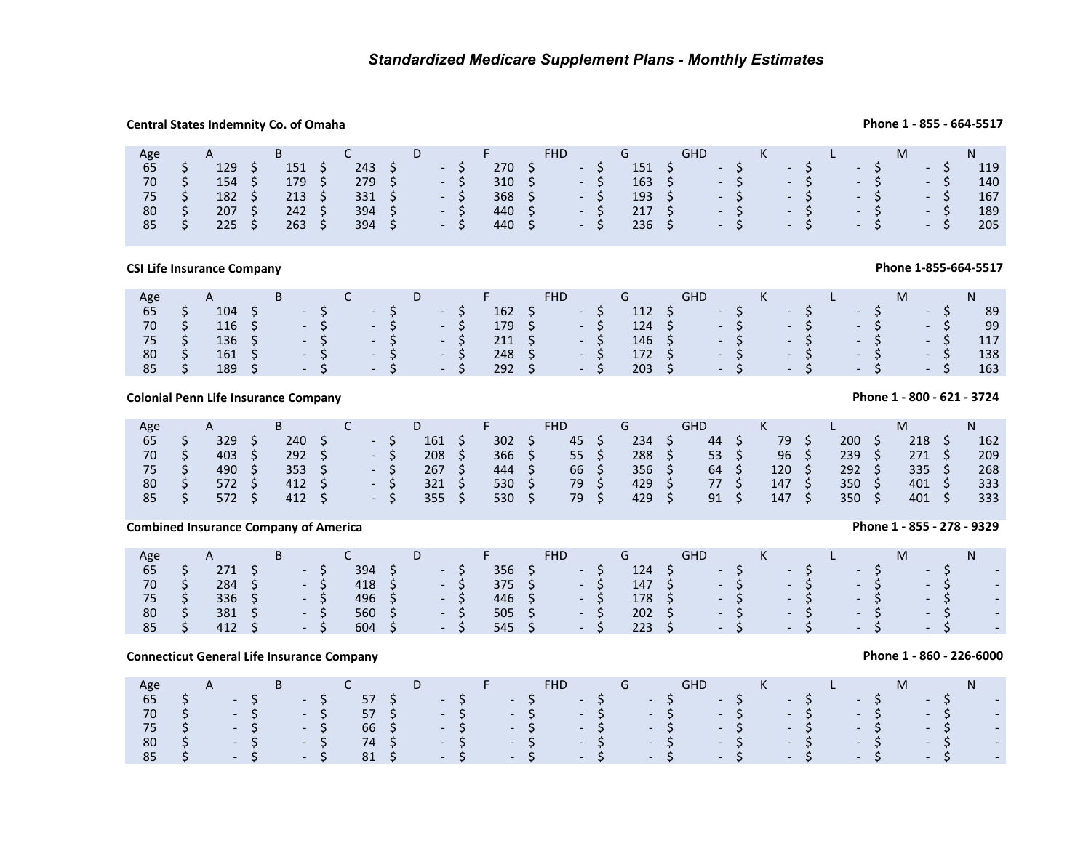## **Central States Indemnity Co. of Omaha**

|                                           |                                                                          | Central States Indemnity Co. of Omaha                                                             |                                                                                        |                                                                                       |                                                           |                                                                                     |                                                                               |                                                                                       |                                                 |                                                                |                                                        |                                                                                                                                      |                                    |                                                           |                                      |            |                                                                                                                         |                                      |                                                                                 |                                                                                          |                                                                                    |                                           |                                                                             |                                                              | Phone 1 - 855 - 664-5517                          |
|-------------------------------------------|--------------------------------------------------------------------------|---------------------------------------------------------------------------------------------------|----------------------------------------------------------------------------------------|---------------------------------------------------------------------------------------|-----------------------------------------------------------|-------------------------------------------------------------------------------------|-------------------------------------------------------------------------------|---------------------------------------------------------------------------------------|-------------------------------------------------|----------------------------------------------------------------|--------------------------------------------------------|--------------------------------------------------------------------------------------------------------------------------------------|------------------------------------|-----------------------------------------------------------|--------------------------------------|------------|-------------------------------------------------------------------------------------------------------------------------|--------------------------------------|---------------------------------------------------------------------------------|------------------------------------------------------------------------------------------|------------------------------------------------------------------------------------|-------------------------------------------|-----------------------------------------------------------------------------|--------------------------------------------------------------|---------------------------------------------------|
| Age<br>65<br>$70\,$<br>75<br>$80\,$<br>85 | らさら<br>$\mathsf{\hat{S}}$                                                | A<br>129<br>$154 \; \xi$<br>182<br>207<br>225                                                     | - \$<br>$\ddot{\phi}$<br>$\frac{1}{2}$<br>$\ddot{\mathsf{S}}$                          | B<br>151<br>179<br>213<br>242<br>263                                                  | \$<br>$\boldsymbol{\zeta}$<br>$\zeta$<br>\$<br>$\zeta$    | C<br>243<br>279<br>331<br>394<br>394                                                | \$\$<br>\$<br>\$<br>$\zeta$                                                   | D<br>$\sim$<br>$\overline{\phantom{a}}$                                               | \$<br>$\zeta$<br>\$<br>\$<br>$\mathsf{\dot{S}}$ | F<br>270<br>310<br>368<br>440<br>440                           | \$<br>\$<br>$\boldsymbol{\mathsf{S}}$<br>\$<br>\$      | <b>FHD</b><br>$\overline{\phantom{a}}$<br>$\overline{\phantom{a}}$<br>$\overline{\phantom{a}}$<br>$\overline{\phantom{a}}$           | \$<br>\$<br>\$<br>\$<br>\$         | G<br>151<br>163<br>193<br>217<br>236                      | \$<br>\$<br>$\zeta$<br>\$<br>$\zeta$ | GHD        | $\overline{\phantom{a}}$<br>$\overline{\phantom{a}}$<br>$\blacksquare$<br>$\overline{\phantom{a}}$<br>$\overline{a}$    | \$\$\$\$<br>$\zeta$                  | K<br>$\overline{\phantom{a}}$<br>$\overline{\phantom{a}}$<br>Q<br>$\frac{1}{2}$ | $\begin{array}{c} 5 \\ 5 \\ 5 \end{array}$<br>\$<br>$\overline{\mathsf{S}}$              | L<br>$\overline{\phantom{a}}$<br>$\blacksquare$<br>$\blacksquare$<br>$\frac{1}{2}$ | \$<br>\$<br>\$<br>$\overline{\mathsf{S}}$ | M<br>$\overline{\phantom{a}}$                                               | \$<br>$-55$<br>- 5<br>$\begin{matrix} -5 \\ -5 \end{matrix}$ | N <sub>1</sub><br>119<br>140<br>167<br>189<br>205 |
|                                           |                                                                          | <b>CSI Life Insurance Company</b>                                                                 |                                                                                        |                                                                                       |                                                           |                                                                                     |                                                                               |                                                                                       |                                                 |                                                                |                                                        |                                                                                                                                      |                                    |                                                           |                                      |            |                                                                                                                         |                                      |                                                                                 |                                                                                          |                                                                                    |                                           |                                                                             |                                                              | Phone 1-855-664-5517                              |
| Age<br>65<br>$70\,$<br>75<br>80<br>85     | ささ<br>\$<br>\$                                                           | $\mathsf{A}$<br>104<br>$116 \pm 5$<br>136<br>161<br>189                                           | $\ddot{\phi}$<br>$\ddot{\varsigma}$<br>\$<br>$\zeta$                                   | B<br>$\overline{\phantom{a}}$<br>$\overline{\phantom{a}}$<br>$\Box$<br>$\mathbb{Z}^+$ | \$<br>\$<br>\$<br>\$<br>\$                                | $\mathsf{C}$<br>$\overline{\phantom{a}}$<br>$\sim$<br>$\sim$<br>$\mathcal{L}^{\pm}$ | さかな<br>\$                                                                     | D<br>$\blacksquare$<br>$\sim$<br>$\blacksquare$                                       | \$<br>\$<br>\$<br>\$<br>Ś.                      | F<br>162<br>179<br>211<br>248<br>292                           | \$<br>\$<br>\$<br>\$<br>$\zeta$                        | <b>FHD</b><br>$\overline{\phantom{a}}$<br>$\overline{\phantom{a}}$<br>$\overline{\phantom{a}}$<br>$\mathcal{L}$                      | \$<br>\$<br>\$<br>\$<br>\$         | G<br>112<br>124<br>146<br>172<br>203                      | \$<br>$\zeta$<br>\$<br>\$<br>Ŝ.      | <b>GHD</b> | $\overline{\phantom{a}}$<br>$\blacksquare$<br>$\overline{\phantom{a}}$<br>$\blacksquare$<br>$\overline{a}$              | ちらら<br>$\ddot{\varsigma}$<br>$\zeta$ | K<br>$\blacksquare$<br>e<br>$\overline{a}$                                      | \$\$\$<br>$\dot{\varsigma}$<br>\$                                                        | L<br>$\mathbb{L}^+$<br>$\mathbb{Z}^{\mathbb{Z}}$                                   | \$<br>$\frac{1}{2}$<br>\$<br>\$           | M<br>$\blacksquare$<br>$\overline{\phantom{a}}$<br>$\overline{a}$           | \$<br>$\boldsymbol{\zeta}$<br>$\zeta$<br>$-$ \$<br>\$        | N<br>89<br>99<br>117<br>138<br>163                |
|                                           |                                                                          | <b>Colonial Penn Life Insurance Company</b>                                                       |                                                                                        |                                                                                       |                                                           |                                                                                     |                                                                               |                                                                                       |                                                 |                                                                |                                                        |                                                                                                                                      |                                    |                                                           |                                      |            |                                                                                                                         |                                      |                                                                                 |                                                                                          |                                                                                    |                                           | Phone 1 - 800 - 621 - 3724                                                  |                                                              |                                                   |
| Age<br>65<br>$70\,$<br>75<br>80<br>85     | ららら<br>\$<br>\$                                                          | A<br>329<br>403<br>490<br>572<br>572                                                              | $\ddot{\phi}$<br>$\ddot{\mathsf{s}}$<br>$\ddot{\phi}$<br>$\ddot{\varsigma}$<br>$\zeta$ | B<br>240<br>$292 \div$<br>353<br>412<br>412                                           | \$<br>$\ddot{\varsigma}$<br>$\ddot{\varsigma}$<br>$\zeta$ | C<br>$\blacksquare$<br>$\sim$<br>$\mathcal{L}^{\pm}$                                | \$<br>\$<br>$\ddot{\varsigma}$<br>\$<br>\$                                    | D<br>161<br>208<br>267<br>321<br>355                                                  | \$<br>\$<br>\$<br>$\varsigma$<br>\$             | F<br>302<br>366<br>444<br>530<br>530                           | $\zeta$<br>$\boldsymbol{\zeta}$<br>\$<br>\$<br>$\zeta$ | <b>FHD</b><br>45<br>55<br>66<br>79<br>79                                                                                             | \$<br>\$<br>\$<br>$\zeta$<br>\$    | G<br>234<br>288<br>356<br>429<br>429                      | \$<br>\$<br>\$<br>\$<br>$\zeta$      | GHD        | 44<br>53<br>64<br>77<br>91                                                                                              | らら<br>\$<br>\$                       | K<br>79<br>96<br>120<br>147<br>147                                              | $\begin{array}{c} \texttt{S}\\ \texttt{S} \end{array}$<br>$\ddot{\varsigma}$<br>\$<br>\$ | L<br>200<br>239<br>292<br>350<br>350                                               | $\frac{5}{5}$<br>\$<br>\$<br>$\zeta$      | M<br>$218$ \$<br>271 \$<br>335<br>401<br>401                                | $\ddot{\xi}$<br>$\ddot{\varsigma}$<br>$\ddot{\varsigma}$     | N<br>162<br>209<br>268<br>333<br>333              |
|                                           |                                                                          | <b>Combined Insurance Company of America</b>                                                      |                                                                                        |                                                                                       |                                                           |                                                                                     |                                                                               |                                                                                       |                                                 |                                                                |                                                        |                                                                                                                                      |                                    |                                                           |                                      |            |                                                                                                                         |                                      |                                                                                 |                                                                                          |                                                                                    |                                           | Phone 1 - 855 - 278 - 9329                                                  |                                                              |                                                   |
| Age<br>65<br>$70\,$<br>75<br>80<br>85     | \$<br>\$<br>$\overline{\boldsymbol{\zeta}}$<br>$\ddot{\bm{\zeta}}$<br>\$ | $\mathsf{A}$<br>$271 \quad $$<br>284<br>336<br>381<br>412                                         | $\ddot{\mathsf{S}}$<br>$\ddot{\phi}$<br>$\ddot{\varsigma}$<br>\$                       | B<br>$\overline{\phantom{a}}$<br>$\mathcal{L}^{\mathcal{A}}$                          | \$<br>\$<br>\$<br>\$<br>\$                                | C<br>394<br>418<br>496<br>560<br>604                                                | \$<br>$\ddot{\xi}$<br>\$<br>\$<br>Ś.                                          | D<br>$\overline{\phantom{a}}$<br>$\overline{\phantom{a}}$<br>$\overline{\phantom{a}}$ | \$<br>\$<br>\$<br>\$                            | F<br>356<br>375<br>446<br>505<br>545                           | $\zeta$<br>\$<br>\$<br>\$<br>\$                        | <b>FHD</b><br>$\overline{\phantom{a}}$<br>$\overline{\phantom{a}}$<br>$\overline{\phantom{a}}$<br>$\overline{\phantom{a}}$<br>$\sim$ | \$<br>\$<br>\$<br>\$<br>\$         | G<br>124<br>147<br>178<br>202<br>223                      | \$<br>$\zeta$<br>\$<br>\$<br>\$      | <b>GHD</b> | $\overline{\phantom{a}}$<br>$\overline{\phantom{a}}$<br>$\overline{\phantom{a}}$<br>$\Box$<br>$\mathbb{Z}^{\mathbb{Z}}$ | やややぐ<br>$\zeta$                      | K<br>$\blacksquare$<br>$\Box$<br>$\mathbb{Z}^{\mathbb{Z}}$                      | \$<br>\$\$\$<br>\$                                                                       | L<br>$\Box$                                                                        | \$<br>\$\$\$<br>\$                        | M<br>$\overline{\phantom{a}}$<br>$\blacksquare$<br>$\overline{\phantom{a}}$ | \$<br>$\frac{1}{2}$<br>$\ddot{\varsigma}$<br>\$              | N <sub>1</sub>                                    |
|                                           |                                                                          | <b>Connecticut General Life Insurance Company</b>                                                 |                                                                                        |                                                                                       |                                                           |                                                                                     |                                                                               |                                                                                       |                                                 |                                                                |                                                        |                                                                                                                                      |                                    |                                                           |                                      |            |                                                                                                                         |                                      |                                                                                 |                                                                                          |                                                                                    |                                           |                                                                             |                                                              | Phone 1 - 860 - 226-6000                          |
| Age<br>65<br>$70\,$<br>75<br>80<br>85     | \$\$<br>\$<br>$\overline{\xi}$<br>\$                                     | A<br>$\overline{\phantom{a}}$<br>$\overline{\phantom{a}}$<br>$\overline{\phantom{a}}$<br>$\omega$ | \$<br>\$\$\$\$                                                                         | B<br>$\sim$<br>$\overline{\phantom{a}}$<br>$\omega$ .                                 | \$<br>\$<br>\$<br>\$<br>\$                                | C<br>57<br>57<br>66<br>74<br>81                                                     | $\begin{array}{c} \texttt{S}\\ \texttt{S} \end{array}$<br>$\frac{1}{2}$<br>\$ | D<br>$\overline{\phantom{a}}$<br>$\blacksquare$                                       | \$<br>$\dot{\xi}$<br>$\zeta$<br>\$<br>\$        | F<br>$\overline{\phantom{a}}$<br>$\sim$<br>$\omega_{\rm{eff}}$ | \$<br>$\overline{\xi}$<br>\$<br>\$<br>\$               | <b>FHD</b><br>$\overline{\phantom{a}}$<br>$\overline{\phantom{a}}$<br>$\blacksquare$                                                 | \$<br>$\dot{\xi}$<br>\$<br>\$<br>Ś | G<br>$\overline{\phantom{a}}$<br>$\blacksquare$<br>$\Box$ | \$<br>\$<br>\$<br>\$<br>\$           | <b>GHD</b> | $\overline{\phantom{a}}$<br>$\overline{\phantom{a}}$<br>$\overline{\phantom{a}}$                                        | やみや<br>\$                            | K<br>$\overline{\phantom{a}}$                                                   | ぐぐぐ<br>\$                                                                                | L<br>$\overline{\phantom{a}}$                                                      | やみやく<br>\$                                | M<br>$\overline{\phantom{a}}$                                               | やややや<br>$\zeta$                                              | N.<br>$\overline{\phantom{a}}$<br>$\Box$          |
|                                           |                                                                          |                                                                                                   |                                                                                        |                                                                                       |                                                           |                                                                                     |                                                                               |                                                                                       |                                                 |                                                                |                                                        |                                                                                                                                      |                                    |                                                           |                                      |            |                                                                                                                         |                                      |                                                                                 |                                                                                          |                                                                                    |                                           |                                                                             |                                                              |                                                   |

## **CSI Life Insurance Company**

| Age          | A              |  |                | $\overline{C}$ and $\overline{C}$ and $\overline{C}$ and $\overline{C}$ and $\overline{C}$ and $\overline{C}$ and $\overline{C}$ and $\overline{C}$ and $\overline{C}$ and $\overline{C}$ and $\overline{C}$ and $\overline{C}$ and $\overline{C}$ and $\overline{C}$ and $\overline{C}$ and $\overline{C}$ and $\overline{C}$ and |  |  | $D \quad F \quad$ | FHD.                   |         | G and the second second second second second second second second second second second second second second se | GHD K L                                                                          |  |  |  | M                |       | $N$ and $N$ |
|--------------|----------------|--|----------------|------------------------------------------------------------------------------------------------------------------------------------------------------------------------------------------------------------------------------------------------------------------------------------------------------------------------------------|--|--|-------------------|------------------------|---------|----------------------------------------------------------------------------------------------------------------|----------------------------------------------------------------------------------|--|--|--|------------------|-------|-------------|
| 65           | $104 \quad$ \$ |  |                |                                                                                                                                                                                                                                                                                                                                    |  |  |                   | $162 \quad 5 \quad -5$ |         |                                                                                                                | $112 \quad \zeta \qquad - \zeta \qquad - \zeta \qquad - \zeta$                   |  |  |  |                  | $-S$  | -89         |
| 70 \$        | 116 \$         |  | $-5$ $-5$ $-5$ |                                                                                                                                                                                                                                                                                                                                    |  |  |                   | $179 \quad$ \$ - \$    |         | $124 \quad \zeta \qquad - \zeta \qquad - \zeta \qquad - \zeta \qquad - \zeta$                                  |                                                                                  |  |  |  |                  |       | - 99        |
| 75\$         | 136 \$         |  |                |                                                                                                                                                                                                                                                                                                                                    |  |  | $211 \quad $5$    |                        | / - S / |                                                                                                                | $146$ \$ - \$ - \$ - \$ - \$                                                     |  |  |  |                  |       | 117         |
| 80           | $161 \quad $5$ |  | $-5$ $-5$ $-5$ |                                                                                                                                                                                                                                                                                                                                    |  |  |                   | $248 \quad 5 \quad -5$ |         | 172 S                                                                                                          |                                                                                  |  |  |  | $-5 - 5 - 5 - 5$ |       | 138         |
| $85 \quad S$ | 189 \$         |  | $-5 -5$ $-5$   |                                                                                                                                                                                                                                                                                                                                    |  |  |                   | $292 \quad 5 \quad -5$ |         |                                                                                                                | $203 \quad \zeta \qquad - \quad \zeta \qquad - \quad \zeta \qquad - \quad \zeta$ |  |  |  |                  | $- S$ | 163         |

## **Colonial Penn Life Insurance Company**

| Age |     |     |  |                          |     |     | FHD |     | GHD |     |     | M   |     |
|-----|-----|-----|--|--------------------------|-----|-----|-----|-----|-----|-----|-----|-----|-----|
| 65  | 329 | 240 |  |                          | 161 | 302 | 45  | 234 | 44  | 79  | 200 | 218 | 162 |
| 70  | 403 | 292 |  | $\overline{\phantom{0}}$ | 208 | 366 | 55  | 288 | 53  | 96  | 239 | 271 | 209 |
| 75  | 490 | 353 |  | $\overline{\phantom{0}}$ | 267 | 444 | 66  | 356 | 64  | 120 | 292 | 335 | 268 |
| 80  | 572 | 412 |  |                          | 321 | 530 | 79  | 429 | 77  | 147 | 350 | 401 | 333 |
| 85  | 572 | 412 |  |                          | 355 | 530 | 79  | 429 | 91  | 147 | 350 | 401 | 333 |

## **Combined Insurance Company of America**

| Age |     |  |      |     | υ                |                |       | <b>FHD</b> |                | G              | GHD    |       |         | <b>L</b> |       | M |       |                          |
|-----|-----|--|------|-----|------------------|----------------|-------|------------|----------------|----------------|--------|-------|---------|----------|-------|---|-------|--------------------------|
| 65  | 271 |  | - 5  | 394 | $\sim$ 100 $\pm$ |                | 356   |            | - 5            | 124            | $\sim$ |       | $-5$    |          | $-5$  |   | $-5$  | $\overline{\phantom{a}}$ |
| 70  | 284 |  | - 5  | 418 |                  |                | 375 S |            | $\sim$ $\sim$  | $147 \pm 5$    |        | $- S$ | $-S$    |          | $-5$  |   | - 5   | $\blacksquare$           |
| 75  | 336 |  | - S  | 496 |                  | <b>Service</b> | 446   |            | <b>Service</b> | $178 \quad$ \$ |        | $-S$  | $-S$    |          | $-5$  |   | $-57$ | $\mathcal{A}$            |
| 80  | 381 |  | - 5  | 560 | $\sim$ $\sim$    |                | 505   |            | $\sim$ $\sim$  | 202            | $\sim$ |       | $- S$   |          | $-5$  |   | $-5$  | $\overline{\phantom{a}}$ |
| 85  | 412 |  | $-5$ | 604 |                  | $-S$           | 545   |            | $-S$           | 223            | .      |       | $ \leq$ |          | $- S$ |   | $-5$  | $\sim$                   |

## **Connecticut General Life Insurance Company**

| Age                                                         |                                                                                           |  |  | A B C D F |  |  |  | FHD G GHD K L |  |  |  |  |  |  |  |  |  |  |
|-------------------------------------------------------------|-------------------------------------------------------------------------------------------|--|--|-----------|--|--|--|---------------|--|--|--|--|--|--|--|--|--|--|
|                                                             | $65$ \$ $-$ \$ $57$ \$ $-$ \$ $-$ \$ $-$ \$ $-$ \$ $-$ \$ $-$ \$ $-$ \$ $-$ \$ $-$ \$ $-$ |  |  |           |  |  |  |               |  |  |  |  |  |  |  |  |  |  |
|                                                             |                                                                                           |  |  |           |  |  |  |               |  |  |  |  |  |  |  |  |  |  |
| 75 \$ -\$ -\$ 66 \$ -\$ -\$ -\$ -\$ -\$ -\$ -\$ -\$ -\$ -\$ |                                                                                           |  |  |           |  |  |  |               |  |  |  |  |  |  |  |  |  |  |
|                                                             | 80 \$ $-$ \$ $-$ \$ $74$ \$ $-$ \$ $-$ \$ $-$ \$ $-$ \$ $-$ \$ $-$ \$ $-$ \$ $-$ \$ $-$   |  |  |           |  |  |  |               |  |  |  |  |  |  |  |  |  |  |
|                                                             |                                                                                           |  |  |           |  |  |  |               |  |  |  |  |  |  |  |  |  |  |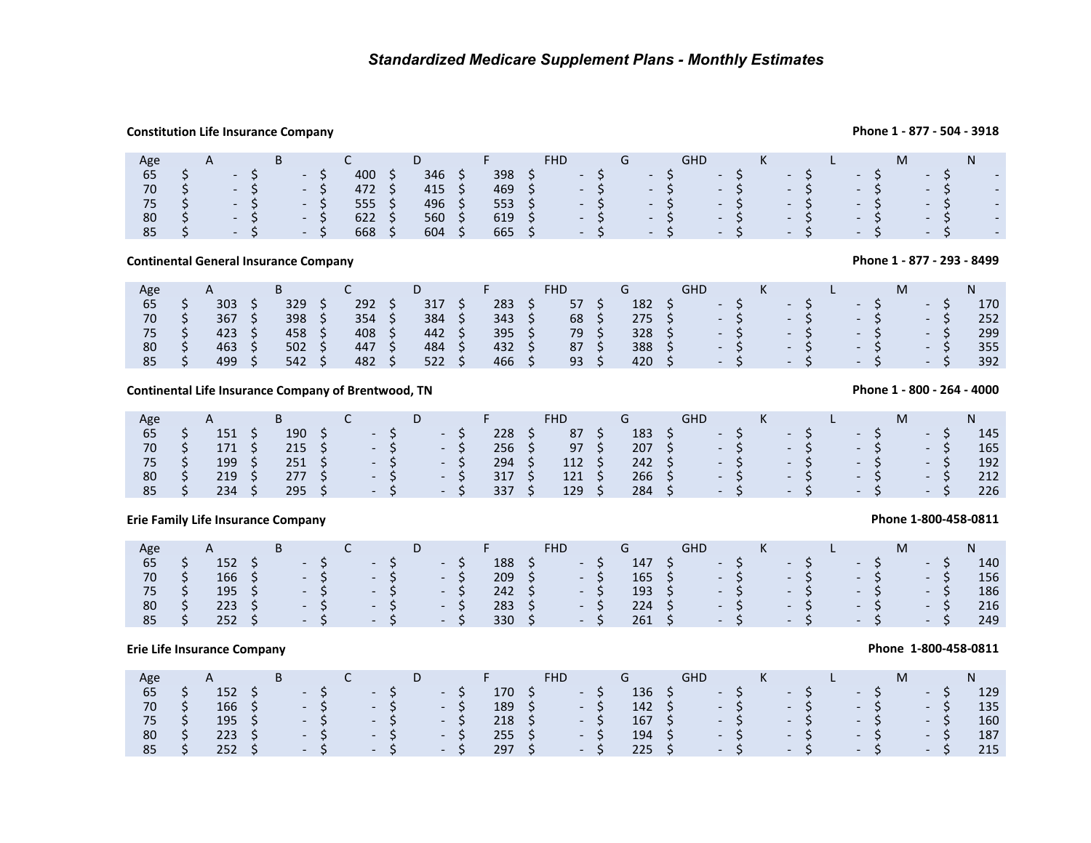## **Constitution Life Insurance Company**

## **Phone 1 - 877 - 504 - 3918**

| Age | A |                           | B |                  |      |     |     | D.  |     |                | <b>FHD</b> |                 |       | G |                   | GHD | K     |       |       | M |       |                             |
|-----|---|---------------------------|---|------------------|------|-----|-----|-----|-----|----------------|------------|-----------------|-------|---|-------------------|-----|-------|-------|-------|---|-------|-----------------------------|
| 65  |   | $-S$                      |   | $\sim$           |      | 400 | د   | 346 | . S | 398            | - 5        | $\sim$ - S      |       |   | $\sim$ - S $\sim$ |     | $- S$ | $-5$  | $-S$  |   | $-S$  | $\sim$                      |
| 70  |   | $-S$                      |   | $\sim$ $-$       |      | 472 |     | 415 | S.  | $469 \quad$ \$ |            | $\sim$ 5 $\sim$ |       |   | $- S$             |     | $-S$  | $- S$ | $- S$ |   | $- S$ | $\mathcal{L}_{\mathcal{A}}$ |
| 75  |   | $\sim$                    |   | $\sim$           |      | 555 | - S | 496 | - S | 553 \$         |            |                 | $-S$  |   | $- S$             |     | $-S$  | $- S$ | $-S$  |   | $-S$  | $\sim$                      |
| 80  |   | $- S$                     |   | $\sim$ 100 $\mu$ |      | 622 | - S | 560 | - S | $619 \quad $5$ |            |                 | $-57$ |   | $-S$              |     | $-S$  | $-S$  | $-S$  |   | $-S$  | $\mathcal{L}_{\mathcal{A}}$ |
| 85  |   | <b>The Contract State</b> |   |                  | $-S$ | 668 |     | 604 |     | $665 \quad$ \$ |            | $\sim$ 5 $\sim$ |       |   | $- S$             |     | $-S$  | $-S$  | $- S$ |   | $-S$  | $\mathcal{L}_{\mathcal{A}}$ |

## **Continental General Insurance Company**

| Age |     | в   | ֊   |     |     | <b>FHD</b> |     | GHD            |      | к |                |       |        |      | M |            |      |     |
|-----|-----|-----|-----|-----|-----|------------|-----|----------------|------|---|----------------|-------|--------|------|---|------------|------|-----|
| 65  | 303 | 329 | 292 | 317 | 283 | 57         | 182 | $\sim$ $\sim$  |      |   | $\sim$ $ \sim$ |       | $\sim$ |      |   | $\sim$ $-$ |      | 170 |
| 70  | 367 | 398 | 354 | 384 | 343 | 68         | 275 |                | $-S$ |   |                | $-5$  |        | - 57 |   | - 5        |      | 252 |
| 75  | 423 | 458 | 408 | 442 | 395 | 79         | 328 |                | $-S$ |   |                | $- S$ |        | $-S$ |   |            | $-S$ | 299 |
| 80  | 463 | 502 | 447 | 484 | 432 | 87         | 388 |                | $-S$ |   | New York       | - S - |        | $-S$ |   | $-S$       |      | 355 |
| 85  | 499 | 542 | 482 | 522 | 466 | 93         | 420 | <b>Service</b> |      |   | $\overline{a}$ |       |        | $-S$ |   | $-S$       |      | 392 |

## **Continental Life Insurance Company of Brentwood, TN**

| Age |                | $\mathsf{A}$ |               |  |                       | D. |      | <b>Contract Contract Contract Contract</b> |       | <b>FHD</b>     |    |               | GHD.                     |                 | K        |      | <u>and the second property</u> |      | M     |        |     |
|-----|----------------|--------------|---------------|--|-----------------------|----|------|--------------------------------------------|-------|----------------|----|---------------|--------------------------|-----------------|----------|------|--------------------------------|------|-------|--------|-----|
| 65  |                | 151          | 190           |  | $\sim$ - S            |    | $-5$ | 228                                        |       | 87             |    | $183 \quad 5$ |                          | $-5$            |          | $-5$ |                                |      | $-5$  | $-S$   | 145 |
| 70  | $S_{\rm{max}}$ | 171S         | $215 \quad S$ |  | $-5$ $-5$             |    |      | 256 <sup>5</sup>                           |       | 97 S           |    |               | $207 \quad $5 \qquad -5$ |                 |          |      | $-5$                           |      | $-5$  | $-S$   | 165 |
| 75  |                | 199          |               |  |                       |    |      | 294                                        | - S / | $112 \quad$ \$ |    | $242 \quad S$ |                          |                 | $-5$ $-$ |      | $-5$                           |      | $-5$  | $-S$   | 192 |
| 80  | S S            | 219          | 277S          |  | $\sim$ - S - S        |    |      | 317                                        | - S.  | 121            | S. | $266 \div$    |                          |                 | $-5$     |      | $-5$                           |      | $- S$ | $-S$   | 212 |
| 85  |                | 234          | $295 \quad 5$ |  | $\sim$ - S - S $\sim$ |    |      | 337                                        | S.    | 129            | S. | $284 \div$    |                          | $\sim$ S $\sim$ |          |      | $-5$                           | $-S$ |       | $- S/$ | 226 |

## **Erie Family Life Insurance Company**

| Age |                | B - | $\mathsf{C}$ | D <sub>D</sub>                                | $\mathsf{F}$ and $\mathsf{F}$ and $\mathsf{F}$ | FHD.                    | <b>G</b> Service Service Service Service Service Service Service Service Service Service Service Service Service Service Service Service Service Service Service Service Service Service Service Service Service Service Service Se | <b>GHD</b>                                                                       | $K$ $\overline{K}$ | <b>Contract Contract Contract Contract</b> |      |      | N   |
|-----|----------------|-----|--------------|-----------------------------------------------|------------------------------------------------|-------------------------|-------------------------------------------------------------------------------------------------------------------------------------------------------------------------------------------------------------------------------------|----------------------------------------------------------------------------------|--------------------|--------------------------------------------|------|------|-----|
| 65  | $152 \quad$    |     |              | $S = S$ $S = S$                               | $188 \quad$ \$                                 | $\sim$ $\sim$ S         |                                                                                                                                                                                                                                     | $147 \quad$ \$ - \$                                                              |                    | $-5$                                       | $-5$ | $-S$ | 140 |
| 70  | $166 \quad$ \$ |     |              | $S \rightarrow S \rightarrow S \rightarrow S$ |                                                | $209 \quad 5 \qquad -5$ |                                                                                                                                                                                                                                     | $165 \quad \zeta \qquad - \quad \zeta \qquad - \quad \zeta \qquad - \quad \zeta$ |                    |                                            |      | $-S$ | 156 |
| 75  | 195 \$         |     | $-5$ $-5$    | $-5$                                          | $242 \quad S$                                  | $- S$                   | $193 \quad$ \$                                                                                                                                                                                                                      |                                                                                  |                    | $-S$ $-S$ $-S$                             |      | $-S$ | 186 |
| 80  | $223 \quad 5$  |     | $-S$ - S -   | - S                                           | $283 \quad 5$                                  | $-S$                    | $224 \quad S$                                                                                                                                                                                                                       |                                                                                  |                    | $-S$ $-S$ $-S$                             |      | $-S$ | 216 |
| 85  | $252 \quad 5$  |     |              | $-5$ $-5$ $-5$                                | $330 \quad S$                                  | $-5$                    | $261 \quad$ \$                                                                                                                                                                                                                      |                                                                                  |                    | $-S$ $-S$ $-S$                             |      | $-S$ | 249 |

## **Erie Life Insurance Company**

| Age   | A             | <b>B</b> |  |                                          | <b>D</b> | <b>Committee of the American State</b> | <b>FHD</b>              |       | $\overline{\phantom{a}}$ . Given $\overline{\phantom{a}}$ | GHD.                                                                             |                    |  |  |       |       |     |
|-------|---------------|----------|--|------------------------------------------|----------|----------------------------------------|-------------------------|-------|-----------------------------------------------------------|----------------------------------------------------------------------------------|--------------------|--|--|-------|-------|-----|
| 65    |               |          |  | $152 \quad S \quad -S \quad -S \quad -S$ |          |                                        | $170 \quad$ \$ - \$     |       |                                                           | $136 \t5 \t-5 \t5 \t-5$                                                          |                    |  |  |       | $- S$ | 129 |
| 70    |               |          |  | $166 \quad 5 \quad -5 \quad -5 \quad -5$ |          |                                        | $189 \quad 5 \qquad -5$ |       |                                                           | $142 \quad \zeta \qquad - \zeta \qquad - \zeta \qquad - \zeta$                   |                    |  |  |       | $-S$  | 135 |
| 75 \$ | 195 \$        |          |  | $-S$ $-S$ $-S$                           |          | $218 \quad 5$                          |                         | $- S$ |                                                           | $167 \quad \zeta \qquad - \quad \zeta \qquad - \quad \zeta \qquad - \quad \zeta$ |                    |  |  |       | $- S$ | 160 |
| 80    | 223 S         |          |  | $-5$ $-5$ $-5$                           |          | $255 \quad$ \$                         |                         | - S   |                                                           | $194 \quad \zeta$                                                                | $-5$ $-5$ $-5$ $-$ |  |  |       | $- S$ | 187 |
| 85    | $252 \quad S$ |          |  | $S = S$ $S = S$                          |          | $297 \quad$ \$                         |                         | $-5$  | $225 \quad 5$                                             |                                                                                  | $-5$ $-5$          |  |  | $- S$ | $-S$  | 215 |

**Phone 1 - 877 - 293 - 8499**

## **Phone 1 - 800 - 264 - 4000**

## **Phone 1-800-458-0811**

## **Phone 1-800-458-0811**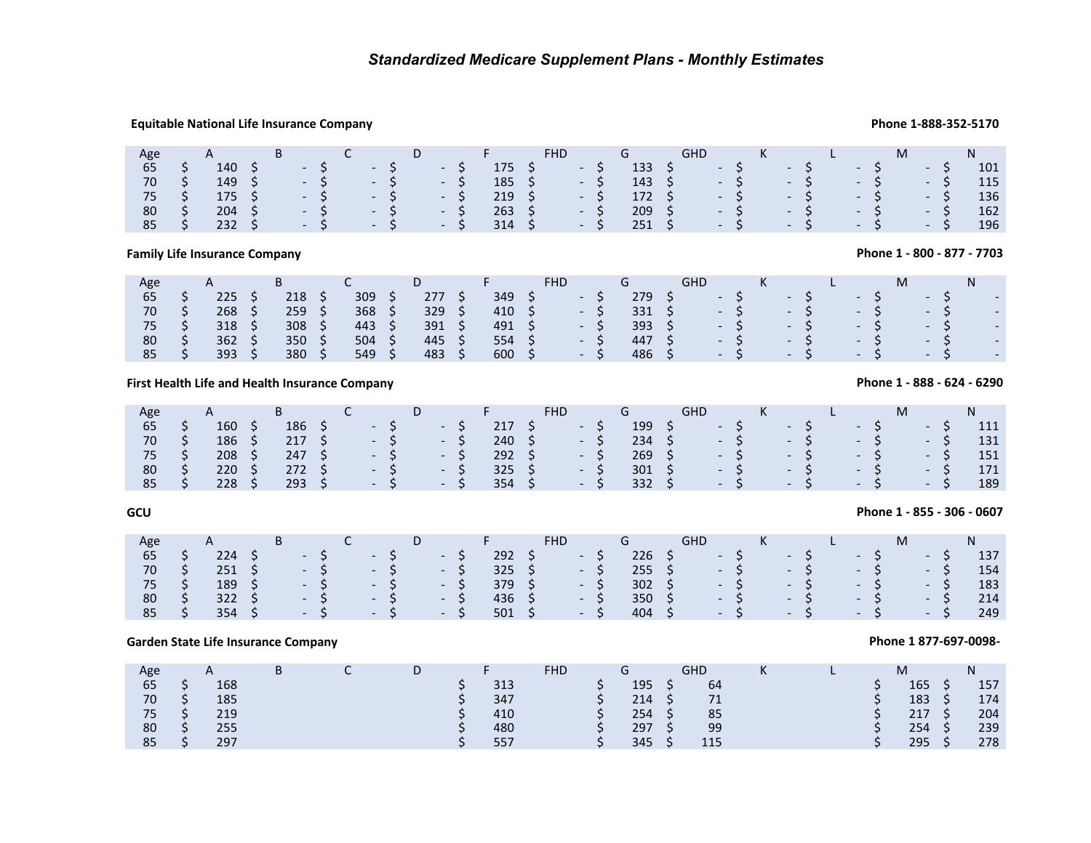## **Equitable National Life Insurance Company Phone 1-888-352-5170**

| Age           | A | B |  |                                          | D <sub>D</sub> | $\mathsf{F}$ . Fig. ( ), and ( | FHD.                               | $G \qquad \qquad$ | GHD                                                            | $\mathsf{K}$ and $\mathsf{K}$ and $\mathsf{K}$ and $\mathsf{K}$ and $\mathsf{K}$ and $\mathsf{K}$ and $\mathsf{K}$ and $\mathsf{K}$ and $\mathsf{K}$ and $\mathsf{K}$ and $\mathsf{K}$ and $\mathsf{K}$ and $\mathsf{K}$ and $\mathsf{K}$ and $\mathsf{K}$ and $\mathsf{K}$ and $\mathsf{K}$ and | <u>and the second second second second second second second second second second second second second second second second second second second second second second second second second second second second second second sec</u> |      |      |        | N.  |
|---------------|---|---|--|------------------------------------------|----------------|--------------------------------|------------------------------------|-------------------|----------------------------------------------------------------|--------------------------------------------------------------------------------------------------------------------------------------------------------------------------------------------------------------------------------------------------------------------------------------------------|--------------------------------------------------------------------------------------------------------------------------------------------------------------------------------------------------------------------------------------|------|------|--------|-----|
| 65            |   |   |  | $140 \quad 5 \quad -5 \quad -5 \quad -5$ |                |                                | $175 \quad 5 \quad - \quad 5$      |                   | $133 \quad 5$                                                  | $-5$ $-5$                                                                                                                                                                                                                                                                                        |                                                                                                                                                                                                                                      | $-5$ | $-S$ |        | 101 |
| 70            |   |   |  | $149 \quad 5 \quad -5 \quad -5 \quad -5$ |                |                                | $185 \quad 5 \quad -5$             |                   | $143 \quad \zeta \qquad - \zeta \qquad - \zeta \qquad - \zeta$ |                                                                                                                                                                                                                                                                                                  |                                                                                                                                                                                                                                      |      |      | $-5$   | 115 |
|               |   |   |  |                                          |                | $219 \quad 5$                  | $\sim$ 5 $\sim$                    | 172 \$            |                                                                |                                                                                                                                                                                                                                                                                                  | $-5$ $-5$ $-5$                                                                                                                                                                                                                       |      |      | $-5$   | 136 |
| 80            |   |   |  | $204$ \$ - \$ - \$ - \$                  |                |                                | $263 \quad 5 \quad -5$             |                   | $209 \div$                                                     |                                                                                                                                                                                                                                                                                                  |                                                                                                                                                                                                                                      |      |      | $-5$   | 162 |
| $85 \quad$ \$ |   |   |  | $232 \quad 5 \quad -5 \quad -5 \quad -5$ |                | 314 S                          | $\sim$ $\sim$ $\sim$ $\sim$ $\sim$ | $251 \quad $5$    |                                                                | $-5$ $-5$                                                                                                                                                                                                                                                                                        |                                                                                                                                                                                                                                      | $-5$ |      | $- S/$ | 196 |

**Family Life Insurance Company** 

| Age | $\sqrt{ }$ | ╍   |     |     |     | FHD                      |     | $\sim$ 1 In<br>שחט       |  |                          |  |                          | IVI |                          |  |   |
|-----|------------|-----|-----|-----|-----|--------------------------|-----|--------------------------|--|--------------------------|--|--------------------------|-----|--------------------------|--|---|
| 65  | 225        | 218 | 309 | 277 | 349 |                          | 279 |                          |  |                          |  | $\overline{\phantom{a}}$ |     | $\overline{\phantom{0}}$ |  |   |
| 70  | 268        | 259 | 368 | 329 | 410 | $\overline{\phantom{0}}$ | 331 | $\overline{\phantom{0}}$ |  | $\overline{\phantom{0}}$ |  | $\overline{\phantom{0}}$ |     | $-$                      |  | - |
| 75  | 318        | 308 | 443 | 391 | 491 | $\overline{\phantom{0}}$ | 393 | $\overline{\phantom{0}}$ |  | $\overline{\phantom{0}}$ |  | $\overline{\phantom{0}}$ |     | $\overline{\phantom{0}}$ |  |   |
| 80  | 362        | 350 | 504 | 445 | 554 | $\overline{\phantom{a}}$ | 447 | $\overline{\phantom{0}}$ |  | $\overline{\phantom{0}}$ |  | $\overline{\phantom{0}}$ |     | $\overline{\phantom{0}}$ |  | - |
| 85  | 393        | 380 | 549 | 483 | 600 | $\overline{\phantom{0}}$ | 486 | $\overline{\phantom{0}}$ |  | $\overline{\phantom{0}}$ |  | $\overline{\phantom{0}}$ |     | $\overline{\phantom{0}}$ |  |   |
|     |            |     |     |     |     |                          |     |                          |  |                          |  |                          |     |                          |  |   |

## **First Health Life and Health Insurance Company**

| Age |     | B   |  |                      |                      |               |        |      |                |     |      |      |       |               |     |
|-----|-----|-----|--|----------------------|----------------------|---------------|--------|------|----------------|-----|------|------|-------|---------------|-----|
| 65  | 160 | 186 |  | $-5$                 | $\sim$ $ \sim$       | 217           | $\sim$ |      | 199            |     | $-S$ | $-S$ | $-S$  | $\sim$ $\sim$ | 111 |
| 70  | 186 | 217 |  | $- S$                | S.<br><b>Service</b> | $240 \quad$ S |        | $-5$ | $234 \quad$ \$ |     | $-5$ | $-S$ | $- S$ | $-S$          | 131 |
| 75  | 208 | 247 |  | $-S$                 | $-S$                 | 292           | $\sim$ |      | 269            |     | $-S$ | $-S$ | - S   | $-S$          | 151 |
| 80  | 220 | 272 |  | $-5$                 | - 5                  | 325           | NH N   |      | 301            | S   | $-S$ | $-S$ | $-S$  | $-S$          | 171 |
| 85  | 228 | 293 |  | $\sim$ $\sim$ $\sim$ | - 51                 | 354           | $-S$   |      | 332            | - S | $-S$ | $-S$ | $-S$  | $-S$          | 189 |

## **GCU**

## **Phone 1 - 855 - 306 - 0607**

**Phone 1 877-697-0098-** 

| Age |               |                             |      |          |      |       |                |    |                |                | <b>GHD</b> |      | K    |      |       |       |            |     |
|-----|---------------|-----------------------------|------|----------|------|-------|----------------|----|----------------|----------------|------------|------|------|------|-------|-------|------------|-----|
| 65  | $224$ \$      | $-S$                        |      | $\sim$ S | $-5$ |       | $292 \quad$ \$ |    | $\sim$ $ \sim$ | $226 \pm 5$    |            | $-5$ |      | $-5$ |       | - S   | $\sim 100$ | 137 |
| 70  | $251 \quad S$ |                             | $-5$ | $-S$     | $-5$ |       | $325 \quad 5$  |    | $-S$           | $255 \quad 5$  |            |      | $-S$ |      | $- S$ | $- S$ | $-S$       | 154 |
| 75  | $189 \quad 5$ | $-S$                        |      | $-S$     |      | $-S1$ | 379            | S. | $-S$           | $302 \quad$ \$ |            | $-S$ |      |      | $- S$ | - S   | $-S$       | 183 |
| 80  | $322 \quad 5$ | $- S/$                      |      | $- S$    |      | $-S$  | 436 \$         |    | $-S$           | $350 \quad S$  |            | $-S$ |      | $-S$ |       | $-S$  | $-S$       | 214 |
| 85  | 354           | $\sim$ $\sim$ $\sim$ $\sim$ |      | $-5$     |      | $-S$  | $501 \quad$ \$ |    | $-S$           | 404 S          | $-5$       |      |      | $-S$ |       | $-S$  | $-S$       | 249 |

## **Garden State Life Insurance Company**

| Age |                      |     | в |  |     | <b>FHD</b> |     | <b>GHD</b> | IX. |  | M   |               | N   |
|-----|----------------------|-----|---|--|-----|------------|-----|------------|-----|--|-----|---------------|-----|
| 65  | ت                    | 168 |   |  | 313 |            | 195 | 64         |     |  | 165 | ¢             | 157 |
| 70  | ت                    | 185 |   |  | 347 |            | 214 | 71         |     |  | 183 |               | 174 |
| 75  | ت                    | 219 |   |  | 410 |            | 254 | 85         |     |  | 217 | S.            | 204 |
| 80  | <sup>&lt;</sup><br>ت | 255 |   |  | 480 |            | 297 | 99         |     |  | 254 | S.            | 239 |
| 85  | ¢<br>◡               | 297 |   |  | 557 |            | 345 | 115        |     |  | 295 | $\sim$ $\sim$ | 278 |

## **Phone 1 - 888 - 624 - 6290**

**Phone 1 - 800 - 877 - 7703**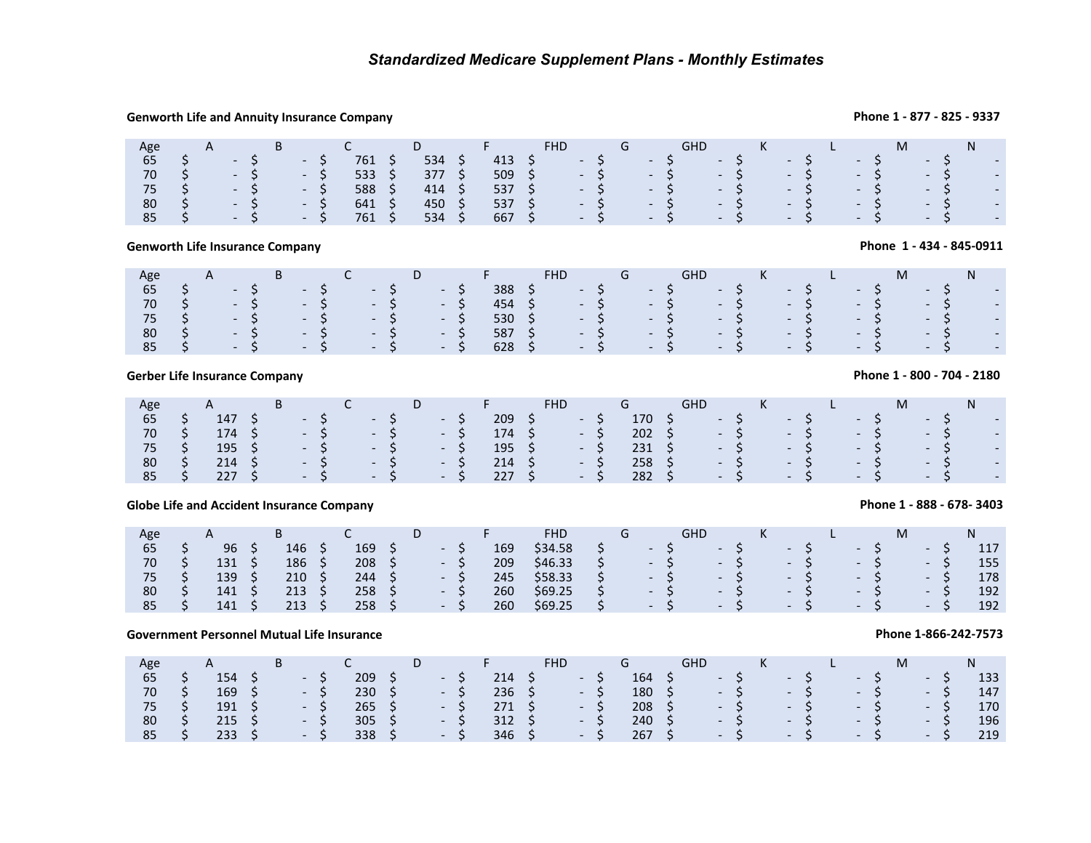## **Genworth Life and Annuity Insurance Company**

## **Phone 1 - 877 - 825 - 9337**

| Age                                          | $\mathsf{A}$                    | <b>B</b> |      | $\overline{C}$ and $\overline{C}$ and $\overline{C}$ and $\overline{C}$ |          | D F | FHD G                                                                                                                                                                                                     |  |  |  | GHD K L |  |      | M <sub>ar</sub> | N.       |  |
|----------------------------------------------|---------------------------------|----------|------|-------------------------------------------------------------------------|----------|-----|-----------------------------------------------------------------------------------------------------------------------------------------------------------------------------------------------------------|--|--|--|---------|--|------|-----------------|----------|--|
| 65                                           | $S \rightarrow S$               |          | $-S$ | $761 \quad $5$                                                          | $534$ \$ |     | $413 \quad 5 \quad -5 \quad -5 \quad -5 \quad -5 \quad -5$                                                                                                                                                |  |  |  |         |  | $-5$ |                 | $-5$ $-$ |  |
| 70                                           | $S \rightarrow S \rightarrow S$ |          |      | 533 \$                                                                  | 377 \$   |     | $509 \quad \xi \qquad - \quad \xi \qquad - \quad \xi \qquad - \quad \xi \qquad - \quad \xi \qquad - \quad \xi \qquad - \quad \xi \qquad - \quad \xi$                                                      |  |  |  |         |  |      |                 |          |  |
| 75                                           | S - S - S                       |          |      | 588 \$                                                                  | 414 S    |     | 537 $\begin{matrix} 6 & -5 \\ -5 & -5 \end{matrix}$ - $\begin{matrix} 6 & -5 \\ -5 & -5 \end{matrix}$ - $\begin{matrix} 6 & -5 \\ -5 & -5 \end{matrix}$ - $\begin{matrix} 6 & -5 \\ -5 & -5 \end{matrix}$ |  |  |  |         |  |      |                 |          |  |
| 80                                           | S – S – S                       |          |      | 641 \$                                                                  | 450 \$   |     | 537 $\begin{matrix} 6 & -5 \\ -5 & -5 \end{matrix}$ - $\begin{matrix} 6 & -5 \\ -5 & -5 \end{matrix}$ - $\begin{matrix} 6 & -5 \\ -5 & -5 \end{matrix}$ - $\begin{matrix} 6 & -5 \\ -5 & -5 \end{matrix}$ |  |  |  |         |  |      |                 |          |  |
| $85 \quad S \quad - \quad S \quad - \quad S$ |                                 |          |      | 761 S                                                                   | 534 \$   |     | 667 \$ - \$ - \$ - \$ - \$ - \$ - \$ -                                                                                                                                                                    |  |  |  |         |  |      |                 |          |  |

## **Genworth Life Insurance Company**

### Age 65AB<br>  $5 - 5$ <br>  $5 - 5$ <br>  $5 - 5$ <br>  $5 - 5$ <br>  $5 - 5$ <br>  $5 - 5$ D $5$   $388$   $5$ <br>  $5$   $454$   $5$ <br>  $5$   $530$   $5$ <br>  $5$   $587$   $5$ G GHD <sup>K</sup> <sup>L</sup> <sup>M</sup>N \$ - \$ - \$ - \$ - \$ 388 \$ - \$ - \$ - \$ - \$ - \$ - \$ - <sup>70</sup> \$ - \$ - \$ - \$ - \$ 454 \$ - \$ - \$ - \$ - \$ - \$ - \$ - <sup>75</sup>- \$ - \$ - \$ - \$ - \$ 530 \$ - \$ - \$ - \$ - \$ - \$ - \$ - \$ - \$ - \$<br>80 \$ - \$ - \$ - \$ 587 \$ - \$ - \$ - \$ - \$ - \$ - \$ - \$ - \$ - \$ - \$ - \$ - \$ 587 \$ - \$ - \$ - \$ - \$ - \$ - \$ - \$ - \$ - \$<br>85 \$ - \$ - \$ - \$ 628 \$ - \$ - \$ - \$ - \$ - \$ - \$ - \$  $5$   $5$   $5$   $5$   $5$   $5$   $5$   $5$   $5$   $5$   $5$   $5$   $5$   $5$   $5$   $5$   $5$   $5$   $5$   $5$   $5$

## **Gerber Life Insurance Company**

| Age |                | B |                                   |                      |                      |      |                  | <b>FHD</b> | $G \rightarrow$ |                 | <b>GHD</b>             |      | K    |       |      |      |       |                  |
|-----|----------------|---|-----------------------------------|----------------------|----------------------|------|------------------|------------|-----------------|-----------------|------------------------|------|------|-------|------|------|-------|------------------|
| 65  | 147            |   | the company of the company of     | $-5$                 |                      | - 5  | 209              | $-S$       | 170 \$          |                 |                        | - S  | $-5$ |       |      | $-S$ | - 5   | e e s            |
| 70  | 174 \$         |   | $\blacksquare$ - S $\blacksquare$ | $\sim$ $\sim$ S      |                      | $-5$ | $174 \quad S$    | $-5$       | $202 \quad 5$   |                 |                        | $-5$ | $-5$ |       |      | $-S$ | - 5   | $\sim 100$       |
| 75  | $195 \quad$ \$ |   |                                   | $-S$ - S             |                      | $-5$ | $195 \quad$ \$   | $-S$       | $231 \quad $5$  |                 | $  \sim$ $\sim$ $\sim$ |      |      |       | $-5$ | $-S$ | - S   | $\sim$           |
| 80  | $214 \quad S$  |   | $-S$                              | $\sim$ $\sim$ S      |                      | $-5$ | 214 <sub>5</sub> | $-S$       | 258             | $\sim$ S $\sim$ | $-S$                   |      |      | $-S$  |      | $-S$ | $- S$ | $\sim$ $ \sim$   |
| 85  | 227S           |   | $-S$                              | $\sim$ $\sim$ $\sim$ | $\sim$ $\sim$ $\sim$ |      | 227S             | $-5$       | $282 \quad S$   |                 |                        | $-S$ |      | $- S$ |      | $-S$ | $-S$  | $\sim$ 100 $\pm$ |

## **Globe Life and Accident Insurance Company**

| Age<br>$\mathbf{\mathsf{m}}$<br>◡ |     | <b>FHD</b>                          | $\sim$ 1 $\sim$<br>unv   | IN.                                                  | IVI                      |     |
|-----------------------------------|-----|-------------------------------------|--------------------------|------------------------------------------------------|--------------------------|-----|
| 169<br>146<br>96<br>65            | 169 | \$34.58<br>$\overline{\phantom{0}}$ | $\overline{\phantom{0}}$ | $\overline{\phantom{0}}$<br>$\overline{\phantom{0}}$ |                          | 117 |
| 208<br>70<br>186<br>131           | 209 | \$46.33<br>$\overline{\phantom{0}}$ | $\overline{\phantom{0}}$ | $\overline{\phantom{0}}$<br>$\overline{\phantom{0}}$ | $\overline{\phantom{0}}$ | 155 |
| 139<br>210<br>244                 | 245 | \$58.33<br>$\overline{\phantom{0}}$ | $\overline{\phantom{0}}$ | $\overline{\phantom{0}}$<br>$\overline{\phantom{0}}$ | $\overline{\phantom{0}}$ | 178 |
| 258<br>213<br>80<br>141           | 260 | \$69.25<br>$\overline{\phantom{0}}$ | $\overline{\phantom{a}}$ | $\overline{\phantom{0}}$<br>$\overline{\phantom{0}}$ | $-$                      | 192 |
| 258<br>213<br>141<br>85           | 260 | \$69.25<br>$\overline{\phantom{0}}$ | $\sim$                   | $\overline{\phantom{0}}$<br>$\sim$                   | $\overline{\phantom{0}}$ | 192 |

## **Government Personnel Mutual Life Insurance**

| Age |              |                      | B |       |                |     | D |                        | 20 H H |                  |                 |                 |                  |                | GHD |           | K |       |  |       |      |      |     |
|-----|--------------|----------------------|---|-------|----------------|-----|---|------------------------|--------|------------------|-----------------|-----------------|------------------|----------------|-----|-----------|---|-------|--|-------|------|------|-----|
| 65  |              | 154                  |   | $- S$ | 209            |     |   | $\sim$ $-$             |        | 214              |                 | $\sim$ - $\sim$ |                  | 164            |     | $-5$      |   | $-57$ |  | - 5-  | - ১  |      | 133 |
| 70  | <sub>S</sub> | $169 \quad \text{S}$ |   | $-S$  | 230            | - 5 |   | - S                    |        | $236 \quad 5$    |                 |                 | $-S$             | $180 \quad 5$  |     | $-$ S $/$ |   | $-S$  |  | $- S$ | - 5  |      | 147 |
| 75  |              | $191 \quad$ \$       |   | $-S$  | $265 \quad$ \$ |     |   | $\sim$ - $\sim$ $\sim$ |        | 271S             |                 |                 | $-S$             | $208 \quad $$  |     | $- S$     |   | $-S$  |  | $-S$  |      | $-5$ | 170 |
| 80  |              | $215 \quad 5$        |   | $-S$  | 305            | - 5 |   | $\sim$ - $\sim$ 5.     |        | 312              | $\sim$ S $\sim$ |                 | $-S$             | 240            |     | $-S$      |   | $-S$  |  | $-S$  |      | $-5$ | 196 |
| 85  |              | $233 \quad 5$        |   | $-S$  | 338            | - 5 |   | $-5$                   |        | 346 <sup>5</sup> |                 |                 | $\sim$ 100 $\mu$ | $267 \quad$ \$ |     | $- S$     |   | $-S$  |  | $-S$  | $-S$ |      | 219 |

## **Phone 1 - 800 - 704 - 2180**

**Phone 1 - 434 - 845-0911**

**Phone 1 - 888 - 678- 3403**

### **Phone 1-866-242-7573**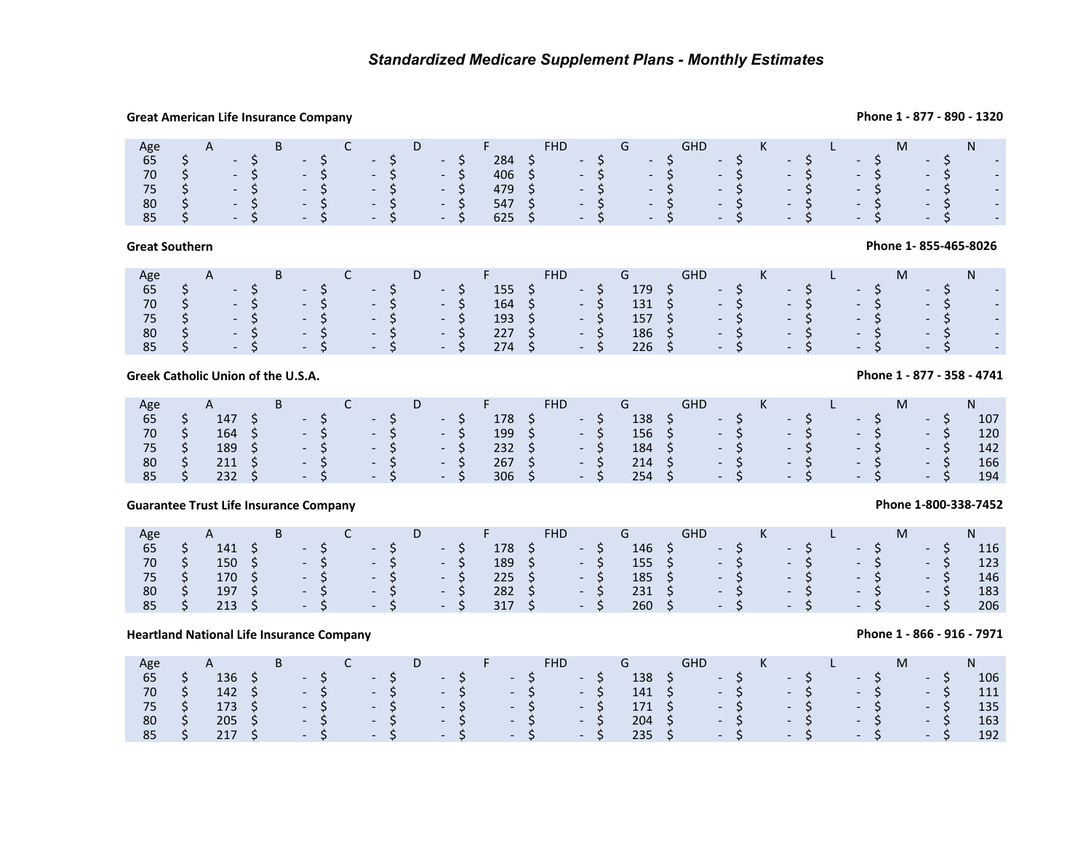## **Great American Life Insurance Company**

## **Phone 1 - 877 - 890 - 1320**

| Age                                                                          |                                                                              |  | B C |  |  | $D \longrightarrow F$                  | FHD G /                                                                                                                                              |  |  | GHD K L |  |  |  |  |  | M N |  |
|------------------------------------------------------------------------------|------------------------------------------------------------------------------|--|-----|--|--|----------------------------------------|------------------------------------------------------------------------------------------------------------------------------------------------------|--|--|---------|--|--|--|--|--|-----|--|
| 65                                                                           |                                                                              |  |     |  |  |                                        | $284$ \$ $-$ \$ $-$ \$ $-$ \$ $-$ \$ $-$ \$ $-$ \$ $-$                                                                                               |  |  |         |  |  |  |  |  |     |  |
|                                                                              | $70 \quad \zeta \qquad - \zeta \qquad - \zeta \qquad - \zeta \qquad - \zeta$ |  |     |  |  |                                        | $406 \quad \xi \qquad - \quad \xi \qquad - \quad \xi \qquad - \quad \xi \qquad - \quad \xi \qquad - \quad \xi \qquad - \quad \xi \qquad - \quad \xi$ |  |  |         |  |  |  |  |  |     |  |
| $75 \quad \zeta \qquad - \zeta \qquad - \zeta \qquad - \zeta \qquad - \zeta$ |                                                                              |  |     |  |  | 479 \$ - \$ - \$ - \$ - \$ - \$ - \$ - |                                                                                                                                                      |  |  |         |  |  |  |  |  |     |  |
|                                                                              | $80 \quad \zeta \qquad - \zeta \qquad - \zeta \qquad - \zeta \qquad - \zeta$ |  |     |  |  |                                        | $547$ \$ $-$ \$ $-$ \$ $-$ \$ $-$ \$ $-$ \$ $-$ \$ $-$                                                                                               |  |  |         |  |  |  |  |  |     |  |
|                                                                              |                                                                              |  |     |  |  |                                        |                                                                                                                                                      |  |  |         |  |  |  |  |  |     |  |

## **Great Southern**

## **Phone 1- 855-465-8026**

| Age |  |  |  | B C D F                                                                      |        | FHD G GHD K L                                    |                |                                                 |           |      |  |                 |                          |  |
|-----|--|--|--|------------------------------------------------------------------------------|--------|--------------------------------------------------|----------------|-------------------------------------------------|-----------|------|--|-----------------|--------------------------|--|
|     |  |  |  | $65 \quad \zeta \qquad - \zeta \qquad - \zeta \qquad - \zeta$                |        | $155 \div - \div$                                |                | $179 \quad \zeta \qquad - \zeta \qquad - \zeta$ |           |      |  | $-5$            | $-5$ $-$                 |  |
|     |  |  |  | 70 \$ - \$ - \$ - \$ - \$                                                    |        | $164 \quad \textsf{S} \qquad - \quad \textsf{S}$ |                |                                                 |           |      |  |                 |                          |  |
|     |  |  |  | $75 \quad \zeta \qquad - \zeta \qquad - \zeta \qquad - \zeta \qquad - \zeta$ | 193 \$ | $-5/$                                            | $157 \quad$ \$ |                                                 | $-5$ $-5$ |      |  | $\sim$ S $\sim$ | $-5$ $-$                 |  |
|     |  |  |  | $80 \quad \zeta \qquad - \zeta \qquad - \zeta \qquad - \zeta \qquad - \zeta$ | 227 \$ | $-5$                                             | 186 \$         |                                                 | $-5$      | $-5$ |  | $\sim$ S $\sim$ | $-5$ $-$                 |  |
|     |  |  |  | $85 \quad \zeta \qquad - \zeta \qquad - \zeta \qquad - \zeta \qquad - \zeta$ | 274 \$ | $-5$                                             | $226 \div$     |                                                 |           |      |  |                 | $-5$ $-5$ $-5$ $-5$ $-5$ |  |
|     |  |  |  |                                                                              |        |                                                  |                |                                                 |           |      |  |                 |                          |  |

## **Greek Catholic Union of the U.S.A.**

| Age           | A                                                                                                                                                                        | <b>B</b> |                                                               |  |  | <b>The Common Property Associate</b> | FHD.                           |       | $\sqrt{a^2+a^2}$ and $\sqrt{a^2+a^2}$ | <b>GHD</b>                                | and the K total L and L and L and L |                                                                                  | M and the set of the set of the set of the set of the set of the set of the set of the set of the set of the set of the set of the set of the set of the set of the set of the set of the set of the set of the set of the set |       |     |
|---------------|--------------------------------------------------------------------------------------------------------------------------------------------------------------------------|----------|---------------------------------------------------------------|--|--|--------------------------------------|--------------------------------|-------|---------------------------------------|-------------------------------------------|-------------------------------------|----------------------------------------------------------------------------------|--------------------------------------------------------------------------------------------------------------------------------------------------------------------------------------------------------------------------------|-------|-----|
| 65            |                                                                                                                                                                          |          |                                                               |  |  |                                      | $178 \quad 5 \quad - \quad 5/$ |       |                                       | $138 \quad 5 \quad -5 \quad -5 \quad 138$ |                                     |                                                                                  | $-5$                                                                                                                                                                                                                           | $-5$  | 107 |
| 70            |                                                                                                                                                                          |          | $164 \quad S \quad - \quad S \quad - \quad S \quad - \quad S$ |  |  |                                      | $199 \quad 5 \quad -5$         |       |                                       |                                           |                                     | $156 \quad \zeta \qquad - \quad \zeta \qquad - \quad \zeta \qquad - \quad \zeta$ |                                                                                                                                                                                                                                | $-5$  | 120 |
| 75 \$         |                                                                                                                                                                          |          | $189 \quad 5 \quad -5 \quad -5 \quad -5$                      |  |  | $232 \quad 5$                        |                                | $-5$  | $184 \quad$ \$                        |                                           |                                     | $-5$ $-5$ $-5$                                                                   |                                                                                                                                                                                                                                | $-5$  | 142 |
| 80            | $\begin{array}{ccccccccccccc}\n\text{\textbf{S}} & & 211 & \text{\textbf{S}} & & - & \text{\textbf{S}} & & - & \text{\textbf{S}} & & - & \text{\textbf{S}}\n\end{array}$ |          |                                                               |  |  |                                      | $267 \quad $5$                 | $-5/$ | $214 \quad 5$                         |                                           |                                     | $-5$ $-5$ $-5$                                                                   |                                                                                                                                                                                                                                | $-5$  | 166 |
| $85 \quad$ \$ |                                                                                                                                                                          |          | $232 \quad 5 \quad -5 \quad -5 \quad -5$                      |  |  |                                      | $306 \quad 5 \quad -5$         |       | $254 \quad $5$                        |                                           | $-$ \$ $-$ \$                       |                                                                                  | $-5$                                                                                                                                                                                                                           | $- S$ | 194 |

## **Guarantee Trust Life Insurance Company**

| Age |                | B |       |                              | D     |                |                    |                |       | K |       |      |       |     |
|-----|----------------|---|-------|------------------------------|-------|----------------|--------------------|----------------|-------|---|-------|------|-------|-----|
| 65  | 141            |   | $-S$  | <b><i>Contract State</i></b> | - 5   | 178            | <b>START START</b> | $146 \quad$ \$ | $-S$  |   | $-57$ | $-S$ | - ১   | 116 |
| 70  | $150 \quad$ \$ |   | $-5$  | $- S$                        | - S   | 189            | $-S$               | 155 S          | $- S$ |   | $- S$ | $-S$ | $-S$  | 123 |
| 75  | 170S           |   | $-S$  | $\sim$ $\sim$ S              | - S   | $225 \quad$ \$ | $-S$               | $185 \quad 5$  | $-S$  |   | $- S$ | $-S$ | $-S$  | 146 |
| 80  | 197            |   | $-5$  | $\sim$ $\sim$ S              | $-S$  | 282            | $-S$               | 231            | $-S$  |   | $-S$  | $-S$ | $- S$ | 183 |
| 85  | 213            |   | $- S$ | $-5$                         | $- S$ | 317 \$         | $-S$               | $260 \pm 5$    | $-5$  |   | $-5$  | $-S$ | $-S$  | 206 |

## **Heartland National Life Insurance Company**

| Age           | A B C D F                                                              |  |  |                                                                                              |  |  |  | FHD G                                                      | GHD K L                                           |  |  |  | M <sub>ar</sub> | $N$ and $N$                    |
|---------------|------------------------------------------------------------------------|--|--|----------------------------------------------------------------------------------------------|--|--|--|------------------------------------------------------------|---------------------------------------------------|--|--|--|-----------------|--------------------------------|
| $65 \quad$ \$ |                                                                        |  |  | $136 \quad \zeta \qquad - \zeta \qquad - \zeta \qquad - \zeta \qquad - \zeta \qquad - \zeta$ |  |  |  |                                                            | $138 \quad 5 \quad -5 \quad -5 \quad -5 \quad -5$ |  |  |  |                 | 106                            |
|               | $70 \quad \xi$ $142 \quad \xi$ - $\xi$ - $\xi$ - $\xi$ - $\xi$ - $\xi$ |  |  |                                                                                              |  |  |  |                                                            |                                                   |  |  |  |                 | 141 \$ - \$ - \$ - \$ - \$ 111 |
|               |                                                                        |  |  |                                                                                              |  |  |  |                                                            |                                                   |  |  |  |                 | 135                            |
|               |                                                                        |  |  |                                                                                              |  |  |  | 80 \$205 \$ - \$ - \$ - \$ - \$ 204 \$ - \$ - \$ - \$ - \$ |                                                   |  |  |  |                 | 163                            |
|               |                                                                        |  |  |                                                                                              |  |  |  |                                                            |                                                   |  |  |  |                 | -192                           |

## **Phone 1 - 877 - 358 - 4741**

# **Phone 1-800-338-7452**

**Phone 1 - 866 - 916 - 7971**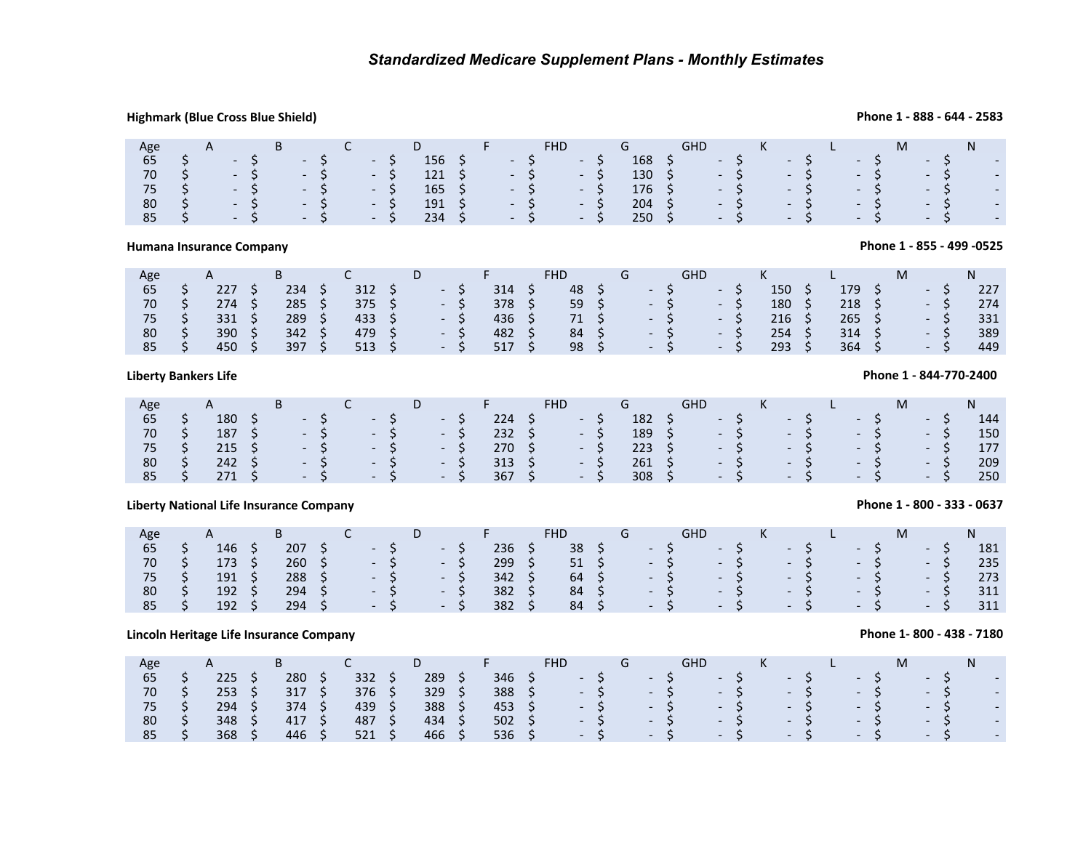## **Highmark (Blue Cross Blue Shield)**

### Age 65A $S = S$ <br>  $S = S$ <br>  $S = S$ <br>  $S = S$ <br>  $S = S$ <br>  $S = S$ <br>  $S = S$ D <sup>F</sup> FHD G GHD <sup>K</sup> <sup>L</sup> <sup>M</sup>N \$ - \$ - \$ - \$ 156 \$ - \$ - \$ 168 \$ - \$ - \$ - \$ - \$ - <sup>70</sup> \$ - \$ - \$ - \$ 121 \$ - \$ - \$ 130 \$ - \$ - \$ - \$ - \$ - <sup>75</sup>75 \$ -\$ -\$ -\$ 165 \$ -\$ -\$ 176 \$ -\$ -\$ -\$ -\$ -<br>80 \$ -\$ -\$ -\$ 191 \$ -\$ -\$ 204 \$ -\$ -\$ -\$ -\$ -\$ \$ - \$ - \$ - \$ 191 \$ - \$ - \$ 204 \$ - \$ - \$ - \$ - \$ - <sup>85</sup>\$ - \$ - \$ - \$ 234 \$ - \$ - \$ 250 \$ - \$ - \$ - \$ - \$ -

## **Humana Insurance Company**

| Age |   |     | ப   | ֊   | ◡                        |     | <b>FHD</b> |                          | GHD |                          |     |     | IVI |                          |     |
|-----|---|-----|-----|-----|--------------------------|-----|------------|--------------------------|-----|--------------------------|-----|-----|-----|--------------------------|-----|
| 65  |   | 227 | 234 | 312 |                          | 314 | 48         | $\overline{\phantom{0}}$ |     | $\overline{\phantom{0}}$ | 150 | 179 |     | $\overline{\phantom{0}}$ | 227 |
| 70  |   | 274 | 285 | 375 | $\overline{\phantom{0}}$ | 378 | 59         | $\overline{\phantom{0}}$ |     | $\overline{\phantom{0}}$ | 180 | 218 |     | $\overline{\phantom{0}}$ | 274 |
| 75  |   | 331 | 289 | 433 | $\overline{\phantom{0}}$ | 436 | 71         | $\overline{\phantom{0}}$ |     | $\overline{\phantom{0}}$ | 216 | 265 |     | $\overline{\phantom{0}}$ | 331 |
| 80  | ັ | 390 | 342 | 479 |                          | 482 | 84         | $\overline{\phantom{0}}$ |     | $\overline{\phantom{0}}$ | 254 | 314 |     | $-$                      | 389 |
| 85  |   | 450 | 397 | 513 | $\overline{\phantom{0}}$ | 517 | 98         | $\overline{\phantom{0}}$ |     | $\overline{\phantom{0}}$ | 293 | 364 |     | $\sim$                   | 449 |
|     |   |     |     |     |                          |     |            |                          |     |                          |     |     |     |                          |     |

## **Liberty Bankers Life**

|                                       |                        | Highmark (Blue Cross Blue Shield)               |                                             |                                                                                                         |                                     |                                                                                                                   |                            |                                                                                       |                                      |                                       |                            |                                                                                                                             |                                                                 |                                                           |                                                                       |            |                                                                        |                                                                                           |                                      |                                                                           |                                 |                                                                           |   |                                                         |                                         | Phone 1 - 888 - 644 - 2583           |
|---------------------------------------|------------------------|-------------------------------------------------|---------------------------------------------|---------------------------------------------------------------------------------------------------------|-------------------------------------|-------------------------------------------------------------------------------------------------------------------|----------------------------|---------------------------------------------------------------------------------------|--------------------------------------|---------------------------------------|----------------------------|-----------------------------------------------------------------------------------------------------------------------------|-----------------------------------------------------------------|-----------------------------------------------------------|-----------------------------------------------------------------------|------------|------------------------------------------------------------------------|-------------------------------------------------------------------------------------------|--------------------------------------|---------------------------------------------------------------------------|---------------------------------|---------------------------------------------------------------------------|---|---------------------------------------------------------|-----------------------------------------|--------------------------------------|
| Age<br>65<br>70<br>75<br>80<br>85     | やややや<br>\$             | A<br>$\sim$<br>$\sim$                           | \$<br>\$<br>\$                              | B<br>$\overline{\phantom{a}}$<br>$\sim$<br>$\sim$                                                       | \$<br>\$<br>\$<br>\$                | $\mathsf{C}$<br>$\overline{\phantom{a}}$<br>$\overline{\phantom{a}}$<br>$\overline{\phantom{a}}$                  | \$<br>\$<br>\$<br>\$       | D<br>156<br>121<br>165<br>191<br>234                                                  | \$<br>\$<br>\$<br>\$<br>\$           | F                                     | \$<br>\$<br>\$<br>\$<br>Ś  | <b>FHD</b><br>$\overline{\phantom{a}}$<br>$\overline{\phantom{a}}$<br>$\overline{\phantom{a}}$<br>$\mathbb{L}^{\mathbb{Z}}$ | \$<br>\$<br>\$<br>\$<br>$\mathsf{\dot{S}}$                      | G<br>168<br>130<br>176<br>204<br>250                      | \$<br>\$<br>\$<br>\$<br>\$                                            | <b>GHD</b> | $\blacksquare$<br>$\overline{\phantom{a}}$<br>$\overline{a}$           | $\begin{array}{c}\n\zeta \\ \zeta\n\end{array}$<br>\$<br>\$<br>\$                         | K<br>$\overline{a}$                  | $5$<br>$5$<br>\$<br>\$<br>\$                                              | L                               | $\begin{array}{c} \texttt{S} \\ \texttt{S} \end{array}$<br>\$<br>\$<br>\$ | M |                                                         | \$<br>$\overline{\xi}$<br>\$<br>\$<br>Ś | N                                    |
|                                       |                        | <b>Humana Insurance Company</b>                 |                                             |                                                                                                         |                                     |                                                                                                                   |                            |                                                                                       |                                      |                                       |                            |                                                                                                                             |                                                                 |                                                           |                                                                       |            |                                                                        |                                                                                           |                                      |                                                                           |                                 |                                                                           |   |                                                         |                                         | Phone 1 - 855 - 499 - 0525           |
| Age<br>65<br>$70\,$<br>75<br>80<br>85 | やややや<br>\$             | $\mathsf{A}$<br>227<br>274<br>331<br>390<br>450 | \$<br>\$<br>\$<br>\$<br>Ś.                  | B<br>234<br>285<br>289<br>342<br>397                                                                    | \$<br>\$<br>\$<br>\$<br>Ś.          | $\mathsf{C}$<br>312<br>375<br>433<br>479<br>513                                                                   | \$<br>\$<br>\$<br>\$<br>Ś. | D<br>$\overline{\phantom{a}}$<br>$\Box$<br>$\mathbb{Z}^+$                             | \$<br>\$<br>\$<br>\$<br>ς            | F.<br>314<br>378<br>436<br>482<br>517 | \$<br>\$<br>\$<br>\$<br>Ŝ. | <b>FHD</b><br>48<br>59<br>$71\,$<br>84<br>98                                                                                | \$<br>\$<br>\$<br>\$<br>Ś.                                      | G<br>$\overline{\phantom{a}}$<br>$\Box$<br>$\mathbb{Z}^+$ | \$<br>\$<br>$\dot{\boldsymbol{\varsigma}}$<br>$\dot{\varsigma}$<br>Ś. | <b>GHD</b> | $\blacksquare$<br>÷,<br>$\mathbb{R}^2$                                 | \$<br>$\begin{array}{c} \texttt{S} \\ \texttt{S} \end{array}$<br>\$<br>$\mathsf{\hat{S}}$ | K<br>150<br>180<br>216<br>254<br>293 | \$<br>$\dot{\boldsymbol{\varsigma}}$<br>\$<br>\$<br>\$                    | 179<br>218<br>265<br>314<br>364 | \$<br>\$<br>\$<br>\$<br>\$                                                | M | $\blacksquare$<br>$\Box$<br>$\mathbb{Z}^{\mathbb{Z}^2}$ | \$<br>\$<br>$\zeta$<br>$\ddot{\xi}$     | N<br>227<br>274<br>331<br>389<br>449 |
|                                       |                        | iberty Bankers Life                             |                                             |                                                                                                         |                                     |                                                                                                                   |                            |                                                                                       |                                      |                                       |                            |                                                                                                                             |                                                                 |                                                           |                                                                       |            |                                                                        |                                                                                           |                                      |                                                                           |                                 |                                                                           |   |                                                         |                                         | Phone 1 - 844-770-2400               |
| Age<br>65<br>70<br>75<br>80<br>85     | さかか<br>Ś.              | A<br>180<br>187 \$<br>215<br>242<br>271         | \$<br>\$<br>\$<br>Ś                         | B<br>$\overline{\phantom{a}}$<br>$\blacksquare$<br>$\overline{\phantom{a}}$<br>$\overline{\phantom{a}}$ | \$<br>\$<br>\$<br>\$<br>Ś.          | C<br>$\overline{\phantom{a}}$<br>$\overline{\phantom{a}}$<br>$\overline{\phantom{a}}$<br>$\overline{\phantom{a}}$ | \$<br>\$<br>\$<br>Ś.       | D<br>$\overline{\phantom{a}}$<br>$\overline{\phantom{a}}$<br>$\overline{\phantom{a}}$ | \$<br>\$<br>\$<br>\$<br>$\zeta$      | F.<br>224<br>232<br>270<br>313<br>367 | \$<br>\$<br>\$<br>\$<br>Ŝ. | <b>FHD</b><br>$\overline{\phantom{a}}$<br>$\overline{\phantom{a}}$<br>$\overline{\phantom{a}}$<br>$\mathbb{L}^2$            | \$<br>\$<br>\$<br>\$<br>$\mathsf{\dot{S}}$                      | G<br>182<br>189<br>223<br>261<br>308                      | \$<br>$\ddot{\phi}$<br>\$<br>\$<br>$\zeta$                            | <b>GHD</b> | $\overline{\phantom{a}}$<br>$\blacksquare$<br>$\overline{\phantom{a}}$ | $\begin{array}{c} 5 \\ 5 \end{array}$<br>\$<br>\$<br>\$                                   | K<br>$\overline{\phantom{a}}$        | \$<br>$\ddot{\varsigma}$<br>\$<br>\$<br>\$                                | L                               | \$<br>\$<br>\$<br>\$<br>Ś                                                 | M | $-5$<br>$\blacksquare$                                  | \$<br>\$<br>$\zeta$<br>Ś.               | N<br>144<br>150<br>177<br>209<br>250 |
|                                       |                        | iberty National Life Insurance Company          |                                             |                                                                                                         |                                     |                                                                                                                   |                            |                                                                                       |                                      |                                       |                            |                                                                                                                             |                                                                 |                                                           |                                                                       |            |                                                                        |                                                                                           |                                      |                                                                           |                                 |                                                                           |   |                                                         |                                         | Phone 1 - 800 - 333 - 0637           |
| Age<br>65<br>70<br>75<br>80<br>85     | \$<br>\$\$<br>\$<br>\$ | A<br>146<br>173<br>191<br>192<br>192            | \$<br>\$<br>$\ddot{\bm{\zeta}}$<br>\$<br>\$ | B<br>207<br>260<br>288<br>294<br>294                                                                    | \$<br>\$<br>$\dot{\xi}$<br>\$<br>\$ | C<br>$\overline{\phantom{a}}$<br>$\overline{\phantom{a}}$<br>$\sim$                                               | \$<br>\$<br>\$             | D<br>$\overline{\phantom{a}}$<br>$\overline{\phantom{a}}$                             | \$<br>\$<br>\$<br>\$<br>$\mathsf{S}$ | F.<br>236<br>299<br>342<br>382<br>382 | \$<br>\$<br>\$<br>\$<br>Ŝ. | <b>FHD</b><br>38<br>51<br>64<br>84<br>84                                                                                    | \$<br>$\ddot{\varsigma}$<br>$\overline{\mathsf{S}}$<br>\$<br>\$ | G<br>$\overline{\phantom{a}}$                             | \$<br>\$<br>$\ddot{\varsigma}$<br>\$<br>\$                            | <b>GHD</b> | $\overline{\phantom{a}}$<br>$\overline{\phantom{a}}$<br>$\frac{1}{2}$  | やみ<br>\$<br>\$                                                                            | K                                    | \$\$\$<br>\$<br>\$                                                        | L<br>$\overline{\phantom{a}}$   | \$\$\$<br>\$<br>Ś                                                         | M | $\overline{\phantom{a}}$<br>$-5$                        | \$<br>$\zeta$<br>\$<br>\$               | N<br>181<br>235<br>273<br>311<br>311 |
|                                       |                        | incoln Heritage Life Insurance Company          |                                             |                                                                                                         |                                     |                                                                                                                   |                            |                                                                                       |                                      |                                       |                            |                                                                                                                             |                                                                 |                                                           |                                                                       |            |                                                                        |                                                                                           |                                      |                                                                           |                                 |                                                                           |   |                                                         |                                         | Phone 1-800 - 438 - 7180             |
| Age<br>65<br>70<br>75<br>80<br>85     | やややや<br>\$             | A<br>225<br>253<br>294<br>348<br>368            | \$<br>\$<br>\$<br>\$<br>\$                  | B<br>280<br>317<br>374<br>417<br>446                                                                    | \$<br>\$<br>\$<br>\$<br>\$          | $\mathsf{C}$<br>332<br>376<br>439<br>487<br>521                                                                   | \$<br>\$<br>\$<br>\$<br>\$ | D<br>289<br>329<br>388<br>434<br>466                                                  | \$<br>\$<br>\$<br>\$<br>\$           | F<br>346<br>388<br>453<br>502<br>536  | \$<br>\$<br>\$<br>\$<br>\$ | <b>FHD</b>                                                                                                                  | $\begin{array}{c} 5 \\ 5 \end{array}$<br>\$<br>\$<br>\$         | G                                                         | \$\$<br>\$<br>\$<br>\$                                                | <b>GHD</b> |                                                                        | \$\$<br>\$<br>\$<br>\$                                                                    | К                                    | $\begin{array}{c} \texttt{S} \\ \texttt{S} \end{array}$<br>\$<br>\$<br>\$ | L                               | $\begin{array}{c} \texttt{S} \\ \texttt{S} \end{array}$<br>\$<br>\$<br>\$ | M |                                                         | \$\$<br>\$<br>\$<br>\$                  | N<br>$\mathcal{L}^{\pm}$             |
|                                       |                        |                                                 |                                             |                                                                                                         |                                     |                                                                                                                   |                            |                                                                                       |                                      |                                       |                            |                                                                                                                             |                                                                 |                                                           |                                                                       |            |                                                                        |                                                                                           |                                      |                                                                           |                                 |                                                                           |   |                                                         |                                         |                                      |

## **Liberty National Life Insurance Company**

| Age |     | D   |                                                                                                                                                                                                                                      | υ                        |     | <b>FHD</b> |            |                |       |        |                      |        | M              |     |
|-----|-----|-----|--------------------------------------------------------------------------------------------------------------------------------------------------------------------------------------------------------------------------------------|--------------------------|-----|------------|------------|----------------|-------|--------|----------------------|--------|----------------|-----|
| 65  | 146 | 207 | <b>Contract Contract Street</b>                                                                                                                                                                                                      | ---                      | 236 | 38         |            | $\sim$ $ \sim$ |       | $\sim$ | $\sim$               | $\sim$ | <b>Service</b> | 181 |
| 70  | 173 | 260 | <u>the contract of the contract of the contract of the contract of the contract of the contract of the contract of the contract of the contract of the contract of the contract of the contract of the contract of the contract </u> | $\sim$ $\sim$            | 299 |            | $51 \quad$ |                | $-S$  | $-S$   | $-57$                | $-S$   | $-5$           | 235 |
| 75  | 191 | 288 | $\sim$ $\sim$ $\sim$                                                                                                                                                                                                                 | <b>Contract Contract</b> | 342 | 64         |            |                | $-5$  | $-S$   | $-S$                 | $- S$  | $-S$           | 273 |
| 80  | 192 | 294 | $\sim$ $\sim$ $\sim$                                                                                                                                                                                                                 | $\sim$ 100 $\mu$         | 382 | 84         |            |                | $- S$ | $-S$   | $\sim$               | $-S$   | $-5$           | 311 |
| 85  | 192 | 294 | $\sim$ $\sim$ $\sim$                                                                                                                                                                                                                 | $-5$                     | 382 | 84         |            |                | $-5$  | $-S$   | $\sim$ $\sim$ $\sim$ | $- S$  | $-5$           | 311 |

## **Lincoln Heritage Life Insurance Company**

| Age | $\mathsf{H}$ |     |     | D   |     | FHD |                          |  |                          |  |                          |  |                          |  |                          | м |                          |  |                          |
|-----|--------------|-----|-----|-----|-----|-----|--------------------------|--|--------------------------|--|--------------------------|--|--------------------------|--|--------------------------|---|--------------------------|--|--------------------------|
| 65  | 225          | 280 | 332 | 289 | 346 |     | $\sim$                   |  | $\overline{\phantom{a}}$ |  | $\overline{\phantom{0}}$ |  | $\overline{\phantom{0}}$ |  | $\overline{\phantom{0}}$ |   | $\overline{\phantom{0}}$ |  | $\overline{\phantom{a}}$ |
| 70  | 253          | 317 | 376 | 329 | 388 |     | $\overline{\phantom{0}}$ |  | $\overline{\phantom{a}}$ |  | $\overline{\phantom{a}}$ |  | $\overline{\phantom{0}}$ |  | $\overline{\phantom{0}}$ |   | $\overline{\phantom{0}}$ |  | $\overline{\phantom{a}}$ |
|     | 294          | 374 | 439 | 388 | 453 |     | $\overline{\phantom{0}}$ |  | $\overline{\phantom{0}}$ |  | $\overline{\phantom{0}}$ |  | $\overline{\phantom{0}}$ |  | $\overline{\phantom{0}}$ |   | $\overline{\phantom{0}}$ |  | $\overline{\phantom{a}}$ |
| 80  | 348          | 417 | 487 | 434 | 502 |     | $\overline{\phantom{0}}$ |  | $\overline{\phantom{0}}$ |  | $\overline{\phantom{0}}$ |  | $\overline{\phantom{0}}$ |  | $\overline{\phantom{0}}$ |   | $\overline{\phantom{0}}$ |  | $\overline{\phantom{a}}$ |
| 85  | 368          | 446 | 521 | 466 | 536 |     | $\overline{\phantom{0}}$ |  | $\overline{\phantom{0}}$ |  | $\overline{\phantom{0}}$ |  | $\overline{\phantom{0}}$ |  | $\overline{\phantom{0}}$ |   | $\overline{\phantom{0}}$ |  | $\overline{\phantom{0}}$ |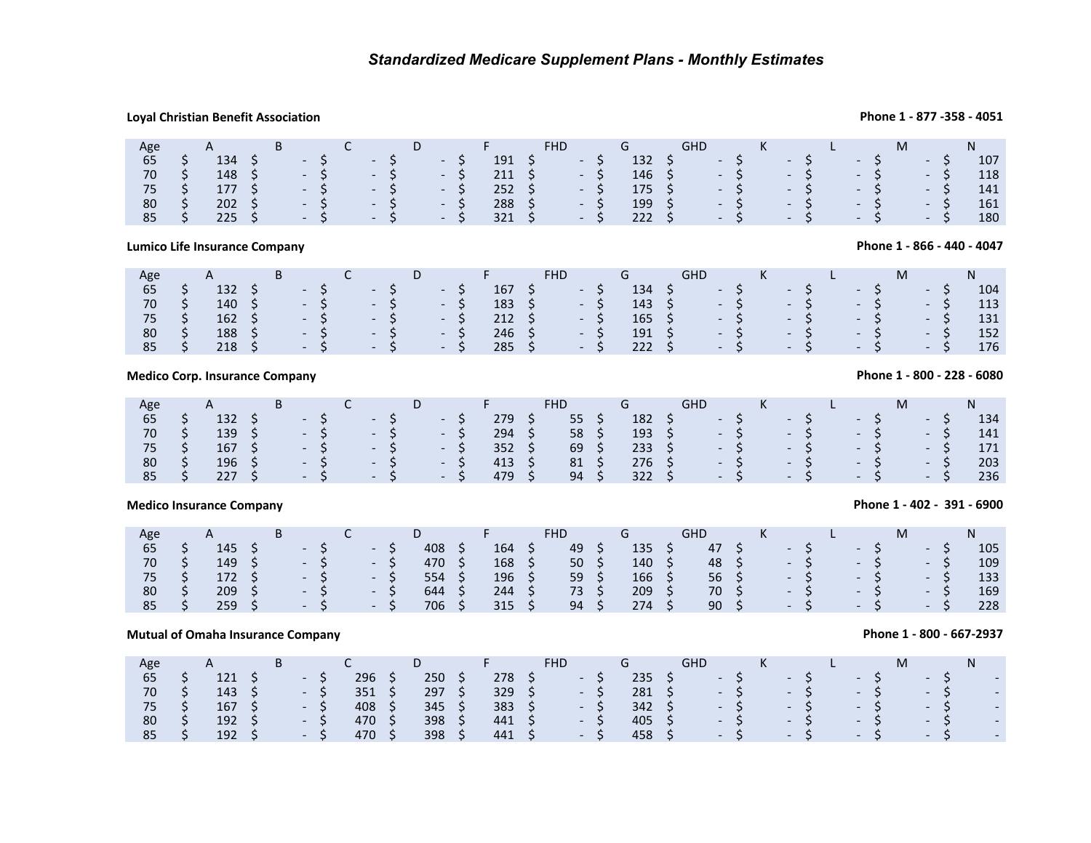## **Loyal Christian Benefit Association**

## **Phone 1 - 877 -358 - 4051**

**Phone 1 - 866 - 440 - 4047**

| Age | A                                                                                                                           | $\mathbf{B}$ | $\overline{C}$ |                                                                | D F | FHD.                           | G and the second second second second second second second second second second second second second second se | GHD K L                                                                          |  |  |  | M    |        |     |
|-----|-----------------------------------------------------------------------------------------------------------------------------|--------------|----------------|----------------------------------------------------------------|-----|--------------------------------|----------------------------------------------------------------------------------------------------------------|----------------------------------------------------------------------------------|--|--|--|------|--------|-----|
| 65  | $134 \quad S$                                                                                                               |              |                |                                                                |     | $191 \quad \xi \qquad - \xi$   |                                                                                                                | $132 \quad \zeta \qquad - \zeta \qquad - \zeta$                                  |  |  |  | $-5$ | $- S/$ | 107 |
| 70  |                                                                                                                             |              |                | $148 \quad \zeta \qquad - \zeta \qquad - \zeta \qquad - \zeta$ |     |                                |                                                                                                                | $146 \quad \zeta \qquad - \quad \zeta \qquad - \quad \zeta \qquad - \quad \zeta$ |  |  |  |      | $-5$   | 118 |
|     |                                                                                                                             |              |                |                                                                |     |                                |                                                                                                                | $175$ \$ $-$ \$ $-$ \$ $-$ \$ $-$ \$                                             |  |  |  |      |        | 141 |
|     | $80 \quad \text{S} \quad 202 \quad \text{S} \quad - \quad \text{S} \quad - \quad \text{S} \quad - \quad \text{S}$           |              |                |                                                                |     | $288 \quad 5 \qquad -5$        |                                                                                                                | - 199 \$ - \$ - \$ - \$                                                          |  |  |  |      | $-5$   | 161 |
|     | $85 \quad \textsf{S} \quad 225 \quad \textsf{S} \quad - \quad \textsf{S} \quad - \quad \textsf{S} \quad - \quad \textsf{S}$ |              |                |                                                                |     | $321 \quad 5 \quad -5 \quad 7$ |                                                                                                                | $222 \quad \zeta \qquad - \quad \zeta \qquad - \quad \zeta \qquad - \quad \zeta$ |  |  |  |      |        | 180 |

## **Lumico Life Insurance Company**

### Age 65A $\begin{array}{cccc} & & & B & & C \\ 132 & \zeta & & - & \zeta \\ 140 & \zeta & & - & \zeta \\ 162 & \zeta & & - & \zeta \end{array}$ D $5$  Times FHD<br>  $5$  167 S<br>  $5$  183 S G<br>  $134$  \$<br>  $143$  \$<br>  $165$  \$<br>  $191$  \$ GHD <sup>K</sup> <sup>L</sup> <sup>M</sup>N $5$  \$  $132$  \$ - \$  $-$  \$  $-$  \$  $167$  \$  $-$  \$  $134$  \$  $-$  \$  $-$  \$  $-$  \$  $-$  \$  $-$  \$  $104$ 70 \$ 140 \$ - \$ - \$ - \$ 183 \$ - \$ 143 \$ - \$ - \$ - \$ - \$ 113 75 $5$   $5$   $162$   $5$   $5$   $5$   $5$   $212$   $5$   $5$   $165$   $5$   $5$   $5$   $5$   $5$   $5$   $131$ 80 \$ 188 \$ - \$ - \$ - \$ 246 \$ - \$ 191 \$ - \$ - \$ - \$ - \$ 152 85\$ 218 \$ - \$ - \$ - \$ 285 \$ - \$ 222 \$ - \$ - \$ - \$ - \$ 176

## **Medico Corp. Insurance Company**

| Age   | A              | <b>B</b> |       |                                    | D                 |       |                | FHD.       | and the Group of Group of the State of the State of the State of the State of the State of the State of the St | <b>GHD</b>                       | $\mathsf{K}$ and $\mathsf{K}$ | <u> Tanzania (m. 1888)</u> |                 |       |     |
|-------|----------------|----------|-------|------------------------------------|-------------------|-------|----------------|------------|----------------------------------------------------------------------------------------------------------------|----------------------------------|-------------------------------|----------------------------|-----------------|-------|-----|
| 65    | $132 \quad$ \$ |          | $-S$  | $\sim$ $\sim$ $\sim$ $\sim$        |                   | $- S$ | 279            | 55S        |                                                                                                                | $182 \quad 5$                    | $-5$                          | $-5$                       | $-5$            | $- S$ | 134 |
| 70    | $139 \quad 5$  |          |       | $-5$ $-5$                          |                   | $-5$  | $294 \quad$ \$ | $58 \quad$ |                                                                                                                | $193 \quad \zeta \qquad - \zeta$ |                               | $-5$                       | $-5$            | $-S$  | 141 |
| 75 \$ | $167 \quad$ \$ |          |       | $-S$ - S -                         |                   | $- S$ | $352 \quad 5$  | 69 \$      | $233 \quad S$                                                                                                  |                                  | $-5$                          | $\sim$ S $\sim$            | $\sim$ S $\sim$ | $- S$ | 171 |
| 80    | $196 \quad$ \$ |          | $-S$  | $\sim$ $\sim$ $\sim$ $\sim$ $\sim$ |                   | $-S$  | 413 S          | 81 S       | 276S                                                                                                           |                                  | $-5$                          | $-5$                       | $-5$            | $-S$  | 203 |
| 85    | 227S           |          | $- S$ | $-5$                               | $\sim$ - S $\sim$ |       | 479            | $94 \quad$ | $322 \quad 5$                                                                                                  |                                  | $-5$                          | $-5$ $/$                   | $- S$           | $-S$  | 236 |

## **Medico Insurance Company**

| Age | $\mathbf{\mathsf{m}}$ |  | ֊ |               | ◡   |     | FHD |     | $\sim$<br>unv |  |                          |                          |               |        |     |
|-----|-----------------------|--|---|---------------|-----|-----|-----|-----|---------------|--|--------------------------|--------------------------|---------------|--------|-----|
| 65  | 145                   |  |   | $-$           | 408 | 164 | 49  | 135 | 47            |  | $\overline{\phantom{0}}$ | $\overline{\phantom{0}}$ |               | $\sim$ | 105 |
| 70  | 149                   |  |   | $\sim$        | 470 | 168 | 50  | 140 | 48            |  | $-$                      |                          | $-5$          | $ -$   | 109 |
|     | 172                   |  |   | .             | 554 | 196 | 59  | 166 | 56            |  | $-5$                     |                          | $\sim$ 5      | $\sim$ | 133 |
| 80  | 209                   |  |   | $\sim$        | 644 | 244 | 73  | 209 | 70            |  | $\sim$ $\sim$            |                          | $-5$          | $-$    | 169 |
| 85  | 259                   |  |   | $\sim$ $\sim$ | 706 | 315 | 94  | 274 | 90            |  | $-5$                     |                          | $\sim$ $\sim$ | $\sim$ | 228 |
|     |                       |  |   |               |     |     |     |     |               |  |                          |                          |               |        |     |

## **Mutual of Omaha Insurance Company**

|     | <b>Mutual of Omaha Insurance Company</b> |   |                          |     |     |     |     |                          |     |     |                          |                          |  |                          |   |                          | Phone 1 - 800 - 667-2937 |                          |
|-----|------------------------------------------|---|--------------------------|-----|-----|-----|-----|--------------------------|-----|-----|--------------------------|--------------------------|--|--------------------------|---|--------------------------|--------------------------|--------------------------|
| Age | $\mathsf{A}$                             | В |                          |     | D   |     | FHD |                          | G   | GHD |                          |                          |  |                          | M |                          | Ν                        |                          |
| 65  | 121                                      |   | $\overline{\phantom{0}}$ | 296 | 250 | 278 |     | $\overline{\phantom{0}}$ | 235 |     | $\overline{\phantom{0}}$ | $\overline{\phantom{0}}$ |  | $\overline{\phantom{0}}$ |   | $\overline{\phantom{0}}$ |                          | $\overline{\phantom{0}}$ |
| 70  | 143                                      |   | $\overline{\phantom{0}}$ | 351 | 297 | 329 |     | $\overline{\phantom{0}}$ | 281 |     | $\overline{\phantom{a}}$ | $\overline{\phantom{0}}$ |  | $\overline{\phantom{0}}$ |   | $\overline{\phantom{0}}$ |                          | $\overline{\phantom{0}}$ |
| 75  | 167                                      |   | $\overline{\phantom{0}}$ | 408 | 345 | 383 |     | $\overline{\phantom{0}}$ | 342 |     | $\overline{\phantom{0}}$ | $\overline{\phantom{0}}$ |  | $\overline{\phantom{0}}$ |   | $\overline{\phantom{0}}$ |                          | $\overline{\phantom{0}}$ |
| 80  | 192                                      |   | $\overline{\phantom{0}}$ | 470 | 398 | 441 |     | $\overline{\phantom{0}}$ | 405 |     | $\overline{\phantom{0}}$ | $\overline{\phantom{0}}$ |  | $\overline{\phantom{0}}$ |   | $\overline{\phantom{0}}$ |                          | $\overline{\phantom{0}}$ |
| 85  | 192                                      |   | $\overline{\phantom{0}}$ | 470 | 398 | 441 |     | $\overline{\phantom{0}}$ | 458 |     | $\overline{\phantom{0}}$ | $\overline{\phantom{0}}$ |  | $\overline{\phantom{0}}$ |   | $\overline{\phantom{0}}$ |                          | $\overline{\phantom{0}}$ |
|     |                                          |   |                          |     |     |     |     |                          |     |     |                          |                          |  |                          |   |                          |                          |                          |

## **Phone 1 - 800 - 228 - 6080**

**Phone 1 - 402 - 391 - 6900**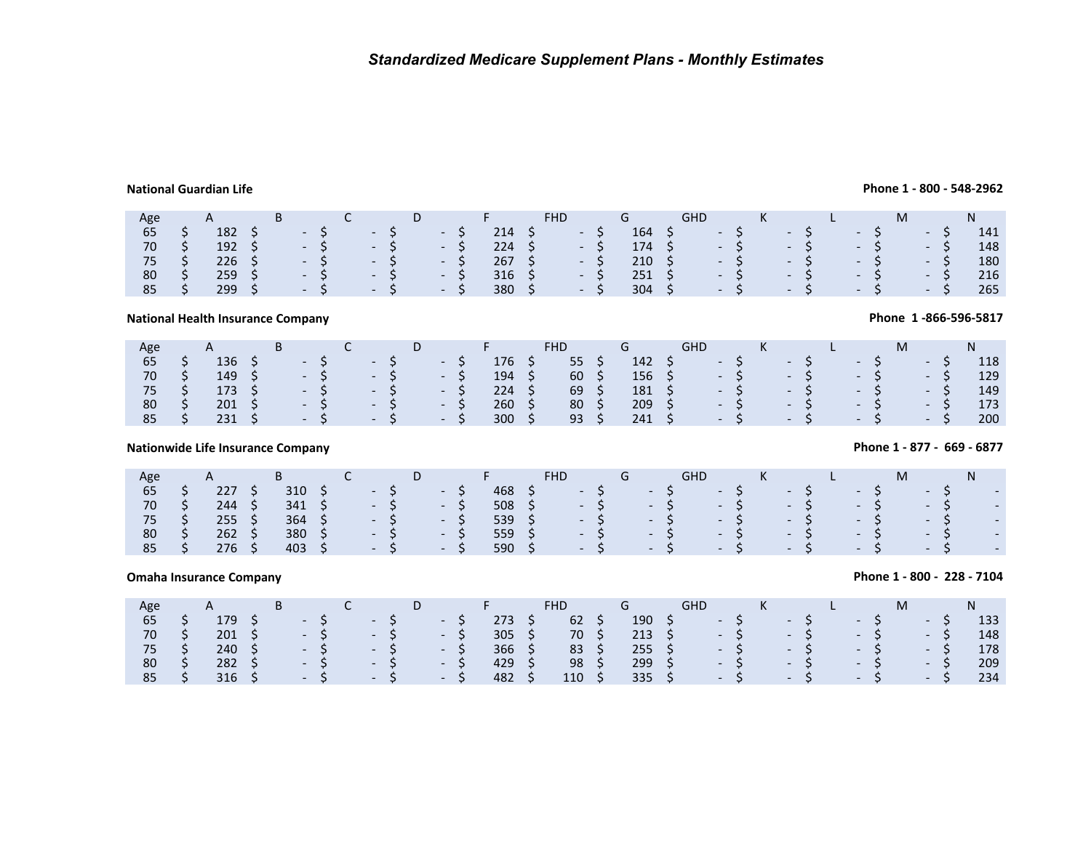## **National Guardian Life**

## **Phone 1 - 800 - 548-2962**

**Phone 1 -866-596-5817**

| Age | A             |               |  | D.             |  | and the property of the property of the property of the property of the property of the property of the property of the property of the property of the property of the property of the property of the property of the proper |    |                                |       |                |                 | <b>GHD</b> |      | K        |      |      | M     |        |     |
|-----|---------------|---------------|--|----------------|--|--------------------------------------------------------------------------------------------------------------------------------------------------------------------------------------------------------------------------------|----|--------------------------------|-------|----------------|-----------------|------------|------|----------|------|------|-------|--------|-----|
| 65  | $182 \quad 5$ |               |  | $-S$ - S - S   |  | 214 S                                                                                                                                                                                                                          |    | <b>Contract Contract</b>       |       | $164 \quad$ \$ |                 |            | $-5$ |          | $-S$ |      | $-S$  | - 5    | 141 |
| 70  |               | $192 \quad 5$ |  | $-S$ - S - S   |  |                                                                                                                                                                                                                                |    | $224 \quad 5 \quad - \quad 51$ |       |                |                 | 174 S      |      | $-5$     |      | $-5$ | $-5$  | $- S/$ | 148 |
| 75  | $226 \div$    |               |  | $-S$ $-S$ $-S$ |  | $267 \quad$ \$                                                                                                                                                                                                                 |    |                                | $- S$ | $210 \pm 5$    |                 |            |      | $-5$ $-$ |      | $-5$ | $- S$ | $-S$   | 180 |
| 80  | $259 \div$    |               |  | $-S$ - S - S   |  | 316 <sub>5</sub>                                                                                                                                                                                                               |    |                                | - 5   | $251 \quad $5$ |                 |            | $-5$ |          |      | $-5$ | $-S$  | $-5$   | 216 |
| 85  | 299S          |               |  | $-S$ - S - S   |  | 380                                                                                                                                                                                                                            | S. |                                | $- S$ | 304            | $\sim$ S $\sim$ |            | $-5$ |          | $-5$ |      | $-S$  | $- S$  | 265 |

## **National Health Insurance Company**

| Age          |              | A                                        | <b>B</b> |               | $\overline{C}$ |  | D <sub>D</sub> |  | <b>Committee Programs</b> | FHD.         | G and the set of the set of the set of the set of the set of the set of the set of the set of the set of the s | GHD K                                                                            |  |  |  | M    |       | $N$ and $N$ |
|--------------|--------------|------------------------------------------|----------|---------------|----------------|--|----------------|--|---------------------------|--------------|----------------------------------------------------------------------------------------------------------------|----------------------------------------------------------------------------------|--|--|--|------|-------|-------------|
| 65           |              | 136S                                     |          | $S = S - S$   |                |  |                |  | 176 \$                    | 55S          |                                                                                                                | $142 \quad \zeta \qquad - \zeta \qquad - \zeta$                                  |  |  |  | $-5$ | $- S$ | 118         |
| 70 \$        |              | $149 \quad$ \$                           |          | $-5 - 5 - 5$  |                |  |                |  | $194 \quad$ \$            | $60 \div$    |                                                                                                                | $156 \quad \zeta \qquad - \quad \zeta \qquad - \quad \zeta \qquad - \quad \zeta$ |  |  |  |      |       | 129         |
| 75 \$        |              | 173 \$                                   |          | $-5 - 5$ $-5$ |                |  |                |  | $224 \quad S$             | 69 \$        |                                                                                                                | $181 \quad \zeta \qquad - \zeta \qquad - \zeta \qquad - \zeta \qquad - \zeta$    |  |  |  |      |       | 149         |
| 80           | $\mathsf{S}$ |                                          |          |               |                |  |                |  | $260 \pm 5$               | $80 \quad 5$ |                                                                                                                | $209 \quad \zeta \qquad - \quad \zeta \qquad - \quad \zeta \qquad - \quad \zeta$ |  |  |  |      |       | 173         |
| $85 \quad 5$ |              | $231 \quad 5 \quad -5 \quad -5 \quad -5$ |          |               |                |  |                |  | $300 \quad$ \$            | $93 \quad$   |                                                                                                                | $241 \quad \zeta \qquad - \zeta \qquad - \zeta \qquad - \zeta \qquad - \zeta$    |  |  |  |      |       | 200         |

## **Nationwide Life Insurance Company**

| Age |     |     |  |                               |                      |                |     |       |                             |               |                  |               |      |               |               | M      |                          | N |                          |
|-----|-----|-----|--|-------------------------------|----------------------|----------------|-----|-------|-----------------------------|---------------|------------------|---------------|------|---------------|---------------|--------|--------------------------|---|--------------------------|
| 65  | 227 | 310 |  | $-S$                          | $-5$                 | 468            |     | $-5$  |                             | $\sim$ $\sim$ |                  | $\sim$ $\sim$ |      | $\sim$ $\sim$ | $\sim$ $\sim$ |        | $-5$                     |   | $\overline{\phantom{a}}$ |
| 70  | 244 | 341 |  | $-S$                          | $-5$                 | $508 \quad$ \$ |     |       | $-5$                        |               | $-S$ $-$         | $-5$          |      | $-S$          |               | $-57$  | $-5$                     |   | $\overline{\phantom{a}}$ |
| 75  | 255 | 364 |  | $\sim$ - S $\sim$             | $-5$                 | 539            | - 5 |       |                             |               | $-S$ -S -S -S -S |               |      |               |               | $   -$ | - 5                      |   | г.                       |
| 80  | 262 | 380 |  | $- S$                         | $\sim$ $\sim$ $\sim$ | 559            |     | $- S$ |                             | - 5           |                  | - 5           |      | - 5           |               | - 5    | $-51$                    |   |                          |
| 85  | 276 | 403 |  | $\overline{S}$ $\overline{S}$ | $-5$                 | 590            |     | $-5$  | $\sim$ $\sim$ $\sim$ $\sim$ |               |                  | - 5           | $-5$ |               |               | $-5$   | <b>Contract Contract</b> |   | г.                       |

## **Omaha Insurance Company**

## **Phone 1 - 800 - 228 - 7104**

| Age              | A                | B a |              | $\mathsf{C}$ |  | D <sub>D</sub>                            |  | and the property of the property of the property of the property of the property of the property of the proper |    | <b>FHD</b>      | G a            | GHD           | K                        |      |       |       |      | N   |
|------------------|------------------|-----|--------------|--------------|--|-------------------------------------------|--|----------------------------------------------------------------------------------------------------------------|----|-----------------|----------------|---------------|--------------------------|------|-------|-------|------|-----|
| 65               | 179 <sup>°</sup> |     | $-5$ $-5$    |              |  | $\sim$ $\sim$ $\sim$ $\sim$ $\sim$ $\sim$ |  | 273S                                                                                                           |    | 62 <sup>5</sup> | $190 \quad$ \$ | $-5$          |                          | $-5$ |       | $-5$  | $-S$ | 133 |
| 70               |                  |     |              |              |  |                                           |  | $305 \quad$ \$                                                                                                 |    | 70 \$           |                | $213 \quad 5$ | $\sim$ S $\sim$ S $\sim$ |      |       | $-5$  | $-S$ | 148 |
| $75 \frac{1}{2}$ | $240 \quad 5$    |     | $-5 - 5 - 5$ |              |  |                                           |  | $366 \quad$ \$                                                                                                 |    | $83 \quad 5$    | $255 \quad $$  |               | $-5$                     |      | $-5$  | $- S$ | $-S$ | 178 |
| 80               | $282 \div$       |     | $-S$ - S - S |              |  |                                           |  | 429                                                                                                            | S. | 98              | $299 \div$     |               | $\sim$ 5 $\sim$          |      | $- S$ | $-5$  | $-S$ | 209 |
| 85               | $316 \quad 5$    |     | $-5 - 5 - 5$ |              |  |                                           |  | 482                                                                                                            |    | 110             | $335 \quad 5$  |               | $-5$ $-5$                |      |       | $- S$ | $-S$ | 234 |

## **Phone 1 - 877 - 669 - 6877**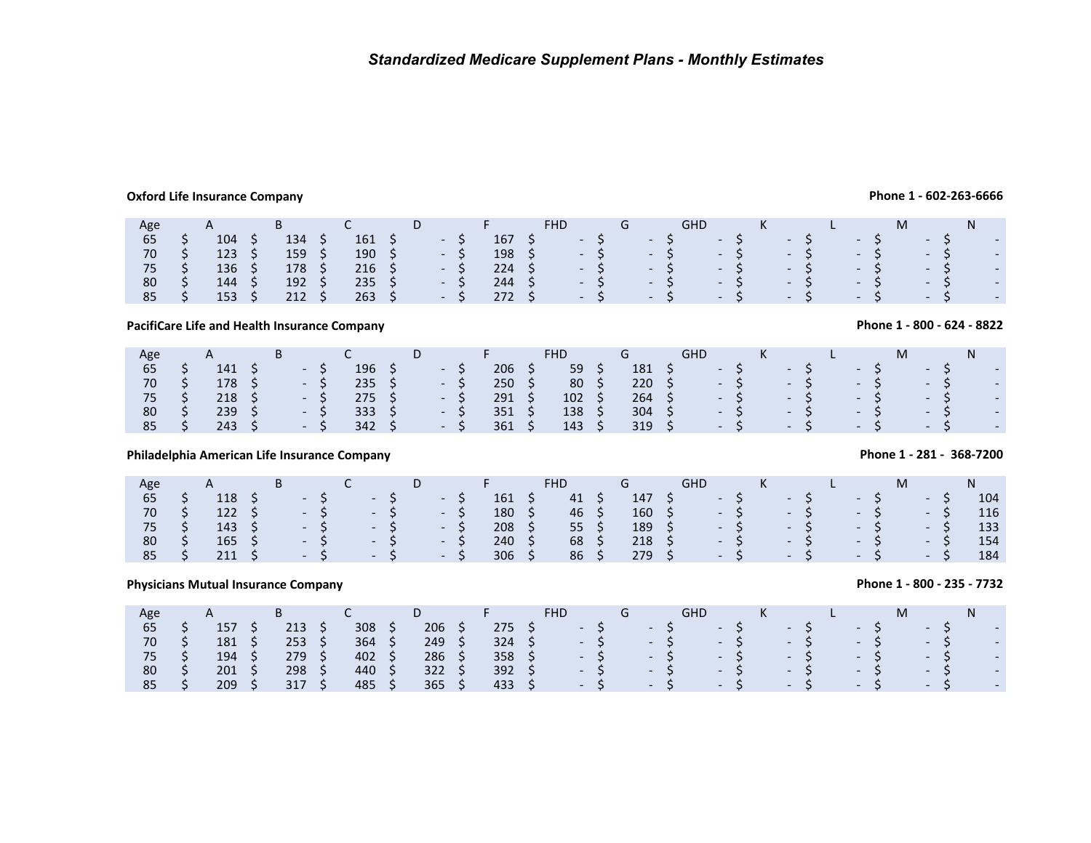## **Oxford Life Insurance Company**

**Phone 1 - 602-263-6666**

| Age |                |     |                          |                | υ |            |     |                      |               |                          |               | <b>GHD</b>               |       |        |               |               |        |
|-----|----------------|-----|--------------------------|----------------|---|------------|-----|----------------------|---------------|--------------------------|---------------|--------------------------|-------|--------|---------------|---------------|--------|
| 65  | 104            | 134 | ್ರ                       | 161            |   | $\sim$ $-$ | 167 | $\sim$ $\sim$        |               | $\overline{\phantom{a}}$ |               | $\overline{\phantom{0}}$ |       | $\sim$ | $\sim$ $\sim$ | - 5           | $\sim$ |
| 70  | 123            | 159 | $\overline{\phantom{0}}$ | $190 \quad$ \$ |   | $-5$       | 198 |                      | $\sim$ $\sim$ |                          | - 5           |                          | $-5/$ | $-5$   | $\sim$ 5      | $\sim$ 5      | $\sim$ |
| 75  | 136            | 178 | - S                      | 216            |   | $\sim 100$ | 224 | $\sim$ $\sim$        |               |                          | $-5$          |                          | $-S$  | $-S$   | $-57$         | $- S$         | $\sim$ |
| 80  | $144 \quad$ \$ | 192 |                          | 235            |   | $- S$      | 244 | $\sim$ $\sim$ $\sim$ |               |                          | $\sim$ $\sim$ |                          | $-S$  | $- S$  | $-5$          | $-5$          | $\sim$ |
| 85  | 153            | 212 |                          | 263            |   | $- S$      | 272 | $\sim$ $\sim$        |               |                          | $\sim$ 5      |                          | $-S$  | $-5$   | $-5$          | $\sim$ $\sim$ | $\sim$ |

**PacifiCare Life and Health Insurance Company**

| Age | $\mathsf{A}$  | D |            |     |       |                |     | FHD |    |                  |    | GHD                       |      |                |               |                | M |                |                          |
|-----|---------------|---|------------|-----|-------|----------------|-----|-----|----|------------------|----|---------------------------|------|----------------|---------------|----------------|---|----------------|--------------------------|
| 65  | 141           |   | $\sim$ $-$ | 196 |       | $\sim$ $ \sim$ | 206 | 59  |    | 181              |    | <b>The Contract State</b> |      | $\sim$ $ \sim$ |               | $\sim$ $ \sim$ |   | $\sim$ $ \sim$ | $\overline{\phantom{a}}$ |
| 70  | 178 \$        |   | $-S$       | 235 |       | - S            | 250 | 80  |    | 220 <sup>2</sup> | S. |                           | $-S$ | $\sim -1$      |               | NH N           |   | NH N           | $\overline{\phantom{a}}$ |
| 75  | $218 \quad 5$ |   | $-S$       | 275 |       | $-5$           | 291 | 102 | S. | $264 \quad$ \$   |    |                           | $-S$ |                | $-5$          | $\sim$ $ \sim$ |   | New York       | $\overline{\phantom{a}}$ |
| 80  | 239           |   | $-S$       | 333 | $-5-$ | <b>Service</b> | 351 | 138 |    | 304              |    |                           | $-5$ |                | $-5$          | $-5$           |   | $\sim$         | $\overline{\phantom{a}}$ |
| 85  | 243           |   | $-S$       | 342 |       | - S            | 361 | 143 |    | 319              |    |                           | $-5$ |                | $\sim$ $\sim$ | $\sim$ $-$     |   | $\sim$         | $\overline{\phantom{a}}$ |

## **Philadelphia American Life Insurance Company**

| Age | A                |  |      |              |      | 2 E 2         |                 |                  |  |                                           |       |                      |      |  |       | M |        |         |     |
|-----|------------------|--|------|--------------|------|---------------|-----------------|------------------|--|-------------------------------------------|-------|----------------------|------|--|-------|---|--------|---------|-----|
| 65  | 118              |  | $-5$ | $-S$         | $-S$ | 161           | 41              | $147 \pm 5$      |  | $-5$                                      |       |                      | $-5$ |  | $-S$  |   | $\sim$ |         | 104 |
| 70  | $122 \quad$ \$   |  |      | $-5$ $-5$    | $-S$ | 180           | $46\frac{1}{2}$ | $160 \quad 5$    |  |                                           | $- S$ | $  S$                |      |  | $-S$  |   | $-S$   |         | 116 |
| 75  | $143 \quad 5$    |  |      | - S - S - S  |      | $208 \quad 5$ | $55 \quad$      | 189 \$           |  |                                           | $- S$ |                      | $-5$ |  | $- S$ |   |        | 7 – S.A | 133 |
| 80  | $165 \quad$ \$   |  |      | $-S$ -S -S   |      | 240           | 68              | $218 \quad 5$    |  | $-S$                                      |       |                      | $-5$ |  | $-S$  |   |        | $-5$    | 154 |
| 85  | 211 <sub>5</sub> |  |      | $-5 -5$ $-5$ |      | 306           | 86              | 279 <sup>5</sup> |  | $\overline{\phantom{a}}$ . See Section 2. |       | $\sim$ $\sim$ $\sim$ |      |  | $- S$ |   |        | $-S$    | 184 |

|                                   |                                            |     |                                      |   | PacifiCare Life and Health Insurance Company |   |                                                                                                                   |   |                                      |   |                                             |    |                                      |            |                                                                                                                  |   |   |                                                                                                              |  |                                                      |   |                                                                                                                                          | Phone 1 - 800 - 624 - 8822           |  |
|-----------------------------------|--------------------------------------------|-----|--------------------------------------|---|----------------------------------------------|---|-------------------------------------------------------------------------------------------------------------------|---|--------------------------------------|---|---------------------------------------------|----|--------------------------------------|------------|------------------------------------------------------------------------------------------------------------------|---|---|--------------------------------------------------------------------------------------------------------------|--|------------------------------------------------------|---|------------------------------------------------------------------------------------------------------------------------------------------|--------------------------------------|--|
| Age<br>65<br>70<br>75<br>80<br>85 | \$<br>A<br>141<br>178<br>218<br>239<br>243 | S   | B<br>$\sim$                          |   | C<br>196<br>235<br>275<br>333<br>342         | S | D<br>$\overline{\phantom{a}}$<br>$\overline{\phantom{a}}$<br>$\sim$                                               |   | F<br>206<br>250<br>291<br>351<br>361 |   | <b>FHD</b><br>59<br>80<br>102<br>138<br>143 | Ş  | G<br>181<br>220<br>264<br>304<br>319 | <b>GHD</b> | $\overline{\phantom{0}}$<br>$\overline{\phantom{a}}$<br>$\overline{\phantom{0}}$                                 |   | K | $\overline{\phantom{a}}$<br>$\overline{\phantom{a}}$<br>$\overline{\phantom{a}}$<br>$\overline{\phantom{a}}$ |  | $\overline{\phantom{0}}$<br>$\overline{\phantom{0}}$ | M | $\overline{\phantom{a}}$                                                                                                                 | N                                    |  |
|                                   |                                            |     |                                      |   | Philadelphia American Life Insurance Company |   |                                                                                                                   |   |                                      |   |                                             |    |                                      |            |                                                                                                                  |   |   |                                                                                                              |  |                                                      |   |                                                                                                                                          | Phone 1 - 281 - 368-7200             |  |
| Age<br>65<br>70<br>75<br>80<br>85 | \$<br>A<br>118<br>122<br>143<br>165<br>211 | \$. | B                                    |   | C<br>$\qquad \qquad$                         |   | D<br>$\overline{\phantom{0}}$<br>$\overline{\phantom{a}}$<br>$\overline{\phantom{a}}$<br>$\overline{\phantom{a}}$ |   | F<br>161<br>180<br>208<br>240<br>306 | S | <b>FHD</b><br>41<br>46<br>55<br>68<br>86    | \$ | G<br>147<br>160<br>189<br>218<br>279 | <b>GHD</b> | $\overline{\phantom{0}}$<br>$\overline{\phantom{0}}$<br>$\overline{\phantom{0}}$<br>$\qquad \qquad \blacksquare$ |   | K | $\overline{\phantom{0}}$<br>$\overline{\phantom{a}}$<br>$\overline{\phantom{a}}$<br>$\overline{\phantom{a}}$ |  | $\overline{\phantom{0}}$                             | M | $\overline{\phantom{0}}$<br>$\overline{\phantom{0}}$<br>$\overline{\phantom{a}}$<br>$\overline{\phantom{a}}$<br>$\overline{\phantom{a}}$ | N<br>104<br>116<br>133<br>154<br>184 |  |
|                                   | <b>Physicians Mutual Insurance Company</b> |     |                                      |   |                                              |   |                                                                                                                   |   |                                      |   |                                             |    |                                      |            |                                                                                                                  |   |   |                                                                                                              |  |                                                      |   |                                                                                                                                          | Phone 1 - 800 - 235 - 7732           |  |
| Age<br>65<br>70<br>75<br>80<br>85 | \$<br>A<br>157<br>181<br>194<br>201<br>209 | S   | B<br>213<br>253<br>279<br>298<br>317 | S | C<br>308<br>364<br>402<br>440<br>485         | S | D<br>206<br>249<br>286<br>322<br>365                                                                              | Ŝ | F<br>275<br>324<br>358<br>392<br>433 |   | <b>FHD</b><br>$\overline{\phantom{a}}$      |    | G<br>$\overline{\phantom{a}}$        | <b>GHD</b> | $\overline{\phantom{0}}$<br>$\overline{\phantom{0}}$                                                             | Ś | K | $\overline{\phantom{0}}$                                                                                     |  | $\overline{\phantom{a}}$                             | M |                                                                                                                                          | N                                    |  |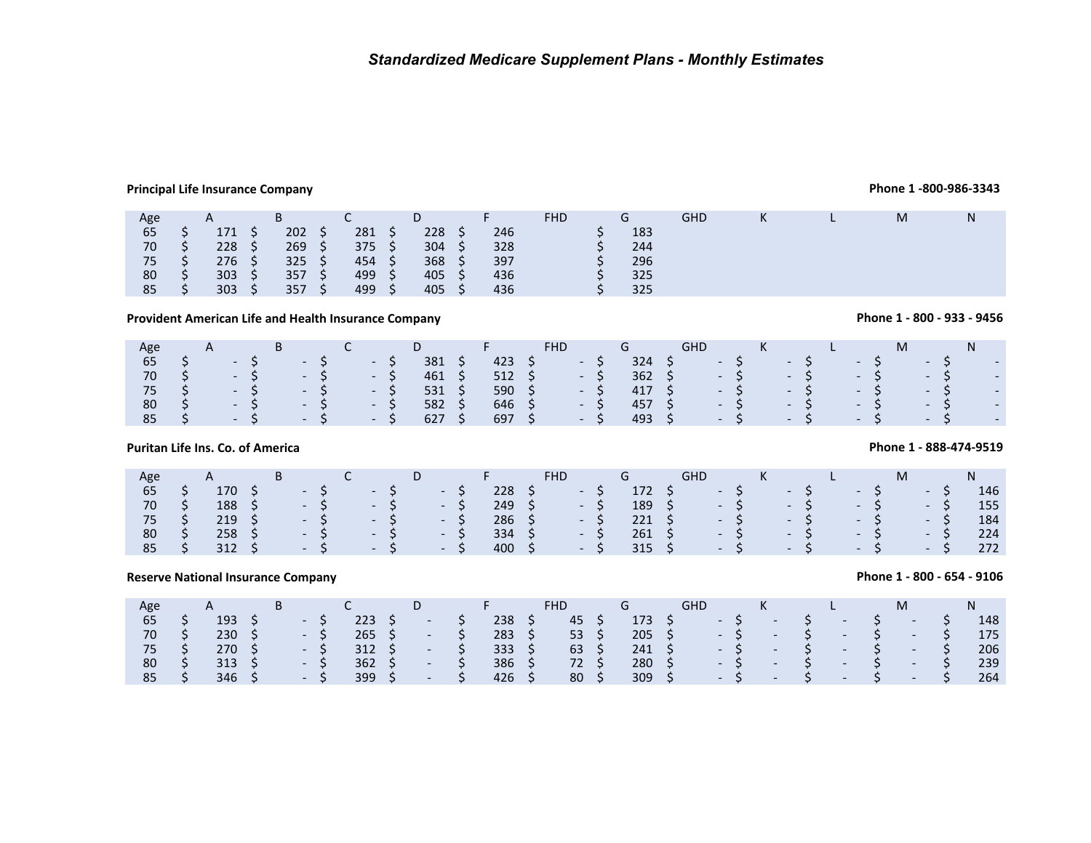## **Principal Life Insurance Company**

## **Phone 1 -800-986-3343**

**Phone 1 - 800 - 933 - 9456**

| Age |      | $\mathsf{A}$ |          | B             |      |        |    | D                |     |     | <b>FHD</b> | G   | <b>GHD</b> | K | M |  |
|-----|------|--------------|----------|---------------|------|--------|----|------------------|-----|-----|------------|-----|------------|---|---|--|
| 65  |      | 171          |          | 202           | / S/ | 281    |    | 228              |     | 246 |            | 183 |            |   |   |  |
| 70  |      | 228          | $\sim$ 5 | 269           | S.   | 375    | S  | 304              | - S | 328 |            | 244 |            |   |   |  |
| 75  |      | 276          | 5.       | $325 \quad 5$ |      | 454 \$ |    | 368 <sup>5</sup> |     | 397 |            | 296 |            |   |   |  |
| 80  |      | 303          | - S      | 357           | - \$ | 499 \$ |    | $405 \quad$ \$   |     | 436 |            | 325 |            |   |   |  |
| 85  | - S. | 303          | S.       | 357           | S \  | 499    | S. | $405 \div$       |     | 436 |            | 325 |            |   |   |  |

## **Provident American Life and Health Insurance Company**

| Age |                 | $\mathsf{A}$ |       | B        |                             |      |                             |             | D.             |     | Æ              | <b>FHD</b> |       | G      |    | GHD.                   |       | K |       |  |      |      | N. |                             |
|-----|-----------------|--------------|-------|----------|-----------------------------|------|-----------------------------|-------------|----------------|-----|----------------|------------|-------|--------|----|------------------------|-------|---|-------|--|------|------|----|-----------------------------|
| 65  |                 |              | $- S$ |          |                             | $-S$ |                             | $-S$        | 381            | - S | 423            |            | $-S$  | 324    | S. |                        | $-5$  |   | $- S$ |  | $-5$ | $-S$ |    | $\overline{\phantom{a}}$    |
| 70  | $\sim$ S $\sim$ |              |       | $-5$     | $\sim$ $\sim$ $\sim$ $\sim$ |      |                             | $-5$        | 461 \$         |     | $512 \quad $5$ |            | $-5$  |        |    | $362 \quad 5 \quad -5$ |       |   | $- S$ |  | $-5$ | $-S$ |    | $\overline{\phantom{a}}$    |
| 75  |                 |              |       | - S- - S |                             |      |                             | $\sim$ $-5$ | $531 \quad$ \$ |     | 590 \$         |            | $- S$ | 417 S  |    |                        | $-5$  |   | $-5$  |  | $-5$ | $-S$ |    | $\blacksquare$              |
| 80  |                 |              |       | - S - S  |                             |      | $\sim$ $\sim$ $\sim$ $\sim$ |             | 582            |     | $646 \quad$ \$ |            | $-S$  | 457 \$ |    |                        | $- S$ |   | $- S$ |  | $-S$ | $-S$ |    | $\blacksquare$              |
| 85  |                 |              |       | $-5$     |                             |      | $-S$ - S                    |             | 627            | S.  | 697 \$         |            | $-S$  | 493 S  |    | $-5$                   |       |   | $-S$  |  | $-S$ | $-S$ |    | $\mathcal{L}_{\mathcal{A}}$ |

## **Puritan Life Ins. Co. of America**

| Age |                             | $\mathsf B$                                                                                                     | $\overline{C}$ | D.           |  | and <b>F</b> Parties | FHD.                   | G | GHD                                                                              | <b>Executive</b> |  |  |      | M |       | N   |
|-----|-----------------------------|-----------------------------------------------------------------------------------------------------------------|----------------|--------------|--|----------------------|------------------------|---|----------------------------------------------------------------------------------|------------------|--|--|------|---|-------|-----|
| 65  | 170                         | $\begin{array}{cccccccccccccc} \mathsf{S} & & - & \mathsf{S} & & - & \mathsf{S} & & - & \mathsf{S} \end{array}$ |                |              |  |                      | $228 \quad 5 \quad -5$ |   | 172 \$ - \$ - \$                                                                 |                  |  |  | $-S$ |   | $-S$  | 146 |
| 70  |                             | $188 \quad 5 \quad -5 \quad -5 \quad -5$                                                                        |                |              |  |                      | $249 \quad 5 \quad -5$ |   | $189 \quad 5 \quad -5 \quad -5 \quad -5$                                         |                  |  |  |      |   | $-5$  | 155 |
| 75/ | $219 \quad S \qquad \qquad$ |                                                                                                                 |                | $-5 - 5 - 5$ |  |                      | $286 \quad 5 \quad -5$ |   | 221 \$ - \$ - \$ - \$                                                            |                  |  |  |      |   | $- S$ | 184 |
| 80  |                             | $258 \quad 5$                                                                                                   |                | $-5 - 5 - 5$ |  |                      | $334 \quad 5 \quad -5$ |   | $261 \quad \zeta \qquad - \zeta \qquad - \zeta \qquad - \zeta$                   |                  |  |  |      |   | $- S$ | 224 |
| 85  |                             | $312 \quad 5$                                                                                                   |                | $-5 - 5 - 5$ |  |                      |                        |   | $315 \quad \zeta \qquad - \quad \zeta \qquad - \quad \zeta \qquad - \quad \zeta$ |                  |  |  |      |   | $-S$  | 272 |

## **Reserve National Insurance Company**

## **Phone 1 - 800 - 654 - 9106**

| Age   |    | A              |  |                      |               |     |                             |      | <b>Committee of the Committee</b> | FHD.            | G             | <b>GHD</b> |      | $-$ K $-$ |      |                   |       | M      |                 | N.  |
|-------|----|----------------|--|----------------------|---------------|-----|-----------------------------|------|-----------------------------------|-----------------|---------------|------------|------|-----------|------|-------------------|-------|--------|-----------------|-----|
| 65    |    | $193 \quad$ \$ |  | $-S$                 | 223           | - S | <b>Contract Contract</b>    | S.   | 238                               | 45              | 173 S         |            | $-S$ | $\sim$    | S.   | $-1$              | - \$  | $\sim$ |                 | 148 |
| 70 \$ |    | $230 \quad 5$  |  | - S                  | $265 \quad S$ |     | <b>Contract Contract</b>    | / S/ | $283 \; \; \zeta$                 | $53 \quad S$    | $205 \quad $$ |            |      | $-5$      | $-5$ |                   | $-5$  | $\sim$ | S               | 175 |
| 75 \$ |    | $270 \div$     |  | $-S$                 | $312 \quad S$ |     | $\sim$                      | - 57 | $333 \quad 5$                     | $63 \quad 5$    | $241 \quad S$ |            |      | $- S$     |      | $-$ \$ $-$ \$ $-$ |       |        | $-5$            | 206 |
| 80    | S. | $313 \quad 5$  |  | $-S$                 | $362 \quad 5$ |     | $\sim$                      | S S  | $386 \quad 5$                     | 72 S            | $280 \quad 5$ |            |      | $-S$ $-$  |      | $-$ \$ $-$ \$ $-$ |       |        | $- S$           | 239 |
| 85 \$ |    | $346 \quad 5$  |  | $\sim$ $\sim$ $\sim$ | $399 \quad 5$ |     | $\sim$ $\sim$ $\sim$ $\sim$ |      | $426 \quad S$                     | 80 <sup>5</sup> | $309 \div$    |            |      | $-5$      | $-5$ |                   | $- S$ | $\sim$ | $\sim$ 5 $\sim$ | 264 |

## **Phone 1 - 888-474-9519**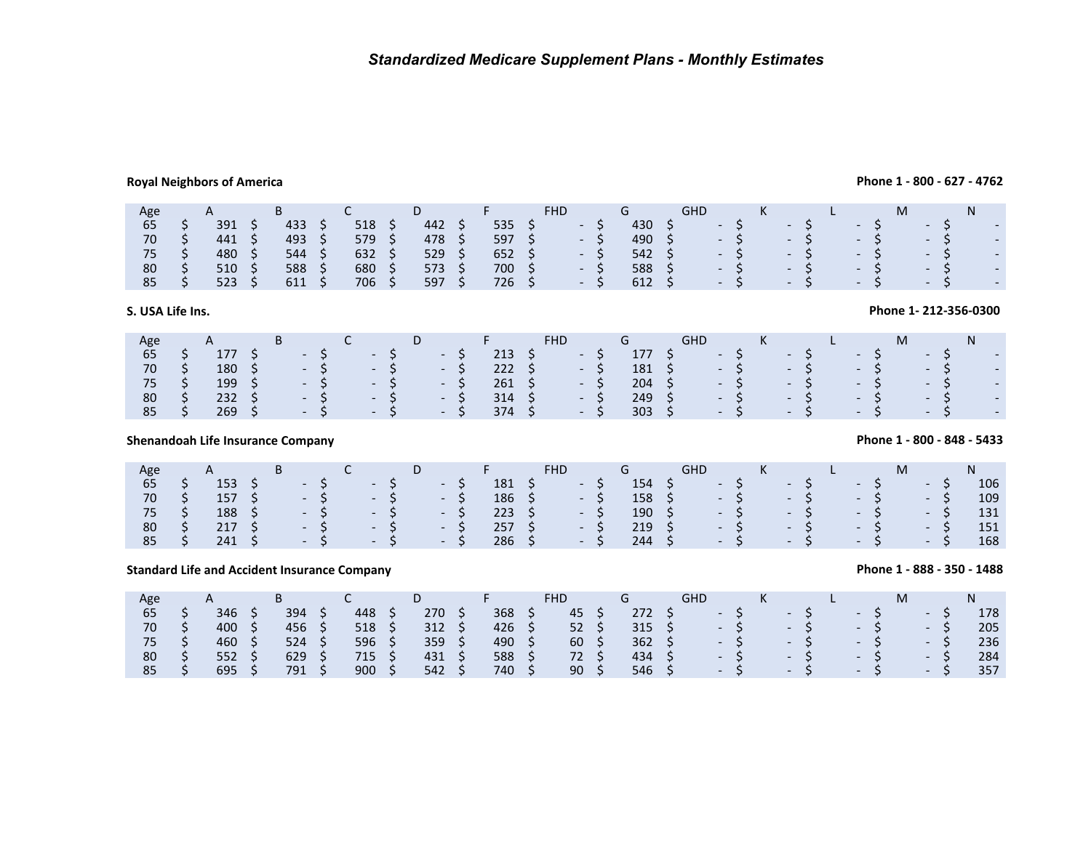## **Royal Neighbors of America**

## **Phone 1 - 800 - 627 - 4762**

| Age<br>$\mathsf{A}$ | υ          | FHD |                                 | GHD                      |                          | ΙVΙ                                                  |                          |
|---------------------|------------|-----|---------------------------------|--------------------------|--------------------------|------------------------------------------------------|--------------------------|
| 391<br>433<br>65    | 518<br>442 | 535 | 430                             | $\overline{\phantom{0}}$ | $\overline{\phantom{0}}$ | $\overline{\phantom{0}}$<br>$\overline{\phantom{0}}$ | $\overline{\phantom{0}}$ |
| 493<br>441<br>70    | 579<br>478 | 597 | 490<br>$\overline{\phantom{0}}$ | $\overline{\phantom{0}}$ | $\overline{\phantom{0}}$ | $\overline{\phantom{0}}$<br>$-$                      | $\overline{\phantom{0}}$ |
| 480<br>544          | 632<br>529 | 652 | 542                             | $\overline{\phantom{0}}$ | $\overline{\phantom{0}}$ | $\overline{\phantom{0}}$<br>$\overline{\phantom{0}}$ | $\overline{\phantom{0}}$ |
| 588<br>510<br>80    | 680<br>573 | 700 | 588<br>$\overline{\phantom{0}}$ | $\overline{\phantom{a}}$ | $\overline{\phantom{0}}$ | $\overline{\phantom{0}}$<br>$\overline{\phantom{0}}$ | ۰.                       |
| 523<br>611<br>85    | 706<br>597 | 726 | 612<br>$\overline{\phantom{0}}$ | $\overline{\phantom{0}}$ | $\overline{\phantom{0}}$ | $\overline{\phantom{0}}$<br>$\sim$                   | $\overline{\phantom{a}}$ |

## **S. USA Life Ins.**

| Age |               | B |                 |                             | D.                                        |      | <b>Committee States</b> |    | <b>FHD</b> |      | $G$ $\overline{G}$ |    | <b>GHD</b>                            |      | $-$ K $-$                          |       |  |                      | M |       |                          |
|-----|---------------|---|-----------------|-----------------------------|-------------------------------------------|------|-------------------------|----|------------|------|--------------------|----|---------------------------------------|------|------------------------------------|-------|--|----------------------|---|-------|--------------------------|
| 65  | 177 \$        |   | $- S$           | $\sim$ $\sim$ $\sim$ 5%     |                                           | $-5$ | 213                     | S. | $-S$       |      | 177                | S. |                                       | $-5$ |                                    | $- S$ |  | $-S$                 |   | $-S$  | $\overline{a}$           |
| 70  | 180 \$        |   | $-$ S $-$ S $/$ |                             | $\sim$ $\sim$ $\sim$ $\sim$ $\sim$ $\sim$ |      | $222 \quad 5$           |    |            | $-S$ | 181 \$             |    | $-5$ $-5$                             |      |                                    |       |  | $- S$                |   | $-S$  | $\overline{a}$           |
| 75  | 199<br>S.     |   | $-S$            | $\sim$ $\sim$ $\sim$ $\sim$ | $\sqrt{1-5}$                              |      | $261 \quad S$           |    | $-5$       |      | $204 \quad S$      |    | $S^2 \rightarrow S^2 \rightarrow S^2$ |      |                                    |       |  | $-S$                 |   | $-S$  | $\overline{a}$           |
| 80  | $232 \quad 5$ |   | $- S$           | $-5$                        |                                           | - S  | $314 \quad$ \$          |    | $-S$       |      | 249 <sup>5</sup>   |    |                                       | $-S$ | $\sim$ $\sim$ $\sim$ $\sim$ $\sim$ |       |  | $- S$                |   | $-S$  | $\overline{\phantom{a}}$ |
| 85  | 269           |   | $-5 - 5 - 5$    |                             |                                           |      | 374                     | S. | $-5$       |      | $303 \quad 5$      |    |                                       |      | $-5$ $-5$                          |       |  | $\sim$ $\sim$ $\sim$ |   | $- S$ | $\overline{a}$           |

## **Shenandoah Life Insurance Company**

| Age |        | B                                                     | ՝                                  | D.    |                |       |                 |       | G                |      |      | K         |                 |                 |       |       |     |
|-----|--------|-------------------------------------------------------|------------------------------------|-------|----------------|-------|-----------------|-------|------------------|------|------|-----------|-----------------|-----------------|-------|-------|-----|
| 65  | 153    | $\sim$ - S $\sim$                                     | $\sim$ $\sim$ $\sim$ $\sim$        | - S   | 181            | / S / | - 5             |       | $154 \quad$ \$   |      | $-5$ |           | $\sim$ S $\sim$ |                 | $-5$  | $-S$  | 106 |
| 70  | 157 \$ | $-5$ $-5$ $-5$                                        |                                    |       | $186 \quad $5$ |       |                 | $-5$  | 158 \$           | $-5$ |      |           | $- S$           |                 | - S   | $-S$  | 109 |
| 75  | 188 \$ |                                                       | - S - S                            | - S   | 223 S          |       |                 | $- S$ | $190 \quad$ \$   | $-5$ |      |           |                 | $-5$            | $- S$ | $- S$ | 131 |
| 80  | 217S   | $-S$                                                  | $\sim$ $\sim$ $\sim$ $\sim$ $\sim$ | $-5$  | 257S           |       | <b>Contract</b> |       | 219 <sub>5</sub> |      |      | $- S$     |                 | $-5$            | $- S$ | $-S$  | 151 |
| 85  | 241    | $\overline{\phantom{a}}$ - S $\overline{\phantom{a}}$ | $-5$                               | $- S$ | $286 \quad 5$  |       |                 | $- S$ | 244.             |      |      | $-5$ $-1$ |                 | $\sim$ 5 $\sim$ | $-5$  | $-S$  | 168 |
|     |        |                                                       |                                    |       |                |       |                 |       |                  |      |      |           |                 |                 |       |       |     |

## **Standard Life and Accident Insurance Company**

| Age |     | B   |     |     |        |     | FHD | G              | GHD  |            | K    |               | L.                 |                                                       | М |               |                      | N   |
|-----|-----|-----|-----|-----|--------|-----|-----|----------------|------|------------|------|---------------|--------------------|-------------------------------------------------------|---|---------------|----------------------|-----|
| 65  | 346 | 394 | 448 | 270 | 368    |     | 45  | 272            |      | $\sim$ - S |      | $\sim$ $\sim$ |                    | $-S$                                                  |   | $\sim$ $\sim$ |                      | 178 |
| 70  | 400 | 456 | 518 | 312 | 426 \$ |     | 52  | $315 \quad 5$  |      |            | $-5$ |               | $-5$               | $-5$                                                  |   |               | $-5$                 | 205 |
| 75  | 460 | 524 | 596 | 359 | 490    |     | 60  | $362 \quad 5$  | $-5$ |            |      |               | $-5$<br>$\sim$ - S |                                                       |   | $- S$         |                      | 236 |
| 80  | 552 | 629 | 715 | 431 | 588    | - S | 72  | 434 \$         |      | $- S$      |      |               | $-5$               | $\overline{\phantom{a}}$ - S $\overline{\phantom{a}}$ |   | $- S$         |                      | 284 |
| 85  | 695 | 791 | 900 | 542 | 740    |     | 90  | $546 \quad$ \$ |      | $- S$      |      | $-5$          | $\sim$ - S         |                                                       |   |               | $\sim$ $\sim$ $\sim$ | 357 |

## **Phone 1 - 800 - 848 - 5433**

**Phone 1- 212-356-0300** 

## **Phone 1 - 888 - 350 - 1488**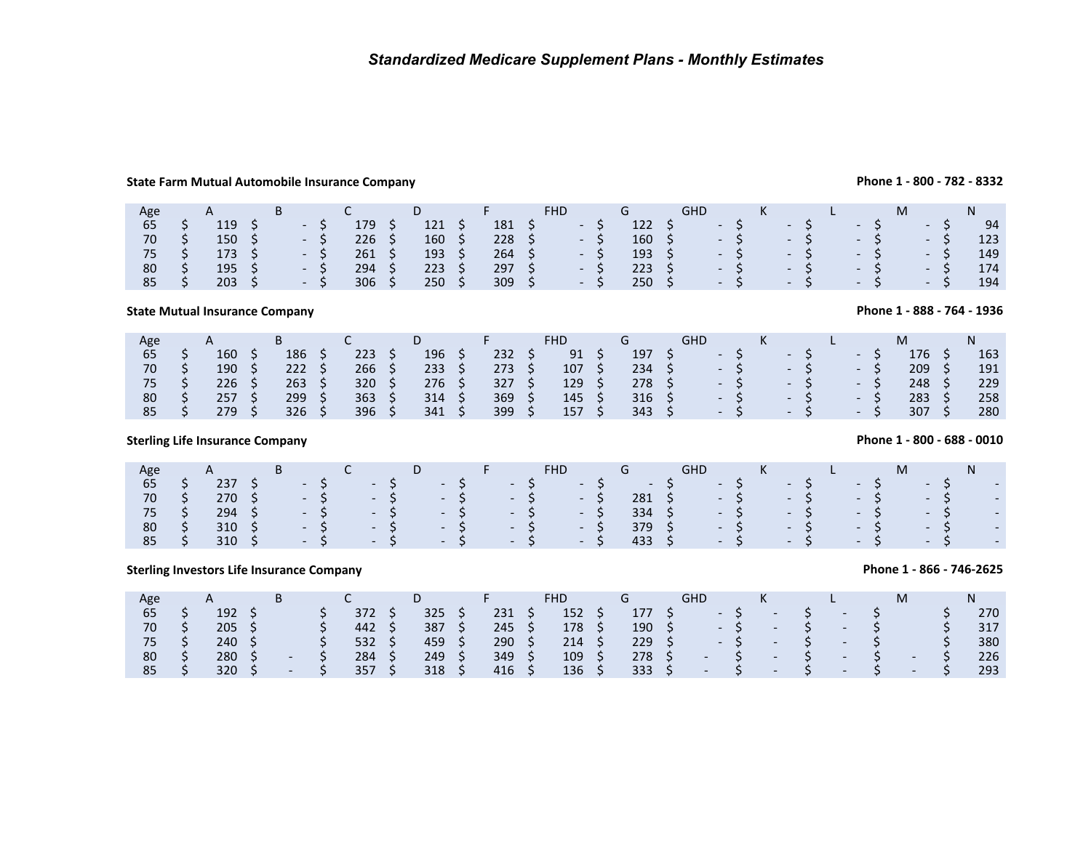## **State Farm Mutual Automobile Insurance Company**

| Age |               |  |       |     |     |                            |                | <b>FHD</b>   |                | <b>GHD</b>            |      | K         |       | L. |       |  |       | N.  |
|-----|---------------|--|-------|-----|-----|----------------------------|----------------|--------------|----------------|-----------------------|------|-----------|-------|----|-------|--|-------|-----|
| 65  | 119           |  | $- S$ | 179 | 121 |                            | 181            | - S          | $122 \quad$ \$ | $\sqrt{2}$ $\sqrt{2}$ |      |           | $-5$  |    | $-S$  |  | $-S$  | 94  |
| 70  | $150 \pm 5$   |  | $-S$  | 226 | 160 |                            | $228 \quad 5$  | $\sim$ $-$ S | $160 \pm 5$    | $-5$ $-5$             |      |           |       |    | $- S$ |  | $- S$ | 123 |
| 75  | $173 \quad S$ |  | $-S$  | 261 | 193 |                            | $264 \quad$ \$ | $-S$         | $193 \quad 5$  |                       |      | $-5$ $-5$ |       |    | $-5$  |  | $-S$  | 149 |
| 80  | 195           |  | $-S$  | 294 | 223 | $\overline{\phantom{a}}$ S | 297S           | $-S$         | $223 \quad S$  |                       | $-5$ |           | $- S$ |    | $-S$  |  | $-S$  | 174 |
| 85  | $203 \quad 5$ |  | $-S$  | 306 | 250 |                            | $309 \quad$ \$ | - S          | $250 \quad S$  | $\sim$ S $\sim$       |      |           | $-5$  |    | $- S$ |  | $- S$ | 194 |

## **State Mutual Insurance Company**

| Age |     | в   |     |     |     | <b>FHD</b> |     | GHD                      |  |                          |              | M   |     |
|-----|-----|-----|-----|-----|-----|------------|-----|--------------------------|--|--------------------------|--------------|-----|-----|
| 65  | 160 | 186 | 223 | 196 | 232 | 91         | 197 | $\overline{\phantom{a}}$ |  | $\overline{\phantom{0}}$ | $\sim$       | 176 | 163 |
| 70  | 190 | 222 | 266 | 233 | 273 | 107        | 234 | $\sim$                   |  | $\sim$ $\sim$            | <b>THE R</b> | 209 | 191 |
| 75  | 226 | 263 | 320 | 276 | 327 | 129        | 278 | $\overline{\phantom{a}}$ |  | $\sim$                   | New York     | 248 | 229 |
| 80  | 257 | 299 | 363 | 314 | 369 | 145        | 316 | $\overline{\phantom{a}}$ |  | $\overline{\phantom{a}}$ | NAN.         | 283 | 258 |
| 85  | 279 | 326 | 396 | 341 | 399 | 157        | 343 | $\overline{a}$           |  | $\overline{\phantom{a}}$ | $-1$         | 307 | 280 |

## **Sterling Life Insurance Company**

| Age |    |                  | $B \sim$ |  | D <sub>F</sub> |  | <b>FHD</b>                                                                                                                                                                                                                                                         | $G$ and $G$ and $G$ and $G$ and $G$ and $G$ and $G$ and $G$ and $G$ and $G$ and $G$ and $G$ and $G$ and $G$ and $G$ and $G$ and $G$ and $G$ and $G$ and $G$ and $G$ and $G$ and $G$ and $G$ and $G$ and $G$ and $G$ and $G$ a | GHD <b>A</b>                                                                                                                   |  |      | $K$ $\Box$                            | M                    |       | N      |                          |
|-----|----|------------------|----------|--|----------------|--|--------------------------------------------------------------------------------------------------------------------------------------------------------------------------------------------------------------------------------------------------------------------|-------------------------------------------------------------------------------------------------------------------------------------------------------------------------------------------------------------------------------|--------------------------------------------------------------------------------------------------------------------------------|--|------|---------------------------------------|----------------------|-------|--------|--------------------------|
| 65  |    | 237 <sub>5</sub> |          |  |                |  |                                                                                                                                                                                                                                                                    |                                                                                                                                                                                                                               |                                                                                                                                |  | $-5$ |                                       | $- S$                | $- S$ |        | $\overline{\phantom{a}}$ |
| 70  | S. | 270 \$           |          |  |                |  | $-5$ $-5$ $-5$ $-5$ $-5$                                                                                                                                                                                                                                           |                                                                                                                                                                                                                               | $281 \quad \mathsf{S} \qquad - \quad \mathsf{S} \qquad - \quad \mathsf{S} \qquad - \quad \mathsf{S} \qquad - \quad \mathsf{S}$ |  |      |                                       |                      |       | $\sim$ |                          |
| 75  |    | $294 \quad$ \$   |          |  |                |  | $-$ \$ $-$ \$ $-$ \$ $-$ \$ $-$ \$ $-$ \$ $-$ \$ $-$ \$ $-$ \$ $-$ \$ $-$ \$ $-$ \$ $-$ \$ $-$ \$ $-$ \$ $-$ \$ $-$ \$ $-$ \$ $-$ \$ $-$ \$ $-$ \$ $-$ \$ $-$ \$ $-$ \$ $-$ \$ $-$ \$ $-$ \$ $-$ \$ $-$ \$ $-$ \$ $-$ \$ $-$ \$ $-$ \$ $-$ \$ $-$ \$ $-$ \$ $-$ \$ | $334 \quad S$                                                                                                                                                                                                                 | $S \rightarrow S \rightarrow S \rightarrow S \rightarrow S$                                                                    |  |      |                                       |                      |       |        | $\overline{\phantom{a}}$ |
| 80  |    | 310 <sub>5</sub> |          |  |                |  | - S - S - S - S - S                                                                                                                                                                                                                                                | 379 S                                                                                                                                                                                                                         | $-S$ - S                                                                                                                       |  |      |                                       | $\sim$ $\sim$ $\sim$ | $-S$  |        | $\overline{\phantom{a}}$ |
| 85  |    | $310 \quad$ \$   |          |  |                |  | $-5$ $-5$ $-5$ $-5$ $-5$                                                                                                                                                                                                                                           | 433 \$                                                                                                                                                                                                                        |                                                                                                                                |  |      | $\cdot$ S $\cdot$ S $\cdot$ S $\cdot$ |                      | $- S$ |        | $\overline{\phantom{a}}$ |
|     |    |                  |          |  |                |  |                                                                                                                                                                                                                                                                    |                                                                                                                                                                                                                               |                                                                                                                                |  |      |                                       |                      |       |        |                          |

## **Sterling Investors Life Insurance Company**

| Age |     | D                        |     | D   |     | FHD |     | GHD                      |                | N                        |                          | M                        |     |
|-----|-----|--------------------------|-----|-----|-----|-----|-----|--------------------------|----------------|--------------------------|--------------------------|--------------------------|-----|
| 65  | 192 |                          | 372 | 325 | 231 | 152 | 177 |                          |                | $\overline{\phantom{a}}$ |                          |                          | 270 |
| 70  | 205 |                          | 442 | 387 | 245 | 178 | 190 |                          | $\sim$ $\sim$  | $\overline{\phantom{a}}$ |                          |                          | 317 |
| 75  | 240 |                          | 532 | 459 | 290 | 214 | 229 |                          | $\overline{a}$ | $\overline{\phantom{a}}$ | $\overline{\phantom{a}}$ |                          | 380 |
| 80  | 280 | $\overline{\phantom{a}}$ | 284 | 249 | 349 | 109 | 278 | $\overline{\phantom{a}}$ |                | $\overline{\phantom{0}}$ | $\overline{\phantom{a}}$ | $\overline{\phantom{0}}$ | 226 |
| 85  | 320 | $\overline{\phantom{a}}$ | 357 | 318 | 416 | 136 | 333 | $\overline{\phantom{0}}$ |                | $\overline{\phantom{0}}$ | $\overline{\phantom{0}}$ | $\overline{\phantom{0}}$ | 293 |

**Phone 1 - 888 - 764 - 1936**

**Phone 1 - 800 - 688 - 0010**

## **Phone 1 - 866 - 746-2625**

**Phone 1 - 800 - 782 - 8332**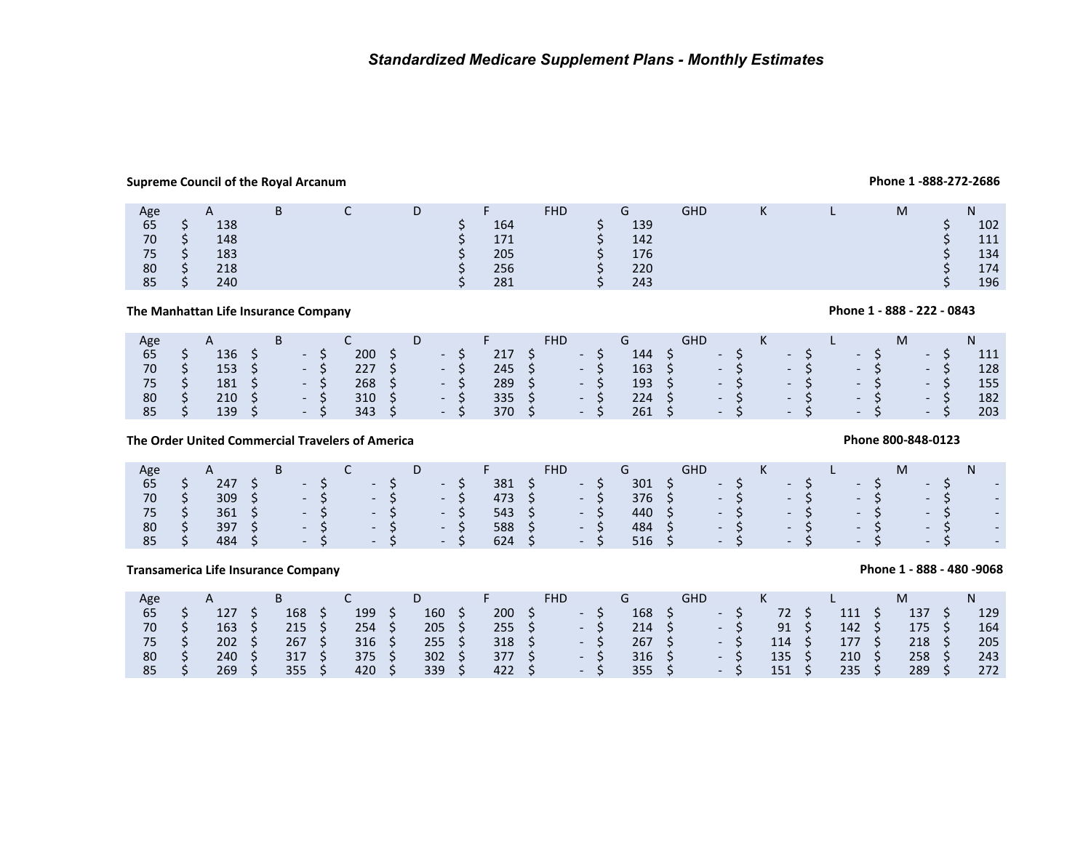## **Supreme Council of the Royal Arcanum**

### Age 65AA B C DD F<sub>164</sub> FHD G GHD <sup>K</sup> <sup>L</sup> <sup>M</sup>N $5 \t5 \t5 \t138 \t5 \t164 \t5 \t139 \t5 \t102$ 70 $\begin{array}{ccccccccccc}\n0 & \zeta & 148 & \zeta & 171 & \zeta & 142 & \zeta & 111 \\
\zeta & \zeta & \zeta & \zeta & 171 & \zeta & 142 & \zeta & 111\n\end{array}$ 75 $5 \t5 \t3 \t183$   $5 \t205$   $5 \t176$   $5 \t134$ 80 $\begin{array}{ccccccccccc}\n0 & \zeta & 218 & & & & \zeta & 256 & & \zeta & 220 & & \zeta & 174 \\
 & & & & & & & \zeta & 256 & & \zeta & 220 & & \zeta & 174 & & \zeta & 236 \\
\end{array}$ 85 $5 \t 5 \t 240 \t 5 \t 281 \t 5 \t 243 \t 5 \t 196$

## **The Manhattan Life Insurance Company**

| Age |    |               | B |       |                |               | D. |                |               |      |      |                |    | GHD |      | K    |       |      |       |      |     |
|-----|----|---------------|---|-------|----------------|---------------|----|----------------|---------------|------|------|----------------|----|-----|------|------|-------|------|-------|------|-----|
| 65  |    | 136           |   | - S   | 200            |               |    | $\sim$ $ \sim$ | 217 S         | NHN. |      | 144            |    |     | $-5$ |      | $-S$  |      | $-5$  | $-S$ | 111 |
| 70  |    | $153 \quad S$ |   | $-S$  | 227            |               |    | $- S$          | 245 S         |      | $-S$ | $163 \quad 5$  |    |     |      | $-5$ | $- S$ |      | $- S$ | - S  | 128 |
| 75  | -S | $181 \quad$   |   | $- S$ | $268 \quad 5$  |               |    | $-5$           | $289 \quad 5$ |      | $-S$ | $193 \quad 5$  |    |     |      | $-5$ | $- S$ |      | $-S$  | $-S$ | 155 |
| 80  | S. | $210 \pm 5$   |   | $-S$  | $310 \quad$ \$ |               |    | $- S$          | $335 \quad S$ |      | $-5$ | 224            | S. |     | $-5$ |      | $-S$  | $-S$ |       | - S  | 182 |
| 85  |    | 139S          |   | $- S$ | 343            | $\sim$ $\sim$ |    | $-S$           | 370           |      | $-S$ | $261 \quad$ \$ |    |     | $-S$ |      | $-S$  |      | $-57$ | $-S$ | 203 |

## **The Order United Commercial Travelers of America**

| Age | $\mathsf{A}$ | י                        |  |               | υ |               |     | FHD                      |     |                          |       |               |               |                                                                                                                                                                                                                                      |                          |
|-----|--------------|--------------------------|--|---------------|---|---------------|-----|--------------------------|-----|--------------------------|-------|---------------|---------------|--------------------------------------------------------------------------------------------------------------------------------------------------------------------------------------------------------------------------------------|--------------------------|
| 65  | 247          | $\sim$ $ \sim$           |  | $\sim$        |   | 1 H J         | 381 | $\sim$                   | 301 | $\sim$                   |       | - 5           | $-$           | $ -$                                                                                                                                                                                                                                 | $\sim$                   |
| 70  | 309          | $\sim$                   |  | $\sim$ $\sim$ |   | $\sim$ $\sim$ | 473 | $\sim$ $ \sim$           | 376 |                          | $- S$ | - 5           | $\sim$ $\sim$ | $-5$                                                                                                                                                                                                                                 | $\sim$                   |
| 75  | 361          | $\sim$ $-$               |  | $\sim$        |   | $\sim$ $\sim$ | 543 | $\sim$                   | 440 |                          | $- S$ | $-5$          | $\sim$ $\sim$ | $\sim$ $\sim$                                                                                                                                                                                                                        | $\sim$                   |
| 80  | 397          | $\overline{\phantom{0}}$ |  | $ -$          |   | $\sim$ $\sim$ | 588 | $\overline{\phantom{a}}$ | 484 | $\overline{\phantom{0}}$ |       | $ -$          | $ -$          | and the state of the state of the                                                                                                                                                                                                    | $\overline{\phantom{a}}$ |
| 85  | 484          | $\overline{\phantom{0}}$ |  | $\sim$        |   | $\sim$ $\sim$ | 624 | $\overline{\phantom{a}}$ | 516 | $\overline{\phantom{0}}$ |       | $\sim$ $\sim$ | $\sim$ $\sim$ | <u>the community of the community of the community of the community of the community of the community of the community of the community of the community of the community of the community of the community of the community of </u> | $\overline{\phantom{0}}$ |

## **Transamerica Life Insurance Company**

| Age |     |     |      |     |                 |                |               |       |               | FHD |               | G              |    | <b>GHD</b> |               |     |     |         | M           | N   |
|-----|-----|-----|------|-----|-----------------|----------------|---------------|-------|---------------|-----|---------------|----------------|----|------------|---------------|-----|-----|---------|-------------|-----|
| 65  |     | 127 |      | 168 |                 | 199            | 160           |       | 200           |     | $\sim$ $\sim$ | 168            |    |            | $-5$          | 72  | 111 |         | 137         | 129 |
| 70  |     | 163 |      | 215 |                 | $254 \quad$ \$ | 205           | - S   | $255 \quad $$ |     | $-S$          | $214 \quad$ \$ |    |            | $-S$          | 91  | 142 |         | 175 \$      | 164 |
| 75  |     | 202 | - \$ | 267 | $\sim$ S $\sim$ | $316 \quad $5$ | $255 \quad $$ |       | $318 \quad 5$ |     | $-S$          | $267 \quad$ \$ |    |            | $-S$          | 114 | 177 |         | $218 \quad$ | 205 |
| 80  | S S | 240 |      | 317 | - \$            | $375 \quad$ \$ | 302           | ∣ S∶  | 377 \$        |     | $-5$          | 316            |    |            | $\sim$ $\sim$ | 135 | 210 |         | $258 \; \S$ | 243 |
| 85  |     | 269 |      | 355 | - S             | $420 \pm 5$    | 339           | / S / | $422 \div$    |     | $- S$         | 355            | S. |            | $\sim$ $-$    | 151 | 235 | $\zeta$ | 289         | 272 |

## **Phone 1 - 888 - 222 - 0843**

## **Phone 800-848-0123**

## **Phone 1 - 888 - 480 -9068**

## **Phone 1 -888-272-2686**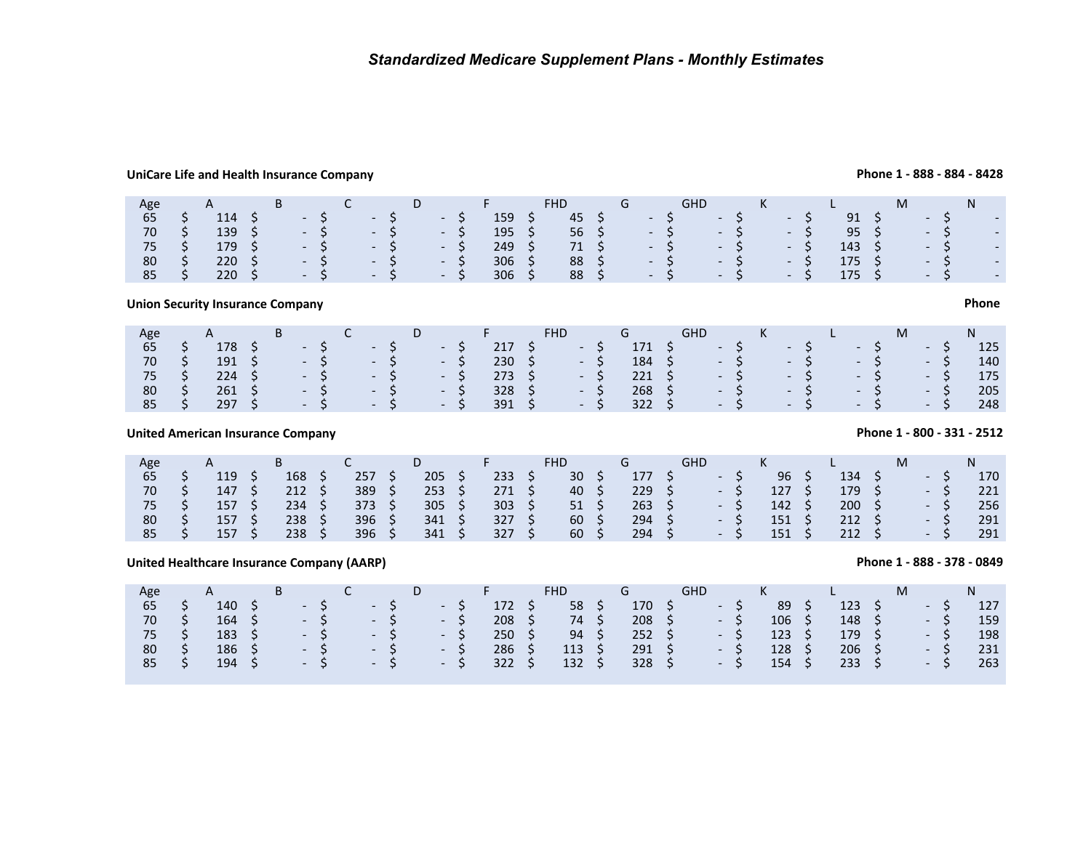## **UniCare Life and Health Insurance Company**

| Age | A           |  |       |                                           |      | D.                                 |       |     | <b>FHD</b> |  |                             | GHD  |               | K |       |                  | M |      |                             |
|-----|-------------|--|-------|-------------------------------------------|------|------------------------------------|-------|-----|------------|--|-----------------------------|------|---------------|---|-------|------------------|---|------|-----------------------------|
| 65  | 114         |  | $- S$ | $\sim$ $\sim$ $\sim$ $\sim$ $\sim$ $\sim$ |      |                                    | $-5$  | 159 | 45         |  | $- S$                       |      | $\sim$ $\sim$ |   | - 5   | 91               |   | $-5$ | $\sim$                      |
| 70  | $139 \div$  |  |       | $-S$ - S                                  |      | $-5$                               |       | 195 | 56 \$      |  |                             | $-S$ | $- S$         |   | $-5$  | $95 \quad$       |   | $-S$ | $\mathcal{L}_{\mathcal{A}}$ |
| 75  | 179S        |  |       | $-S$ - S                                  |      | $\sim$ $\sim$ $\sim$ $\sim$ $\sim$ |       | 249 | 71 \$      |  | $- S$                       |      | $-S$          |   | $- S$ | 143 \$           |   | $-S$ | $\mathcal{L}_{\mathcal{A}}$ |
| 80  | $220 \div$  |  |       | $-5$                                      | $-S$ |                                    | $-S$  | 306 | 88 \$      |  | $- S$                       |      | $-S$          |   | $- S$ | 175 <sub>5</sub> |   | $-S$ | $\mathcal{L}_{\mathcal{A}}$ |
| 85  | $220 \pm 5$ |  |       | $-5$                                      | $-S$ |                                    | $- S$ | 306 | 88 \$      |  | $\mathcal{L} = \mathcal{L}$ |      | $-S$          |   | $-S$  | $175 \quad$ \$   |   | $-S$ | $\sim$                      |

**Union Security Insurance Company**

| Age           | A |  | $\overline{\phantom{a}}$ . The contract of $\overline{\phantom{a}}$ |                                                                | D <sub>D</sub> | $\mathsf{F}$ . The set of $\mathsf{F}$ | FHD.                    | and the Group of Group of the State of the State of the State of the State of the State of the State of the St | <b>GHD</b>                                                                       | $K$ and $L$ |  |      | M <sub>ar</sub> |       | $N$ and $N$ |
|---------------|---|--|---------------------------------------------------------------------|----------------------------------------------------------------|----------------|----------------------------------------|-------------------------|----------------------------------------------------------------------------------------------------------------|----------------------------------------------------------------------------------|-------------|--|------|-----------------|-------|-------------|
| 65            |   |  |                                                                     | $178$ \$ $-$ \$ $-$ \$ $-$ \$ $-$ \$                           |                |                                        |                         |                                                                                                                | $171 \quad \zeta \qquad - \zeta \qquad - \zeta$                                  |             |  | $-5$ |                 | $-S$  | 125         |
| 70            |   |  |                                                                     | $191 \quad \zeta \qquad - \zeta \qquad - \zeta \qquad - \zeta$ |                |                                        | $230 \quad 5 \quad -5$  |                                                                                                                | $184 \quad \zeta \qquad - \quad \zeta \qquad - \quad \zeta \qquad - \quad \zeta$ |             |  |      |                 | $-5$  | 140         |
| $75 \quad$ \$ |   |  |                                                                     | $224 \quad \zeta \qquad - \zeta \qquad - \zeta \qquad - \zeta$ |                | $273 \quad 5$                          | $\sim$ - S              |                                                                                                                |                                                                                  |             |  |      |                 | $-5$  | 175         |
| 80            |   |  |                                                                     | $261 \quad \zeta \qquad - \zeta \qquad - \zeta \qquad - \zeta$ |                |                                        | $328 \quad 5 \qquad -5$ |                                                                                                                | $268$ \$ $-$ \$ $-$ \$ $-$ \$ 5                                                  |             |  |      |                 | $-5$  | 205         |
| 85            |   |  |                                                                     | $297 \quad \zeta \qquad - \zeta \qquad - \zeta \qquad - \zeta$ |                |                                        | $391 \quad 5 \quad -5$  |                                                                                                                | $322 \quad \zeta \qquad - \zeta \qquad - \zeta \qquad - \zeta$                   |             |  |      |                 | $- S$ | 248         |

**United American Insurance Company**

| Age | $\mathsf{A}$ |     |     | D   |     | FHD |     | GHD                      |     |     | M |                          |     |
|-----|--------------|-----|-----|-----|-----|-----|-----|--------------------------|-----|-----|---|--------------------------|-----|
| 65  | 119          | 168 | 257 | 205 | 233 | 30  | 177 | $\overline{\phantom{0}}$ | 96  | 134 |   | $\overline{\phantom{0}}$ | 170 |
| 70  | 147          | 212 | 389 | 253 | 271 | 40  | 229 | $\overline{\phantom{0}}$ | 127 | 179 |   | $\overline{\phantom{0}}$ | 221 |
| 75  | 157          | 234 | 373 | 305 | 303 | 51  | 263 | $\overline{\phantom{a}}$ | 142 | 200 |   | $\overline{a}$           | 256 |
| 80  | 157          | 238 | 396 | 341 | 327 | 60  | 294 | $\overline{\phantom{a}}$ | 151 | 212 |   | $\overline{\phantom{0}}$ | 291 |
| 85  | 157          | 238 | 396 | 341 | 327 | 60  | 294 | $\overline{a}$           | 151 | 212 |   | $\sim$                   | 291 |

## **United Healthcare Insurance Company (AARP)**

| Age          |              |                |  |       |          |      |                |      |                | FHD             |                | GHD                    |       | K |                |                | M |       | N.  |
|--------------|--------------|----------------|--|-------|----------|------|----------------|------|----------------|-----------------|----------------|------------------------|-------|---|----------------|----------------|---|-------|-----|
| 65           |              | 140            |  | $-57$ |          | $-5$ |                | $-S$ | 172 \$         | 58 <sub>5</sub> | 170 S          |                        | $-5$  |   | 89             | $123 \quad S$  |   | $-5$  | 127 |
| 70           |              | $164 \quad$ \$ |  |       |          |      | $-5$ $-5$ $-5$ |      | $208 \quad$ \$ | 74 \$           |                | $208 \quad 5 \quad -5$ |       |   | $106 \quad$ \$ | $148 \quad$ \$ |   | $-5/$ | 159 |
| 75\$         |              | $183 \quad 5$  |  |       | $-5$ $-$ |      | $-5$           | $-5$ | $250 \quad$ \$ | $94 \quad$ \$   | $252 \div$     |                        | $- S$ |   | $123 \quad 5$  | 179 \$         |   | $-S$  | 198 |
| 80           | $\mathsf{S}$ | $186 \quad 5$  |  |       |          |      | $-5 - 5 - 5$   |      | $286 \quad 5$  | $113 \quad$     | $291 \quad $5$ |                        | $-S$  |   | $128 \quad 5$  | $206 \div$     |   | $-S$  | 231 |
| $85 \quad S$ |              | 194 \$         |  |       |          |      | $-5 - 5 - 5$   |      | $322 \quad 5$  | $132 \quad 5$   | $328 \div$     | $-5$                   |       |   | $154 \quad$ \$ | $233 \quad $5$ |   | $-5$  | 263 |

## **Phone 1 - 888 - 884 - 8428**

## **Phone 1 - 800 - 331 - 2512**

## **Phone 1 - 888 - 378 - 0849**

## **Phone**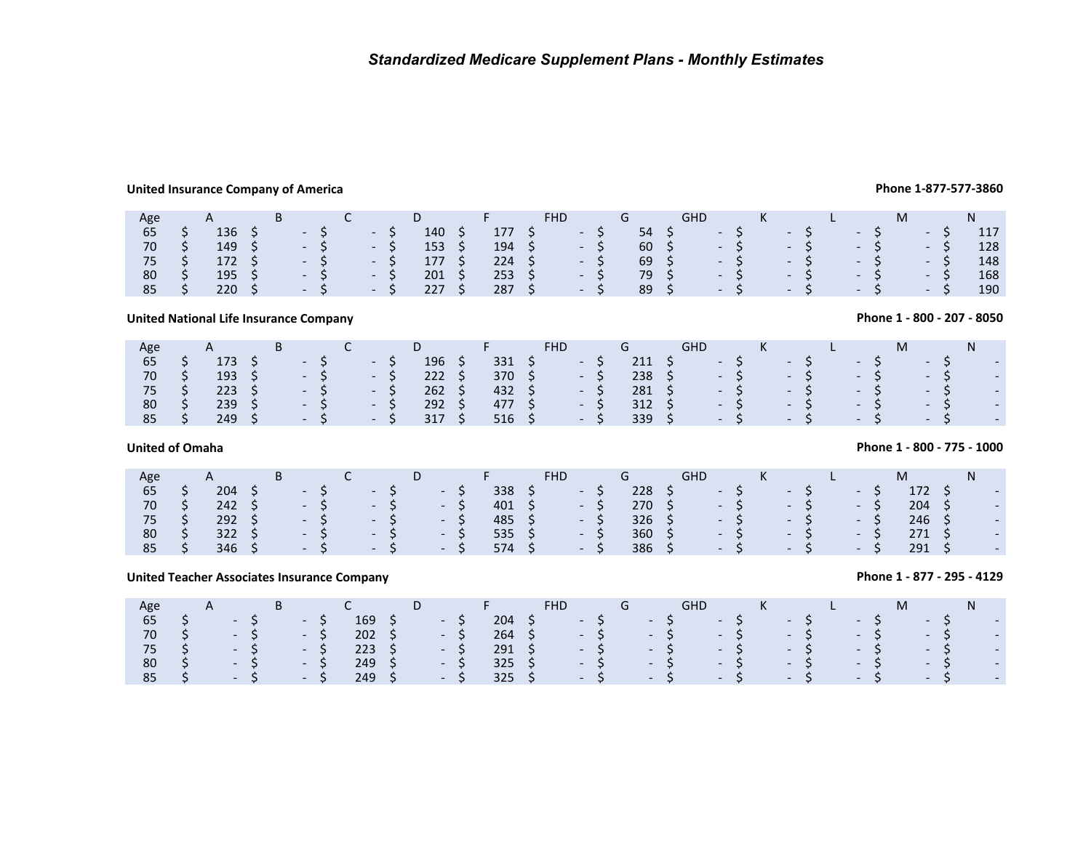## **United Insurance Company of America**

| Age |                | B |            |                   |        |    | $\mathbf{F}$   | <b>FHD</b> |       | G             | <b>GHD</b>                         |      | K    |      |       |      |      |     |
|-----|----------------|---|------------|-------------------|--------|----|----------------|------------|-------|---------------|------------------------------------|------|------|------|-------|------|------|-----|
| 65  | 136            |   | $- S$      | - S               | 140    |    | 177            |            | $-S$  | 54 \$         |                                    | $-5$ |      | $-5$ |       | $-S$ | – S  | 117 |
| 70  | 149            |   | $-S$       | - S               | 153    |    | $194 \quad$ \$ | $-5$       |       | 60 \$         | $\sim$ $\sim$ $\sim$ $\sim$ $\sim$ |      |      |      | $- S$ | $-5$ | $-S$ | 128 |
| 75  | $172 \quad$ \$ |   | $-5$       | $\mathbb{R}$ - SN | 177 \$ |    | $224 \quad S$  |            | $- S$ | $69 \quad$ \$ | $-5$                               |      |      |      | $-5$  | $-5$ | $-S$ | 148 |
| 80  | 195            |   | $- S$      | $\sqrt{-15}$      | 201    |    | $253 \quad 5$  |            | $-S$  | 79 \$         | $-5$                               |      |      |      | $-5$  | $-5$ | $-S$ | 168 |
| 85  | 220            |   | $\sim$ - S | $-5$              | 227    | S. | $287 \quad$ \$ |            | $- S$ | 89 \$         |                                    |      | $-5$ |      | $-5$  | $-S$ | $-S$ | 190 |

## **United National Life Insurance Company**

| Age  |     | $\mathsf{A}$   | B <sub>a</sub> |                                                 | $\sim$ C $\sim$                    | D.  |                | <b>Committee State</b> |        | <b>FHD</b>                       |            | G             | <b>GHD</b>                                               | $K$ and $K$           |  |  | M    |       | N |                          |
|------|-----|----------------|----------------|-------------------------------------------------|------------------------------------|-----|----------------|------------------------|--------|----------------------------------|------------|---------------|----------------------------------------------------------|-----------------------|--|--|------|-------|---|--------------------------|
| 65   |     | $173 \quad S$  |                | $\sim$ $\sim$ S $/$                             | $\sim$ $\sim$ $\sim$ $\sim$ $\sim$ | 196 | - \$           | 331                    | / S /  | $\sim$ $-$ S                     |            |               | $211 \tS - 5$ - $5$                                      |                       |  |  | $-5$ | $-5$  |   | $\overline{\phantom{a}}$ |
| 70   | S S |                |                | $193 \quad \zeta \qquad - \zeta \qquad - \zeta$ |                                    |     | $222 \quad 5$  |                        |        | $370 \quad \zeta \qquad - \zeta$ |            |               | $238 \quad 5 \quad -5 \quad -5 \quad -5 \quad 5 \quad 7$ |                       |  |  |      | $- S$ |   | $\overline{a}$           |
| 75\$ |     | $223 \quad 5$  |                | $-5$ $-5$                                       |                                    |     | $262 \quad$ \$ |                        | 432 \$ |                                  | $- S$      | $281 \quad $$ |                                                          | $-5$ $-5$ $-5$ $-5$   |  |  |      |       |   | $\overline{\phantom{a}}$ |
| 80   | S S | $239 \quad$ \$ |                | $-57$                                           | $\sim$ $\sim$ S                    |     | $292 \quad$ \$ | $477 \quad S$          |        |                                  | $-S$       | $312 \quad 5$ |                                                          | $-S$ $-S$ $-S$        |  |  |      | $-S$  |   | $\overline{\phantom{a}}$ |
| 85   |     | 249S           |                | $-5$ $-5$                                       |                                    |     | 317 S          | $516 \quad $5$         |        |                                  | $\sim$ - S | $339 \quad 5$ |                                                          | $-$ S $-$ S $-$ S $-$ |  |  |      | $-S$  |   | $\overline{a}$           |

## **United of Omaha**

| Age |                | Þ |                                 |                              | υ |                          |     |     |                          |               | <b>GHD</b>                  |          |                             |                           |     |       |  |
|-----|----------------|---|---------------------------------|------------------------------|---|--------------------------|-----|-----|--------------------------|---------------|-----------------------------|----------|-----------------------------|---------------------------|-----|-------|--|
| 65  | 204            |   | the property of the property of | <b>State State</b>           |   | - 5                      | 338 |     | <b>Contract Contract</b> | 228           | $\mathcal{L} = \mathcal{L}$ |          | $\mathcal{L} = \mathcal{L}$ | <b>The Contract State</b> |     | 172 S |  |
| 70  | $242 \quad 5$  |   | the company's company's         | $\sim$ 5                     |   | - S                      | 401 |     | $-5$                     | 270 S         | $-5$                        |          | $-5$                        | $-5$                      |     | 204   |  |
| 75  | $292 \quad$ \$ |   | $-5$                            | $-5$                         |   | - 5                      | 485 |     | - 5                      | $326 \quad S$ |                             | $-5$     | / - S/                      |                           | - 5 | 246   |  |
| 80  | 322            |   | $\sim$ 100 $\mu$                | $\sim$ $-$                   |   | $\sim$ $ \sim$           | 535 | - 5 | - 5                      | 360           |                             | $-5$     | $\sim$ 100 $\mu$            | $\sim$ 100 $\pm$          |     | 271   |  |
| 85  | 346            |   | $\sim$ 100 $\pm$                | $\sim$ 100 $\sim$ 100 $\sim$ |   | <b>Contract Contract</b> | 574 |     | $\sim$ $\sim$ $\sim$     | 386           |                             | $\sim$ 5 | $-5$                        | $\sim$ 100 $\mu$          |     | 291   |  |

## **United Teacher Associates Insurance Company**

|                                   |   | nited National Life Insurance Company                                                      |    |   |                                                                                                                                          |   |                                                                                                                   |    |                                                                                                                   |    |                                       |         |            |                                                                                            |          |                                                           |            |                                                                                  |    |   |                                                                                                              |  |                                                                                                              |   |          |                                                      |         | Phone 1 - 800 - 207 - 8050 |
|-----------------------------------|---|--------------------------------------------------------------------------------------------|----|---|------------------------------------------------------------------------------------------------------------------------------------------|---|-------------------------------------------------------------------------------------------------------------------|----|-------------------------------------------------------------------------------------------------------------------|----|---------------------------------------|---------|------------|--------------------------------------------------------------------------------------------|----------|-----------------------------------------------------------|------------|----------------------------------------------------------------------------------|----|---|--------------------------------------------------------------------------------------------------------------|--|--------------------------------------------------------------------------------------------------------------|---|----------|------------------------------------------------------|---------|----------------------------|
| Age<br>65<br>70<br>75<br>80<br>85 | Ş | A<br>173<br>193<br>223<br>239<br>249                                                       | Ş  | B | $\overline{\phantom{a}}$<br>$\overline{\phantom{a}}$<br>$\overline{\phantom{a}}$<br>$\overline{\phantom{a}}$                             |   | C<br>$\overline{\phantom{a}}$<br>$\sim$<br>$\sim$<br>$\overline{\phantom{a}}$<br>$\overline{\phantom{a}}$         | \$ | D<br>196<br>222<br>262<br>292<br>317                                                                              | S. | F.<br>331<br>370<br>432<br>477<br>516 | \$      | <b>FHD</b> | $\overline{\phantom{a}}$<br>$\sim$<br>$\sim$<br>۰.<br>$\sim$                               | \$<br>\$ | G<br>211<br>238<br>281<br>312<br>339                      | <b>GHD</b> | $\overline{\phantom{a}}$<br>$\overline{\phantom{a}}$<br>$\overline{\phantom{a}}$ | \$ | Κ | $\overline{\phantom{0}}$<br>$\overline{\phantom{a}}$<br>$\overline{\phantom{0}}$<br>$\overline{\phantom{a}}$ |  | $\overline{\phantom{a}}$<br>$\overline{a}$<br>$\overline{\phantom{0}}$                                       |   | M        | $\overline{\phantom{0}}$<br>$\overline{\phantom{0}}$ | N<br>\$ | $\overline{\phantom{a}}$   |
| nited of Omaha                    |   |                                                                                            |    |   |                                                                                                                                          |   |                                                                                                                   |    |                                                                                                                   |    |                                       |         |            |                                                                                            |          |                                                           |            |                                                                                  |    |   |                                                                                                              |  |                                                                                                              |   |          |                                                      |         | Phone 1 - 800 - 775 - 1000 |
| Age<br>65<br>70<br>75<br>80<br>85 |   | A<br>204<br>242<br>292<br>322<br>346                                                       | -Ş | B | $\overline{\phantom{a}}$<br>$\overline{\phantom{a}}$<br>$\overline{\phantom{a}}$                                                         |   | C<br>$\overline{\phantom{a}}$<br>$\overline{\phantom{a}}$<br>$\overline{\phantom{a}}$<br>$\overline{\phantom{a}}$ | Ş  | D<br>$\overline{\phantom{a}}$<br>$\overline{\phantom{a}}$<br>$\overline{\phantom{a}}$<br>$\overline{\phantom{a}}$ | Ş  | F.<br>338<br>401<br>485<br>535<br>574 | S       | <b>FHD</b> | $\overline{\phantom{a}}$<br>$\overline{\phantom{a}}$<br>$\overline{\phantom{a}}$<br>$\sim$ | \$       | G<br>228<br>270<br>326<br>360<br>386                      | <b>GHD</b> | $\overline{\phantom{a}}$                                                         | S  | К | $\overline{\phantom{a}}$<br>$\overline{\phantom{a}}$<br>$\overline{\phantom{a}}$                             |  | $\overline{\phantom{0}}$<br>$\overline{\phantom{a}}$<br>$\overline{\phantom{a}}$<br>$\overline{\phantom{a}}$ | Ş | M<br>271 | 172<br>204<br>246<br>291                             | N       |                            |
|                                   |   | nited Teacher Associates Insurance Company                                                 |    |   |                                                                                                                                          |   |                                                                                                                   |    |                                                                                                                   |    |                                       |         |            |                                                                                            |          |                                                           |            |                                                                                  |    |   |                                                                                                              |  |                                                                                                              |   |          |                                                      |         | Phone 1 - 877 - 295 - 4129 |
| Age<br>65<br>70<br>75<br>80<br>85 |   | A<br>-<br>$\overline{\phantom{0}}$<br>$\overline{\phantom{0}}$<br>$\overline{\phantom{0}}$ |    | B | $\overline{\phantom{a}}$<br>$\overline{\phantom{a}}$<br>$\overline{\phantom{a}}$<br>$\overline{\phantom{a}}$<br>$\overline{\phantom{a}}$ | S | C<br>169<br>202<br>223<br>249<br>249                                                                              | S. | D<br>$\sim$<br>$\overline{\phantom{0}}$<br>$\overline{\phantom{a}}$                                               | S  | F.<br>204<br>264<br>291<br>325<br>325 | \$<br>Ś | <b>FHD</b> | $\overline{\phantom{a}}$<br>$\overline{\phantom{a}}$                                       | Ś        | G<br>$\overline{\phantom{0}}$<br>$\overline{\phantom{a}}$ | <b>GHD</b> | $\overline{\phantom{a}}$<br>$\overline{\phantom{a}}$                             | Ś  | Κ | $\overline{\phantom{0}}$<br>$\overline{\phantom{0}}$                                                         |  | $\overline{\phantom{a}}$<br>$\overline{\phantom{0}}$                                                         |   | M        | $\overline{\phantom{a}}$<br>$\overline{\phantom{a}}$ | N<br>Ş  |                            |

## **Phone 1-877-577-3860**